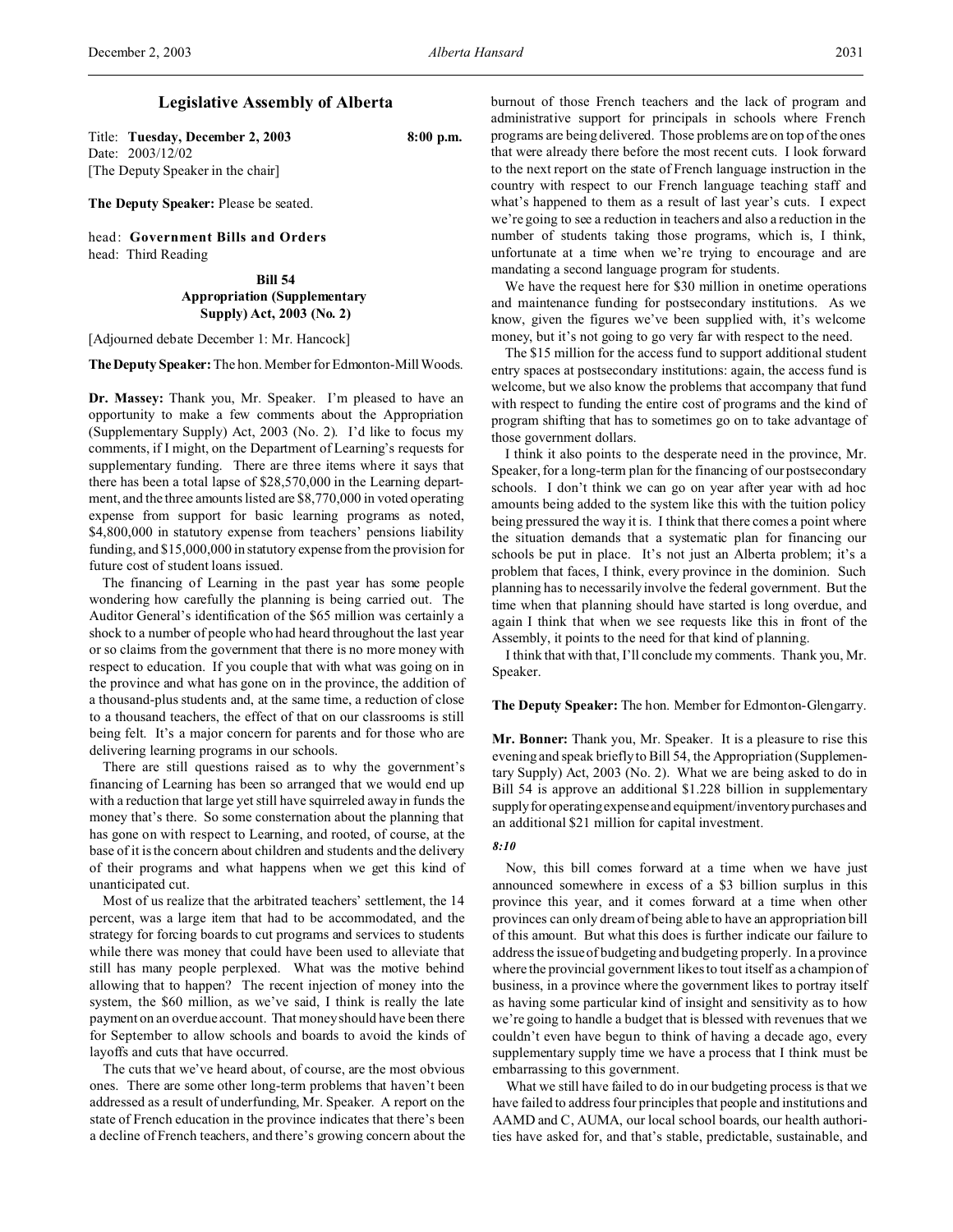# **Legislative Assembly of Alberta**

Title: **Tuesday, December 2, 2003 8:00 p.m.** Date: 2003/12/02 [The Deputy Speaker in the chair]

**The Deputy Speaker:** Please be seated.

head: **Government Bills and Orders** head: Third Reading

> **Bill 54 Appropriation (Supplementary Supply) Act, 2003 (No. 2)**

[Adjourned debate December 1: Mr. Hancock]

The Deputy Speaker: The hon. Member for Edmonton-Mill Woods.

**Dr. Massey:** Thank you, Mr. Speaker. I'm pleased to have an opportunity to make a few comments about the Appropriation (Supplementary Supply) Act, 2003 (No. 2). I'd like to focus my comments, if I might, on the Department of Learning's requests for supplementary funding. There are three items where it says that there has been a total lapse of \$28,570,000 in the Learning department, and the three amounts listed are \$8,770,000 in voted operating expense from support for basic learning programs as noted, \$4,800,000 in statutory expense from teachers' pensions liability funding, and \$15,000,000 in statutory expense from the provision for future cost of student loans issued.

The financing of Learning in the past year has some people wondering how carefully the planning is being carried out. The Auditor General's identification of the \$65 million was certainly a shock to a number of people who had heard throughout the last year or so claims from the government that there is no more money with respect to education. If you couple that with what was going on in the province and what has gone on in the province, the addition of a thousand-plus students and, at the same time, a reduction of close to a thousand teachers, the effect of that on our classrooms is still being felt. It's a major concern for parents and for those who are delivering learning programs in our schools.

There are still questions raised as to why the government's financing of Learning has been so arranged that we would end up with a reduction that large yet still have squirreled away in funds the money that's there. So some consternation about the planning that has gone on with respect to Learning, and rooted, of course, at the base of it is the concern about children and students and the delivery of their programs and what happens when we get this kind of unanticipated cut.

Most of us realize that the arbitrated teachers' settlement, the 14 percent, was a large item that had to be accommodated, and the strategy for forcing boards to cut programs and services to students while there was money that could have been used to alleviate that still has many people perplexed. What was the motive behind allowing that to happen? The recent injection of money into the system, the \$60 million, as we've said, I think is really the late payment on an overdue account. That money should have been there for September to allow schools and boards to avoid the kinds of layoffs and cuts that have occurred.

The cuts that we've heard about, of course, are the most obvious ones. There are some other long-term problems that haven't been addressed as a result of underfunding, Mr. Speaker. A report on the state of French education in the province indicates that there's been a decline of French teachers, and there's growing concern about the

burnout of those French teachers and the lack of program and administrative support for principals in schools where French programs are being delivered. Those problems are on top of the ones that were already there before the most recent cuts. I look forward to the next report on the state of French language instruction in the country with respect to our French language teaching staff and what's happened to them as a result of last year's cuts. I expect we're going to see a reduction in teachers and also a reduction in the number of students taking those programs, which is, I think, unfortunate at a time when we're trying to encourage and are mandating a second language program for students.

We have the request here for \$30 million in onetime operations and maintenance funding for postsecondary institutions. As we know, given the figures we've been supplied with, it's welcome money, but it's not going to go very far with respect to the need.

The \$15 million for the access fund to support additional student entry spaces at postsecondary institutions: again, the access fund is welcome, but we also know the problems that accompany that fund with respect to funding the entire cost of programs and the kind of program shifting that has to sometimes go on to take advantage of those government dollars.

I think it also points to the desperate need in the province, Mr. Speaker, for a long-term plan for the financing of our postsecondary schools. I don't think we can go on year after year with ad hoc amounts being added to the system like this with the tuition policy being pressured the way it is. I think that there comes a point where the situation demands that a systematic plan for financing our schools be put in place. It's not just an Alberta problem; it's a problem that faces, I think, every province in the dominion. Such planning has to necessarily involve the federal government. But the time when that planning should have started is long overdue, and again I think that when we see requests like this in front of the Assembly, it points to the need for that kind of planning.

I think that with that, I'll conclude my comments. Thank you, Mr. Speaker.

# **The Deputy Speaker:** The hon. Member for Edmonton-Glengarry.

**Mr. Bonner:** Thank you, Mr. Speaker. It is a pleasure to rise this evening and speak briefly to Bill 54, the Appropriation (Supplementary Supply) Act, 2003 (No. 2). What we are being asked to do in Bill 54 is approve an additional \$1.228 billion in supplementary supply for operating expense and equipment/inventory purchases and an additional \$21 million for capital investment.

# *8:10*

Now, this bill comes forward at a time when we have just announced somewhere in excess of a \$3 billion surplus in this province this year, and it comes forward at a time when other provinces can only dream of being able to have an appropriation bill of this amount. But what this does is further indicate our failure to address the issue of budgeting and budgeting properly. In a province where the provincial government likes to tout itself as a champion of business, in a province where the government likes to portray itself as having some particular kind of insight and sensitivity as to how we're going to handle a budget that is blessed with revenues that we couldn't even have begun to think of having a decade ago, every supplementary supply time we have a process that I think must be embarrassing to this government.

What we still have failed to do in our budgeting process is that we have failed to address four principles that people and institutions and AAMD and C, AUMA, our local school boards, our health authorities have asked for, and that's stable, predictable, sustainable, and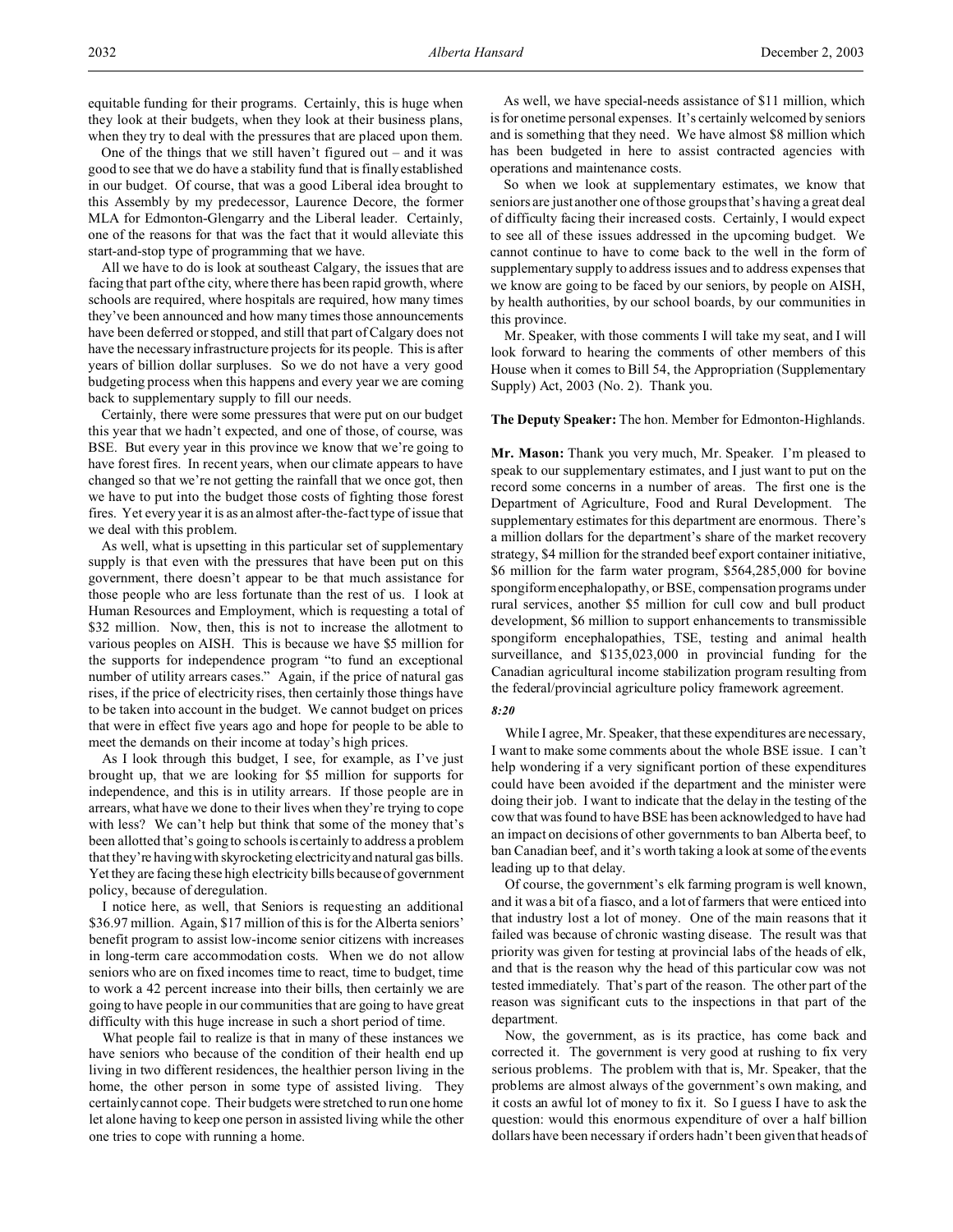equitable funding for their programs. Certainly, this is huge when they look at their budgets, when they look at their business plans, when they try to deal with the pressures that are placed upon them.

One of the things that we still haven't figured out – and it was good to see that we do have a stability fund that is finally established in our budget. Of course, that was a good Liberal idea brought to this Assembly by my predecessor, Laurence Decore, the former MLA for Edmonton-Glengarry and the Liberal leader. Certainly, one of the reasons for that was the fact that it would alleviate this start-and-stop type of programming that we have.

All we have to do is look at southeast Calgary, the issues that are facing that part of the city, where there has been rapid growth, where schools are required, where hospitals are required, how many times they've been announced and how many times those announcements have been deferred or stopped, and still that part of Calgary does not have the necessary infrastructure projects for its people. This is after years of billion dollar surpluses. So we do not have a very good budgeting process when this happens and every year we are coming back to supplementary supply to fill our needs.

Certainly, there were some pressures that were put on our budget this year that we hadn't expected, and one of those, of course, was BSE. But every year in this province we know that we're going to have forest fires. In recent years, when our climate appears to have changed so that we're not getting the rainfall that we once got, then we have to put into the budget those costs of fighting those forest fires. Yet every year it is as an almost after-the-fact type of issue that we deal with this problem.

As well, what is upsetting in this particular set of supplementary supply is that even with the pressures that have been put on this government, there doesn't appear to be that much assistance for those people who are less fortunate than the rest of us. I look at Human Resources and Employment, which is requesting a total of \$32 million. Now, then, this is not to increase the allotment to various peoples on AISH. This is because we have \$5 million for the supports for independence program "to fund an exceptional number of utility arrears cases." Again, if the price of natural gas rises, if the price of electricity rises, then certainly those things have to be taken into account in the budget. We cannot budget on prices that were in effect five years ago and hope for people to be able to meet the demands on their income at today's high prices.

As I look through this budget, I see, for example, as I've just brought up, that we are looking for \$5 million for supports for independence, and this is in utility arrears. If those people are in arrears, what have we done to their lives when they're trying to cope with less? We can't help but think that some of the money that's been allotted that's going to schools is certainly to address a problem that they're having with skyrocketing electricity and natural gas bills. Yet they are facing these high electricity bills because of government policy, because of deregulation.

I notice here, as well, that Seniors is requesting an additional \$36.97 million. Again, \$17 million of this is for the Alberta seniors' benefit program to assist low-income senior citizens with increases in long-term care accommodation costs. When we do not allow seniors who are on fixed incomes time to react, time to budget, time to work a 42 percent increase into their bills, then certainly we are going to have people in our communities that are going to have great difficulty with this huge increase in such a short period of time.

What people fail to realize is that in many of these instances we have seniors who because of the condition of their health end up living in two different residences, the healthier person living in the home, the other person in some type of assisted living. They certainly cannot cope. Their budgets were stretched to run one home let alone having to keep one person in assisted living while the other one tries to cope with running a home.

As well, we have special-needs assistance of \$11 million, which is for onetime personal expenses. It's certainly welcomed by seniors and is something that they need. We have almost \$8 million which has been budgeted in here to assist contracted agencies with operations and maintenance costs.

So when we look at supplementary estimates, we know that seniors are just another one of those groups that's having a great deal of difficulty facing their increased costs. Certainly, I would expect to see all of these issues addressed in the upcoming budget. We cannot continue to have to come back to the well in the form of supplementary supply to address issues and to address expenses that we know are going to be faced by our seniors, by people on AISH, by health authorities, by our school boards, by our communities in this province.

Mr. Speaker, with those comments I will take my seat, and I will look forward to hearing the comments of other members of this House when it comes to Bill 54, the Appropriation (Supplementary Supply) Act, 2003 (No. 2). Thank you.

# **The Deputy Speaker:** The hon. Member for Edmonton-Highlands.

**Mr. Mason:** Thank you very much, Mr. Speaker. I'm pleased to speak to our supplementary estimates, and I just want to put on the record some concerns in a number of areas. The first one is the Department of Agriculture, Food and Rural Development. The supplementary estimates for this department are enormous. There's a million dollars for the department's share of the market recovery strategy, \$4 million for the stranded beef export container initiative, \$6 million for the farm water program, \$564,285,000 for bovine spongiform encephalopathy, or BSE, compensation programs under rural services, another \$5 million for cull cow and bull product development, \$6 million to support enhancements to transmissible spongiform encephalopathies, TSE, testing and animal health surveillance, and \$135,023,000 in provincial funding for the Canadian agricultural income stabilization program resulting from the federal/provincial agriculture policy framework agreement.

#### *8:20*

While I agree, Mr. Speaker, that these expenditures are necessary, I want to make some comments about the whole BSE issue. I can't help wondering if a very significant portion of these expenditures could have been avoided if the department and the minister were doing their job. I want to indicate that the delay in the testing of the cow that was found to have BSE has been acknowledged to have had an impact on decisions of other governments to ban Alberta beef, to ban Canadian beef, and it's worth taking a look at some of the events leading up to that delay.

Of course, the government's elk farming program is well known, and it was a bit of a fiasco, and a lot of farmers that were enticed into that industry lost a lot of money. One of the main reasons that it failed was because of chronic wasting disease. The result was that priority was given for testing at provincial labs of the heads of elk, and that is the reason why the head of this particular cow was not tested immediately. That's part of the reason. The other part of the reason was significant cuts to the inspections in that part of the department.

Now, the government, as is its practice, has come back and corrected it. The government is very good at rushing to fix very serious problems. The problem with that is, Mr. Speaker, that the problems are almost always of the government's own making, and it costs an awful lot of money to fix it. So I guess I have to ask the question: would this enormous expenditure of over a half billion dollars have been necessary if orders hadn't been given that heads of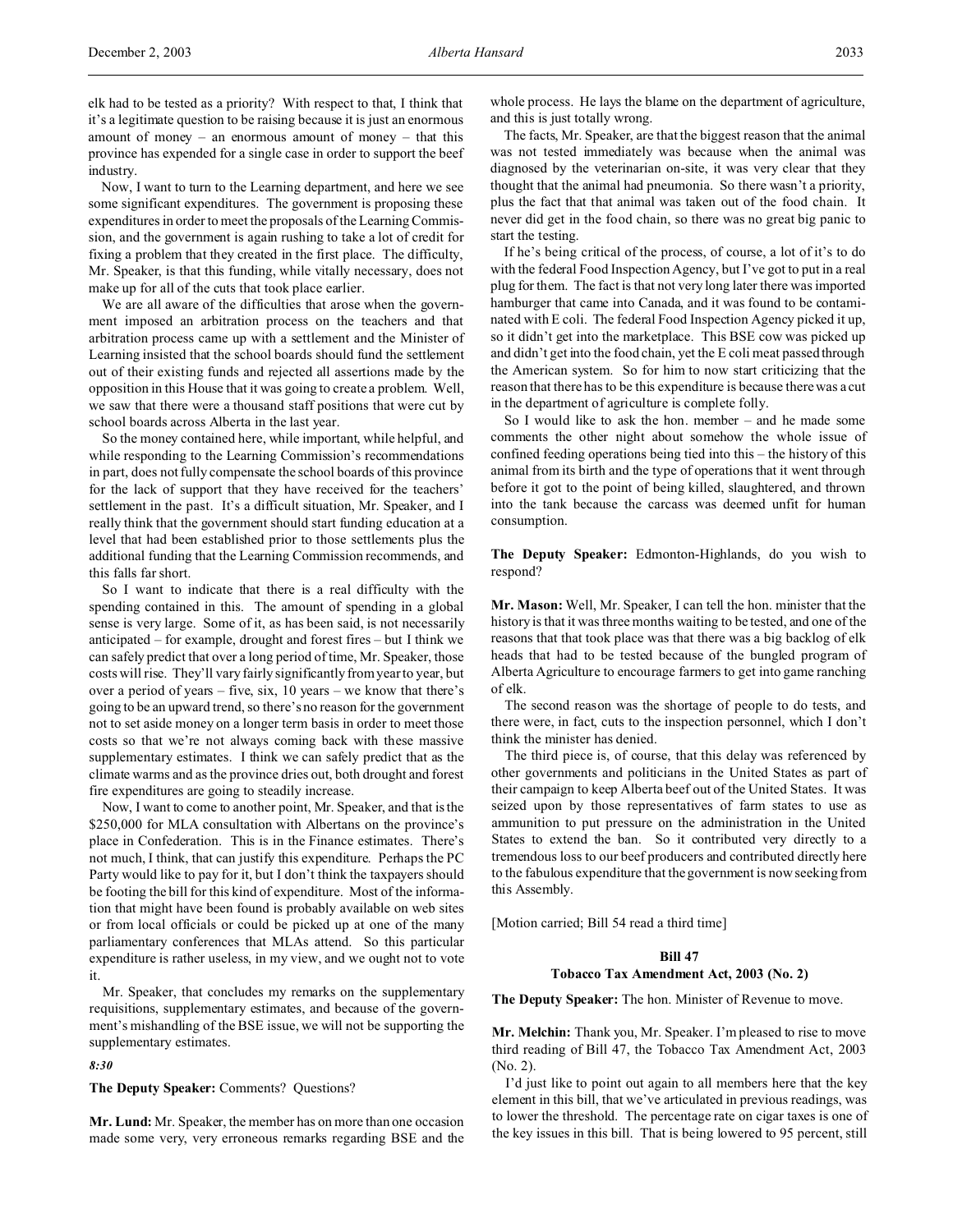elk had to be tested as a priority? With respect to that, I think that it's a legitimate question to be raising because it is just an enormous amount of money – an enormous amount of money – that this province has expended for a single case in order to support the beef industry.

Now, I want to turn to the Learning department, and here we see some significant expenditures. The government is proposing these expenditures in order to meet the proposals of the Learning Commission, and the government is again rushing to take a lot of credit for fixing a problem that they created in the first place. The difficulty, Mr. Speaker, is that this funding, while vitally necessary, does not make up for all of the cuts that took place earlier.

We are all aware of the difficulties that arose when the government imposed an arbitration process on the teachers and that arbitration process came up with a settlement and the Minister of Learning insisted that the school boards should fund the settlement out of their existing funds and rejected all assertions made by the opposition in this House that it was going to create a problem. Well, we saw that there were a thousand staff positions that were cut by school boards across Alberta in the last year.

So the money contained here, while important, while helpful, and while responding to the Learning Commission's recommendations in part, does not fully compensate the school boards of this province for the lack of support that they have received for the teachers' settlement in the past. It's a difficult situation, Mr. Speaker, and I really think that the government should start funding education at a level that had been established prior to those settlements plus the additional funding that the Learning Commission recommends, and this falls far short.

So I want to indicate that there is a real difficulty with the spending contained in this. The amount of spending in a global sense is very large. Some of it, as has been said, is not necessarily anticipated – for example, drought and forest fires – but I think we can safely predict that over a long period of time, Mr. Speaker, those costs will rise. They'll vary fairly significantly from year to year, but over a period of years – five, six, 10 years – we know that there's going to be an upward trend, so there's no reason for the government not to set aside money on a longer term basis in order to meet those costs so that we're not always coming back with these massive supplementary estimates. I think we can safely predict that as the climate warms and as the province dries out, both drought and forest fire expenditures are going to steadily increase.

Now, I want to come to another point, Mr. Speaker, and that is the \$250,000 for MLA consultation with Albertans on the province's place in Confederation. This is in the Finance estimates. There's not much, I think, that can justify this expenditure. Perhaps the PC Party would like to pay for it, but I don't think the taxpayers should be footing the bill for this kind of expenditure. Most of the information that might have been found is probably available on web sites or from local officials or could be picked up at one of the many parliamentary conferences that MLAs attend. So this particular expenditure is rather useless, in my view, and we ought not to vote it.

Mr. Speaker, that concludes my remarks on the supplementary requisitions, supplementary estimates, and because of the government's mishandling of the BSE issue, we will not be supporting the supplementary estimates.

*8:30*

**The Deputy Speaker:** Comments? Questions?

**Mr. Lund:** Mr. Speaker, the member has on more than one occasion made some very, very erroneous remarks regarding BSE and the whole process. He lays the blame on the department of agriculture, and this is just totally wrong.

The facts, Mr. Speaker, are that the biggest reason that the animal was not tested immediately was because when the animal was diagnosed by the veterinarian on-site, it was very clear that they thought that the animal had pneumonia. So there wasn't a priority, plus the fact that that animal was taken out of the food chain. It never did get in the food chain, so there was no great big panic to start the testing.

If he's being critical of the process, of course, a lot of it's to do with the federal Food Inspection Agency, but I've got to put in a real plug for them. The fact is that not very long later there was imported hamburger that came into Canada, and it was found to be contaminated with E coli. The federal Food Inspection Agency picked it up, so it didn't get into the marketplace. This BSE cow was picked up and didn't get into the food chain, yet the E coli meat passed through the American system. So for him to now start criticizing that the reason that there has to be this expenditure is because there was a cut in the department of agriculture is complete folly.

So I would like to ask the hon. member – and he made some comments the other night about somehow the whole issue of confined feeding operations being tied into this – the history of this animal from its birth and the type of operations that it went through before it got to the point of being killed, slaughtered, and thrown into the tank because the carcass was deemed unfit for human consumption.

**The Deputy Speaker:** Edmonton-Highlands, do you wish to respond?

**Mr. Mason:** Well, Mr. Speaker, I can tell the hon. minister that the history is that it was three months waiting to be tested, and one of the reasons that that took place was that there was a big backlog of elk heads that had to be tested because of the bungled program of Alberta Agriculture to encourage farmers to get into game ranching of elk.

The second reason was the shortage of people to do tests, and there were, in fact, cuts to the inspection personnel, which I don't think the minister has denied.

The third piece is, of course, that this delay was referenced by other governments and politicians in the United States as part of their campaign to keep Alberta beef out of the United States. It was seized upon by those representatives of farm states to use as ammunition to put pressure on the administration in the United States to extend the ban. So it contributed very directly to a tremendous loss to our beef producers and contributed directly here to the fabulous expenditure that the government is now seeking from this Assembly.

[Motion carried; Bill 54 read a third time]

# **Bill 47**

# **Tobacco Tax Amendment Act, 2003 (No. 2)**

**The Deputy Speaker:** The hon. Minister of Revenue to move.

**Mr. Melchin:** Thank you, Mr. Speaker. I'm pleased to rise to move third reading of Bill 47, the Tobacco Tax Amendment Act, 2003 (No. 2).

I'd just like to point out again to all members here that the key element in this bill, that we've articulated in previous readings, was to lower the threshold. The percentage rate on cigar taxes is one of the key issues in this bill. That is being lowered to 95 percent, still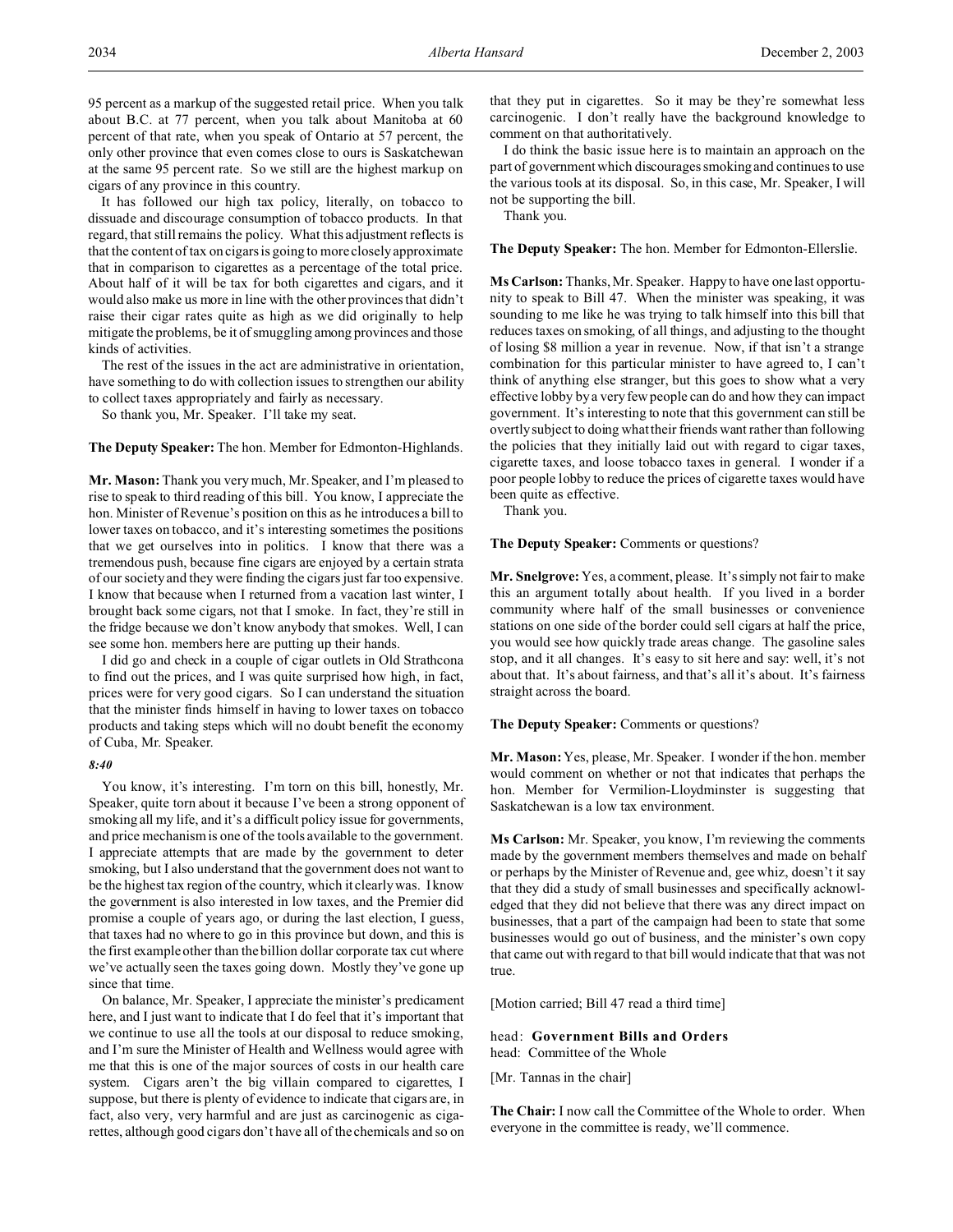95 percent as a markup of the suggested retail price. When you talk about B.C. at 77 percent, when you talk about Manitoba at 60 percent of that rate, when you speak of Ontario at 57 percent, the only other province that even comes close to ours is Saskatchewan at the same 95 percent rate. So we still are the highest markup on cigars of any province in this country.

It has followed our high tax policy, literally, on tobacco to dissuade and discourage consumption of tobacco products. In that regard, that still remains the policy. What this adjustment reflects is that the content of tax on cigars is going to more closely approximate that in comparison to cigarettes as a percentage of the total price. About half of it will be tax for both cigarettes and cigars, and it would also make us more in line with the other provinces that didn't raise their cigar rates quite as high as we did originally to help mitigate the problems, be it of smuggling among provinces and those kinds of activities.

The rest of the issues in the act are administrative in orientation, have something to do with collection issues to strengthen our ability to collect taxes appropriately and fairly as necessary.

So thank you, Mr. Speaker. I'll take my seat.

**The Deputy Speaker:** The hon. Member for Edmonton-Highlands.

**Mr. Mason:** Thank you very much, Mr. Speaker, and I'm pleased to rise to speak to third reading of this bill. You know, I appreciate the hon. Minister of Revenue's position on this as he introduces a bill to lower taxes on tobacco, and it's interesting sometimes the positions that we get ourselves into in politics. I know that there was a tremendous push, because fine cigars are enjoyed by a certain strata of our society and they were finding the cigars just far too expensive. I know that because when I returned from a vacation last winter, I brought back some cigars, not that I smoke. In fact, they're still in the fridge because we don't know anybody that smokes. Well, I can see some hon. members here are putting up their hands.

I did go and check in a couple of cigar outlets in Old Strathcona to find out the prices, and I was quite surprised how high, in fact, prices were for very good cigars. So I can understand the situation that the minister finds himself in having to lower taxes on tobacco products and taking steps which will no doubt benefit the economy of Cuba, Mr. Speaker.

# *8:40*

You know, it's interesting. I'm torn on this bill, honestly, Mr. Speaker, quite torn about it because I've been a strong opponent of smoking all my life, and it's a difficult policy issue for governments, and price mechanism is one of the tools available to the government. I appreciate attempts that are made by the government to deter smoking, but I also understand that the government does not want to be the highest tax region of the country, which it clearly was. I know the government is also interested in low taxes, and the Premier did promise a couple of years ago, or during the last election, I guess, that taxes had no where to go in this province but down, and this is the first example other than the billion dollar corporate tax cut where we've actually seen the taxes going down. Mostly they've gone up since that time.

On balance, Mr. Speaker, I appreciate the minister's predicament here, and I just want to indicate that I do feel that it's important that we continue to use all the tools at our disposal to reduce smoking, and I'm sure the Minister of Health and Wellness would agree with me that this is one of the major sources of costs in our health care system. Cigars aren't the big villain compared to cigarettes, I suppose, but there is plenty of evidence to indicate that cigars are, in fact, also very, very harmful and are just as carcinogenic as cigarettes, although good cigars don't have all of the chemicals and so on that they put in cigarettes. So it may be they're somewhat less carcinogenic. I don't really have the background knowledge to comment on that authoritatively.

I do think the basic issue here is to maintain an approach on the part of government which discourages smoking and continues to use the various tools at its disposal. So, in this case, Mr. Speaker, I will not be supporting the bill.

Thank you.

**The Deputy Speaker:** The hon. Member for Edmonton-Ellerslie.

**Ms Carlson:** Thanks, Mr. Speaker. Happy to have one last opportunity to speak to Bill 47. When the minister was speaking, it was sounding to me like he was trying to talk himself into this bill that reduces taxes on smoking, of all things, and adjusting to the thought of losing \$8 million a year in revenue. Now, if that isn't a strange combination for this particular minister to have agreed to, I can't think of anything else stranger, but this goes to show what a very effective lobby by a very few people can do and how they can impact government. It's interesting to note that this government can still be overtly subject to doing what their friends want rather than following the policies that they initially laid out with regard to cigar taxes, cigarette taxes, and loose tobacco taxes in general. I wonder if a poor people lobby to reduce the prices of cigarette taxes would have been quite as effective.

Thank you.

**The Deputy Speaker:** Comments or questions?

**Mr. Snelgrove:** Yes, a comment, please. It's simply not fair to make this an argument totally about health. If you lived in a border community where half of the small businesses or convenience stations on one side of the border could sell cigars at half the price, you would see how quickly trade areas change. The gasoline sales stop, and it all changes. It's easy to sit here and say: well, it's not about that. It's about fairness, and that's all it's about. It's fairness straight across the board.

**The Deputy Speaker:** Comments or questions?

**Mr. Mason:** Yes, please, Mr. Speaker. I wonder if the hon. member would comment on whether or not that indicates that perhaps the hon. Member for Vermilion-Lloydminster is suggesting that Saskatchewan is a low tax environment.

**Ms Carlson:** Mr. Speaker, you know, I'm reviewing the comments made by the government members themselves and made on behalf or perhaps by the Minister of Revenue and, gee whiz, doesn't it say that they did a study of small businesses and specifically acknowledged that they did not believe that there was any direct impact on businesses, that a part of the campaign had been to state that some businesses would go out of business, and the minister's own copy that came out with regard to that bill would indicate that that was not true.

[Motion carried; Bill 47 read a third time]

head: **Government Bills and Orders** head: Committee of the Whole

[Mr. Tannas in the chair]

**The Chair:** I now call the Committee of the Whole to order. When everyone in the committee is ready, we'll commence.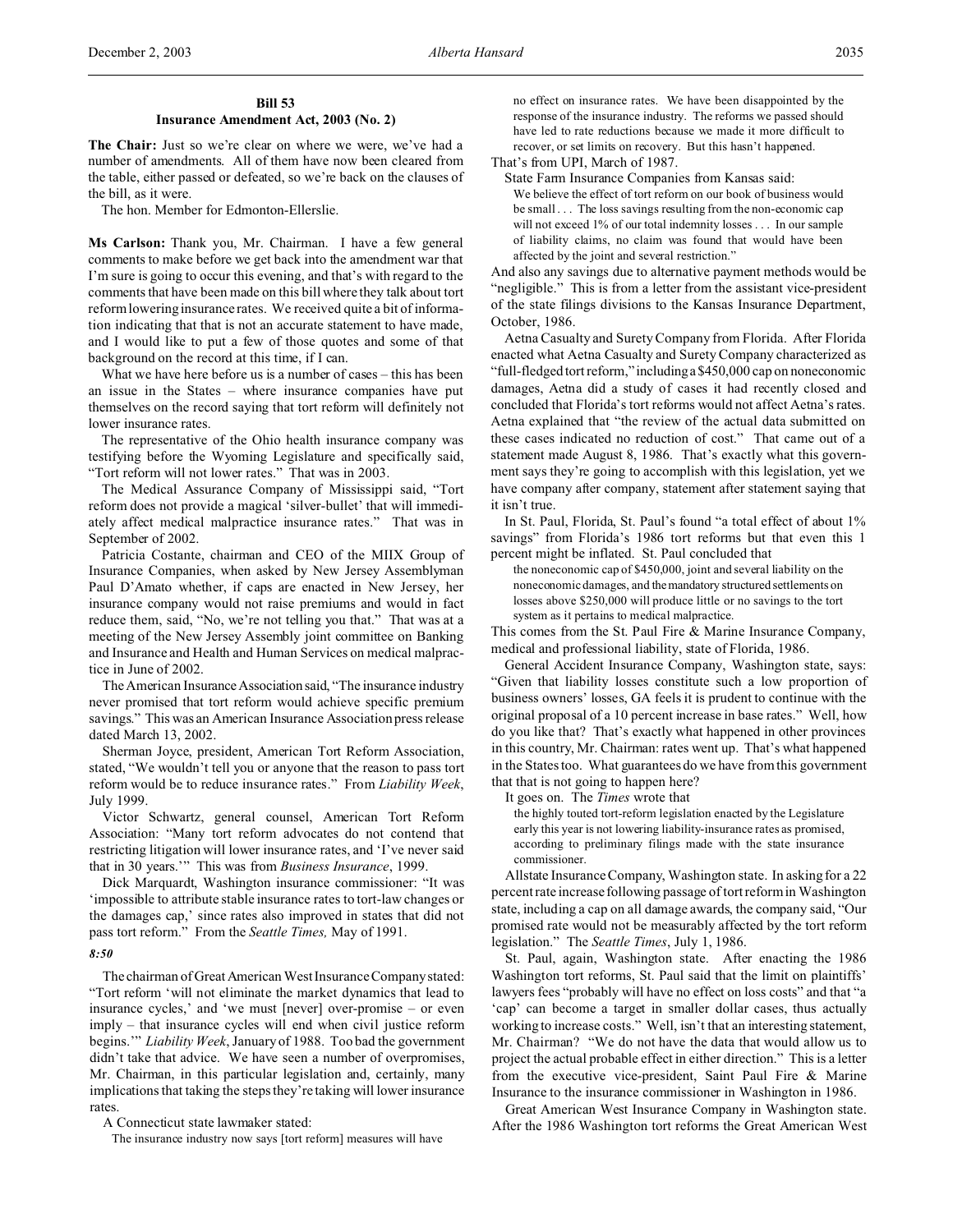# **Bill 53 Insurance Amendment Act, 2003 (No. 2)**

The Chair: Just so we're clear on where we were, we've had a number of amendments. All of them have now been cleared from the table, either passed or defeated, so we're back on the clauses of the bill, as it were.

The hon. Member for Edmonton-Ellerslie.

**Ms Carlson:** Thank you, Mr. Chairman. I have a few general comments to make before we get back into the amendment war that I'm sure is going to occur this evening, and that's with regard to the comments that have been made on this bill where they talk about tort reform lowering insurance rates. We received quite a bit of information indicating that that is not an accurate statement to have made, and I would like to put a few of those quotes and some of that background on the record at this time, if I can.

What we have here before us is a number of cases – this has been an issue in the States – where insurance companies have put themselves on the record saying that tort reform will definitely not lower insurance rates.

The representative of the Ohio health insurance company was testifying before the Wyoming Legislature and specifically said, "Tort reform will not lower rates." That was in 2003.

The Medical Assurance Company of Mississippi said, "Tort reform does not provide a magical 'silver-bullet' that will immediately affect medical malpractice insurance rates." That was in September of 2002.

Patricia Costante, chairman and CEO of the MIIX Group of Insurance Companies, when asked by New Jersey Assemblyman Paul D'Amato whether, if caps are enacted in New Jersey, her insurance company would not raise premiums and would in fact reduce them, said, "No, we're not telling you that." That was at a meeting of the New Jersey Assembly joint committee on Banking and Insurance and Health and Human Services on medical malpractice in June of 2002.

The American Insurance Association said, "The insurance industry never promised that tort reform would achieve specific premium savings." This was an American Insurance Association press release dated March 13, 2002.

Sherman Joyce, president, American Tort Reform Association, stated, "We wouldn't tell you or anyone that the reason to pass tort reform would be to reduce insurance rates." From *Liability Week*, July 1999.

Victor Schwartz, general counsel, American Tort Reform Association: "Many tort reform advocates do not contend that restricting litigation will lower insurance rates, and 'I've never said that in 30 years.'" This was from *Business Insurance*, 1999.

Dick Marquardt, Washington insurance commissioner: "It was 'impossible to attribute stable insurance rates to tort-law changes or the damages cap,' since rates also improved in states that did not pass tort reform." From the *Seattle Times,* May of 1991.

#### *8:50*

The chairman of Great American West Insurance Company stated: "Tort reform 'will not eliminate the market dynamics that lead to insurance cycles,' and 'we must [never] over-promise – or even imply – that insurance cycles will end when civil justice reform begins.'" *Liability Week*, January of 1988. Too bad the government didn't take that advice. We have seen a number of overpromises, Mr. Chairman, in this particular legislation and, certainly, many implications that taking the steps they're taking will lower insurance rates.

A Connecticut state lawmaker stated:

The insurance industry now says [tort reform] measures will have

no effect on insurance rates. We have been disappointed by the response of the insurance industry. The reforms we passed should have led to rate reductions because we made it more difficult to recover, or set limits on recovery. But this hasn't happened.

That's from UPI, March of 1987.

State Farm Insurance Companies from Kansas said: We believe the effect of tort reform on our book of business would be small . . . The loss savings resulting from the non-economic cap will not exceed 1% of our total indemnity losses . . . In our sample of liability claims, no claim was found that would have been affected by the joint and several restriction."

And also any savings due to alternative payment methods would be "negligible." This is from a letter from the assistant vice-president of the state filings divisions to the Kansas Insurance Department, October, 1986.

Aetna Casualty and Surety Company from Florida. After Florida enacted what Aetna Casualty and Surety Company characterized as "full-fledged tort reform," includinga \$450,000 cap on noneconomic damages, Aetna did a study of cases it had recently closed and concluded that Florida's tort reforms would not affect Aetna's rates. Aetna explained that "the review of the actual data submitted on these cases indicated no reduction of cost." That came out of a statement made August 8, 1986. That's exactly what this government says they're going to accomplish with this legislation, yet we have company after company, statement after statement saying that it isn't true.

In St. Paul, Florida, St. Paul's found "a total effect of about 1% savings" from Florida's 1986 tort reforms but that even this 1 percent might be inflated. St. Paul concluded that

the noneconomic cap of \$450,000, joint and several liability on the noneconomic damages, and themandatory structured settlements on losses above \$250,000 will produce little or no savings to the tort system as it pertains to medical malpractice.

This comes from the St. Paul Fire & Marine Insurance Company, medical and professional liability, state of Florida, 1986.

General Accident Insurance Company, Washington state, says: "Given that liability losses constitute such a low proportion of business owners' losses, GA feels it is prudent to continue with the original proposal of a 10 percent increase in base rates." Well, how do you like that? That's exactly what happened in other provinces in this country, Mr. Chairman: rates went up. That's what happened in the States too. What guarantees do we have from this government that that is not going to happen here?

It goes on. The *Times* wrote that

the highly touted tort-reform legislation enacted by the Legislature early this year is not lowering liability-insurance rates as promised, according to preliminary filings made with the state insurance commissioner.

Allstate Insurance Company, Washington state. In asking for a 22 percent rate increase following passage of tort reform in Washington state, including a cap on all damage awards, the company said, "Our promised rate would not be measurably affected by the tort reform legislation." The *Seattle Times*, July 1, 1986.

St. Paul, again, Washington state. After enacting the 1986 Washington tort reforms, St. Paul said that the limit on plaintiffs' lawyers fees "probably will have no effect on loss costs" and that "a 'cap' can become a target in smaller dollar cases, thus actually working to increase costs." Well, isn't that an interesting statement, Mr. Chairman? "We do not have the data that would allow us to project the actual probable effect in either direction." This is a letter from the executive vice-president, Saint Paul Fire & Marine Insurance to the insurance commissioner in Washington in 1986.

Great American West Insurance Company in Washington state. After the 1986 Washington tort reforms the Great American West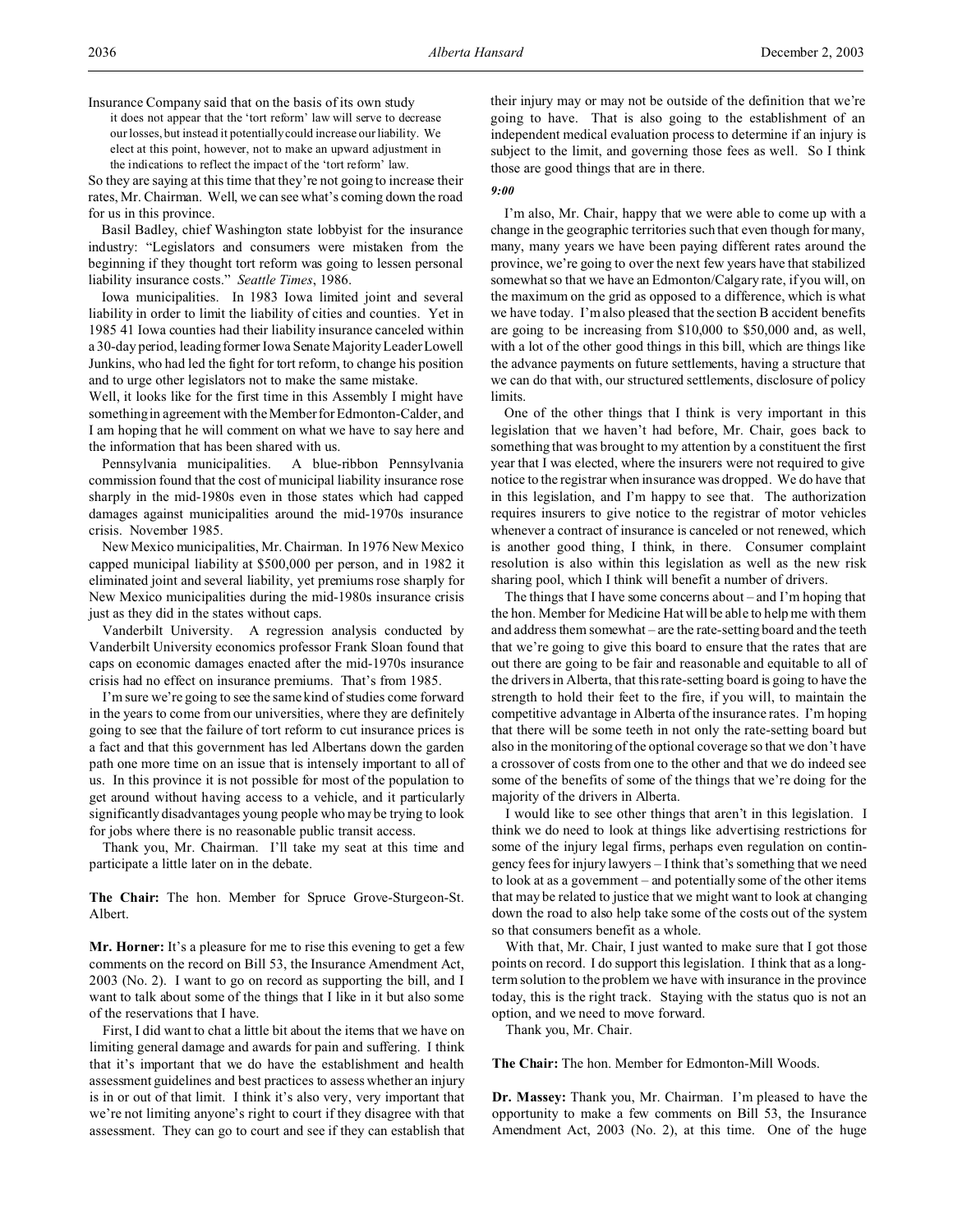Insurance Company said that on the basis of its own study it does not appear that the 'tort reform' law will serve to decrease our losses, but instead it potentially could increase our liability. We elect at this point, however, not to make an upward adjustment in the indications to reflect the impact of the 'tort reform' law.

So they are saying at this time that they're not going to increase their rates, Mr. Chairman. Well, we can see what's coming down the road for us in this province.

Basil Badley, chief Washington state lobbyist for the insurance industry: "Legislators and consumers were mistaken from the beginning if they thought tort reform was going to lessen personal liability insurance costs." *Seattle Times*, 1986.

Iowa municipalities. In 1983 Iowa limited joint and several liability in order to limit the liability of cities and counties. Yet in 1985 41 Iowa counties had their liability insurance canceled within a 30-day period, leading former Iowa Senate Majority Leader Lowell Junkins, who had led the fight for tort reform, to change his position and to urge other legislators not to make the same mistake.

Well, it looks like for the first time in this Assembly I might have something in agreement with the Member for Edmonton-Calder, and I am hoping that he will comment on what we have to say here and the information that has been shared with us.

Pennsylvania municipalities. A blue-ribbon Pennsylvania commission found that the cost of municipal liability insurance rose sharply in the mid-1980s even in those states which had capped damages against municipalities around the mid-1970s insurance crisis. November 1985.

New Mexico municipalities, Mr. Chairman. In 1976 New Mexico capped municipal liability at \$500,000 per person, and in 1982 it eliminated joint and several liability, yet premiums rose sharply for New Mexico municipalities during the mid-1980s insurance crisis just as they did in the states without caps.

Vanderbilt University. A regression analysis conducted by Vanderbilt University economics professor Frank Sloan found that caps on economic damages enacted after the mid-1970s insurance crisis had no effect on insurance premiums. That's from 1985.

I'm sure we're going to see the same kind of studies come forward in the years to come from our universities, where they are definitely going to see that the failure of tort reform to cut insurance prices is a fact and that this government has led Albertans down the garden path one more time on an issue that is intensely important to all of us. In this province it is not possible for most of the population to get around without having access to a vehicle, and it particularly significantly disadvantages young people who may be trying to look for jobs where there is no reasonable public transit access.

Thank you, Mr. Chairman. I'll take my seat at this time and participate a little later on in the debate.

**The Chair:** The hon. Member for Spruce Grove-Sturgeon-St. Albert.

**Mr. Horner:** It's a pleasure for me to rise this evening to get a few comments on the record on Bill 53, the Insurance Amendment Act, 2003 (No. 2). I want to go on record as supporting the bill, and I want to talk about some of the things that I like in it but also some of the reservations that I have.

First, I did want to chat a little bit about the items that we have on limiting general damage and awards for pain and suffering. I think that it's important that we do have the establishment and health assessment guidelines and best practices to assess whether an injury is in or out of that limit. I think it's also very, very important that we're not limiting anyone's right to court if they disagree with that assessment. They can go to court and see if they can establish that

their injury may or may not be outside of the definition that we're going to have. That is also going to the establishment of an independent medical evaluation process to determine if an injury is subject to the limit, and governing those fees as well. So I think those are good things that are in there.

# *9:00*

I'm also, Mr. Chair, happy that we were able to come up with a change in the geographic territories such that even though for many, many, many years we have been paying different rates around the province, we're going to over the next few years have that stabilized somewhat so that we have an Edmonton/Calgary rate, if you will, on the maximum on the grid as opposed to a difference, which is what we have today. I'm also pleased that the section B accident benefits are going to be increasing from \$10,000 to \$50,000 and, as well, with a lot of the other good things in this bill, which are things like the advance payments on future settlements, having a structure that we can do that with, our structured settlements, disclosure of policy limits.

One of the other things that I think is very important in this legislation that we haven't had before, Mr. Chair, goes back to something that was brought to my attention by a constituent the first year that I was elected, where the insurers were not required to give notice to the registrar when insurance was dropped. We do have that in this legislation, and I'm happy to see that. The authorization requires insurers to give notice to the registrar of motor vehicles whenever a contract of insurance is canceled or not renewed, which is another good thing, I think, in there. Consumer complaint resolution is also within this legislation as well as the new risk sharing pool, which I think will benefit a number of drivers.

The things that I have some concerns about – and I'm hoping that the hon. Member for Medicine Hat will be able to help me with them and address them somewhat – are the rate-setting board and the teeth that we're going to give this board to ensure that the rates that are out there are going to be fair and reasonable and equitable to all of the drivers in Alberta, that this rate-setting board is going to have the strength to hold their feet to the fire, if you will, to maintain the competitive advantage in Alberta of the insurance rates. I'm hoping that there will be some teeth in not only the rate-setting board but also in the monitoring of the optional coverage so that we don't have a crossover of costs from one to the other and that we do indeed see some of the benefits of some of the things that we're doing for the majority of the drivers in Alberta.

I would like to see other things that aren't in this legislation. I think we do need to look at things like advertising restrictions for some of the injury legal firms, perhaps even regulation on contingency fees for injury lawyers – I think that's something that we need to look at as a government – and potentially some of the other items that may be related to justice that we might want to look at changing down the road to also help take some of the costs out of the system so that consumers benefit as a whole.

With that, Mr. Chair, I just wanted to make sure that I got those points on record. I do support this legislation. I think that as a longterm solution to the problem we have with insurance in the province today, this is the right track. Staying with the status quo is not an option, and we need to move forward.

Thank you, Mr. Chair.

**The Chair:** The hon. Member for Edmonton-Mill Woods.

**Dr. Massey:** Thank you, Mr. Chairman. I'm pleased to have the opportunity to make a few comments on Bill 53, the Insurance Amendment Act, 2003 (No. 2), at this time. One of the huge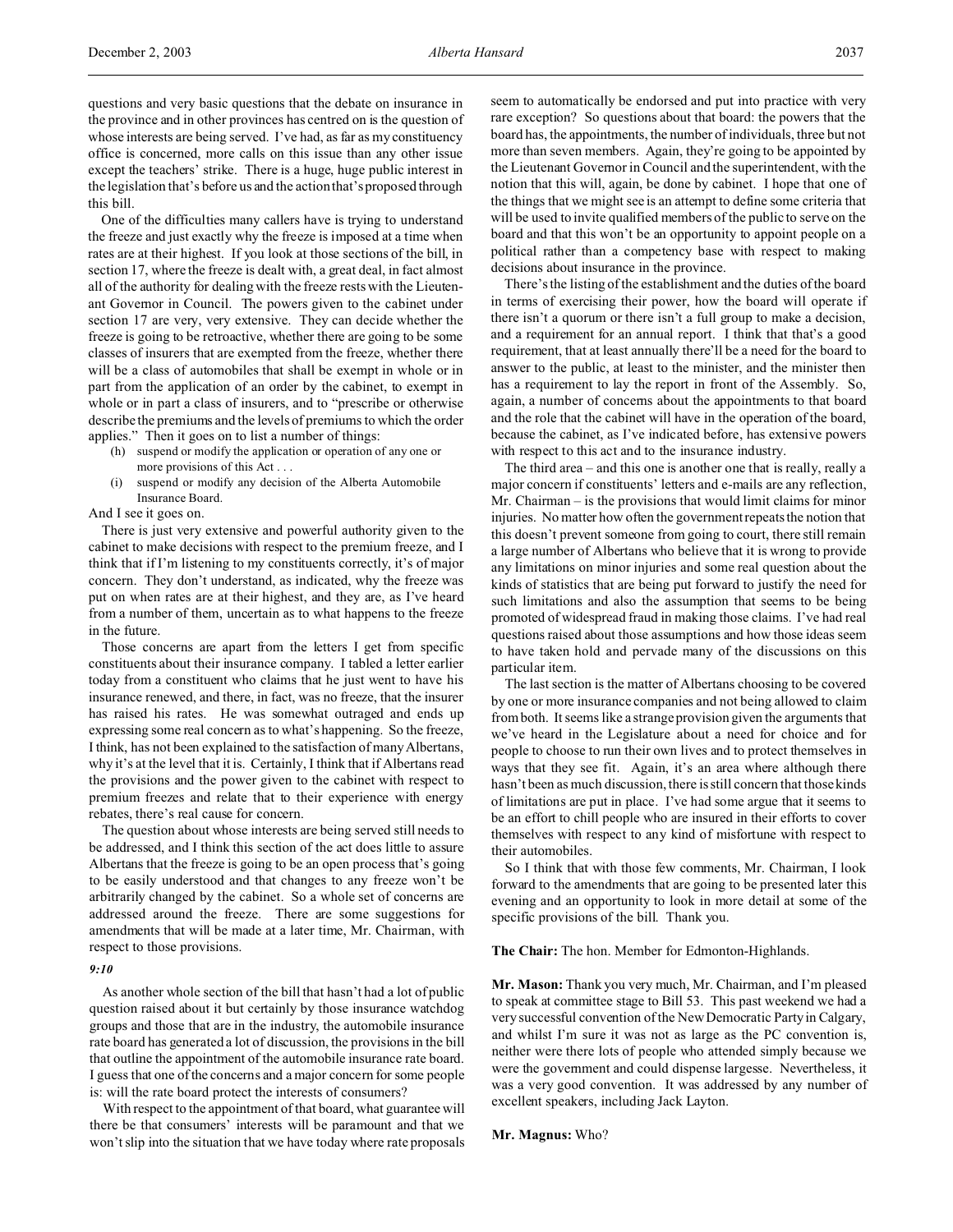One of the difficulties many callers have is trying to understand the freeze and just exactly why the freeze is imposed at a time when rates are at their highest. If you look at those sections of the bill, in section 17, where the freeze is dealt with, a great deal, in fact almost all of the authority for dealing with the freeze rests with the Lieutenant Governor in Council. The powers given to the cabinet under section 17 are very, very extensive. They can decide whether the freeze is going to be retroactive, whether there are going to be some classes of insurers that are exempted from the freeze, whether there will be a class of automobiles that shall be exempt in whole or in part from the application of an order by the cabinet, to exempt in whole or in part a class of insurers, and to "prescribe or otherwise describe the premiums and the levels of premiums to which the order applies." Then it goes on to list a number of things:

- (h) suspend or modify the application or operation of any one or more provisions of this Act . . .
- (i) suspend or modify any decision of the Alberta Automobile Insurance Board.

And I see it goes on.

There is just very extensive and powerful authority given to the cabinet to make decisions with respect to the premium freeze, and I think that if I'm listening to my constituents correctly, it's of major concern. They don't understand, as indicated, why the freeze was put on when rates are at their highest, and they are, as I've heard from a number of them, uncertain as to what happens to the freeze in the future.

Those concerns are apart from the letters I get from specific constituents about their insurance company. I tabled a letter earlier today from a constituent who claims that he just went to have his insurance renewed, and there, in fact, was no freeze, that the insurer has raised his rates. He was somewhat outraged and ends up expressing some real concern as to what's happening. So the freeze, I think, has not been explained to the satisfaction of many Albertans, why it's at the level that it is. Certainly, I think that if Albertans read the provisions and the power given to the cabinet with respect to premium freezes and relate that to their experience with energy rebates, there's real cause for concern.

The question about whose interests are being served still needs to be addressed, and I think this section of the act does little to assure Albertans that the freeze is going to be an open process that's going to be easily understood and that changes to any freeze won't be arbitrarily changed by the cabinet. So a whole set of concerns are addressed around the freeze. There are some suggestions for amendments that will be made at a later time, Mr. Chairman, with respect to those provisions.

#### *9:10*

As another whole section of the bill that hasn't had a lot of public question raised about it but certainly by those insurance watchdog groups and those that are in the industry, the automobile insurance rate board has generated a lot of discussion, the provisions in the bill that outline the appointment of the automobile insurance rate board. I guess that one of the concerns and a major concern for some people is: will the rate board protect the interests of consumers?

With respect to the appointment of that board, what guarantee will there be that consumers' interests will be paramount and that we won't slip into the situation that we have today where rate proposals seem to automatically be endorsed and put into practice with very rare exception? So questions about that board: the powers that the board has, the appointments, the number of individuals, three but not more than seven members. Again, they're going to be appointed by the Lieutenant Governor in Council and the superintendent, with the notion that this will, again, be done by cabinet. I hope that one of the things that we might see is an attempt to define some criteria that will be used to invite qualified members of the public to serve on the board and that this won't be an opportunity to appoint people on a political rather than a competency base with respect to making decisions about insurance in the province.

There's the listing of the establishment and the duties of the board in terms of exercising their power, how the board will operate if there isn't a quorum or there isn't a full group to make a decision, and a requirement for an annual report. I think that that's a good requirement, that at least annually there'll be a need for the board to answer to the public, at least to the minister, and the minister then has a requirement to lay the report in front of the Assembly. So, again, a number of concerns about the appointments to that board and the role that the cabinet will have in the operation of the board, because the cabinet, as I've indicated before, has extensive powers with respect to this act and to the insurance industry.

The third area – and this one is another one that is really, really a major concern if constituents' letters and e-mails are any reflection, Mr. Chairman – is the provisions that would limit claims for minor injuries. No matter how often the government repeats the notion that this doesn't prevent someone from going to court, there still remain a large number of Albertans who believe that it is wrong to provide any limitations on minor injuries and some real question about the kinds of statistics that are being put forward to justify the need for such limitations and also the assumption that seems to be being promoted of widespread fraud in making those claims. I've had real questions raised about those assumptions and how those ideas seem to have taken hold and pervade many of the discussions on this particular item.

The last section is the matter of Albertans choosing to be covered by one or more insurance companies and not being allowed to claim from both. It seems like a strange provision given the arguments that we've heard in the Legislature about a need for choice and for people to choose to run their own lives and to protect themselves in ways that they see fit. Again, it's an area where although there hasn't been as much discussion, there is still concern that those kinds of limitations are put in place. I've had some argue that it seems to be an effort to chill people who are insured in their efforts to cover themselves with respect to any kind of misfortune with respect to their automobiles.

So I think that with those few comments, Mr. Chairman, I look forward to the amendments that are going to be presented later this evening and an opportunity to look in more detail at some of the specific provisions of the bill. Thank you.

**The Chair:** The hon. Member for Edmonton-Highlands.

**Mr. Mason:** Thank you very much, Mr. Chairman, and I'm pleased to speak at committee stage to Bill 53. This past weekend we had a very successful convention of the New Democratic Party in Calgary, and whilst I'm sure it was not as large as the PC convention is, neither were there lots of people who attended simply because we were the government and could dispense largesse. Nevertheless, it was a very good convention. It was addressed by any number of excellent speakers, including Jack Layton.

#### **Mr. Magnus:** Who?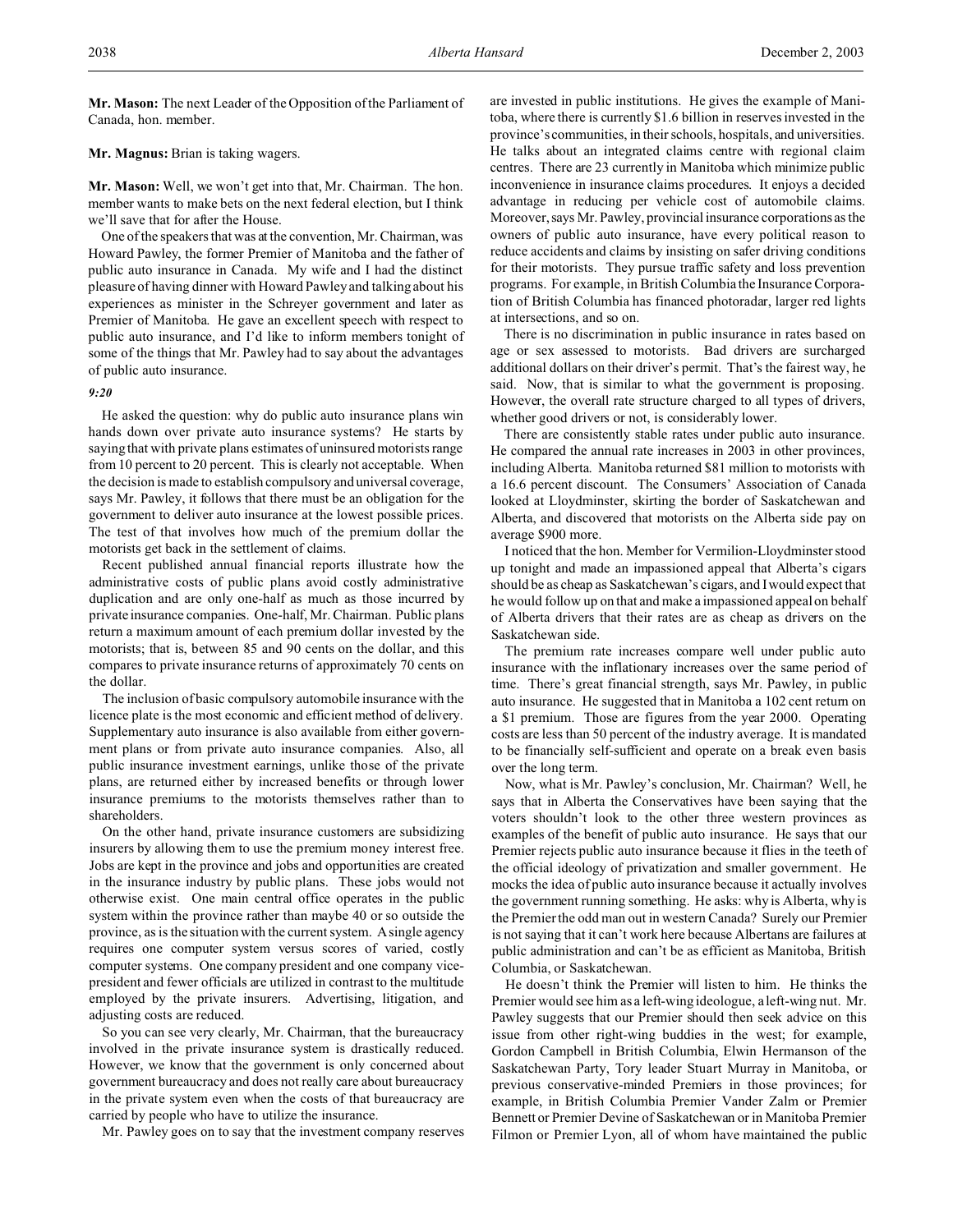**Mr. Mason:** The next Leader of the Opposition of the Parliament of Canada, hon. member.

## **Mr. Magnus:** Brian is taking wagers.

**Mr. Mason:** Well, we won't get into that, Mr. Chairman. The hon. member wants to make bets on the next federal election, but I think we'll save that for after the House.

One of the speakers that was at the convention, Mr. Chairman, was Howard Pawley, the former Premier of Manitoba and the father of public auto insurance in Canada. My wife and I had the distinct pleasure of having dinner with Howard Pawley and talking about his experiences as minister in the Schreyer government and later as Premier of Manitoba. He gave an excellent speech with respect to public auto insurance, and I'd like to inform members tonight of some of the things that Mr. Pawley had to say about the advantages of public auto insurance.

#### *9:20*

He asked the question: why do public auto insurance plans win hands down over private auto insurance systems? He starts by saying that with private plans estimates of uninsured motorists range from 10 percent to 20 percent. This is clearly not acceptable. When the decision is made to establish compulsory and universal coverage, says Mr. Pawley, it follows that there must be an obligation for the government to deliver auto insurance at the lowest possible prices. The test of that involves how much of the premium dollar the motorists get back in the settlement of claims.

Recent published annual financial reports illustrate how the administrative costs of public plans avoid costly administrative duplication and are only one-half as much as those incurred by private insurance companies. One-half, Mr. Chairman. Public plans return a maximum amount of each premium dollar invested by the motorists; that is, between 85 and 90 cents on the dollar, and this compares to private insurance returns of approximately 70 cents on the dollar.

The inclusion of basic compulsory automobile insurance with the licence plate is the most economic and efficient method of delivery. Supplementary auto insurance is also available from either government plans or from private auto insurance companies. Also, all public insurance investment earnings, unlike those of the private plans, are returned either by increased benefits or through lower insurance premiums to the motorists themselves rather than to shareholders.

On the other hand, private insurance customers are subsidizing insurers by allowing them to use the premium money interest free. Jobs are kept in the province and jobs and opportunities are created in the insurance industry by public plans. These jobs would not otherwise exist. One main central office operates in the public system within the province rather than maybe 40 or so outside the province, as is the situation with the current system. A single agency requires one computer system versus scores of varied, costly computer systems. One company president and one company vicepresident and fewer officials are utilized in contrast to the multitude employed by the private insurers. Advertising, litigation, and adjusting costs are reduced.

So you can see very clearly, Mr. Chairman, that the bureaucracy involved in the private insurance system is drastically reduced. However, we know that the government is only concerned about government bureaucracy and does not really care about bureaucracy in the private system even when the costs of that bureaucracy are carried by people who have to utilize the insurance.

Mr. Pawley goes on to say that the investment company reserves

are invested in public institutions. He gives the example of Manitoba, where there is currently \$1.6 billion in reserves invested in the province's communities, in their schools, hospitals, and universities. He talks about an integrated claims centre with regional claim centres. There are 23 currently in Manitoba which minimize public inconvenience in insurance claims procedures. It enjoys a decided advantage in reducing per vehicle cost of automobile claims. Moreover, says Mr. Pawley, provincial insurance corporations as the owners of public auto insurance, have every political reason to reduce accidents and claims by insisting on safer driving conditions for their motorists. They pursue traffic safety and loss prevention programs. For example, in British Columbia the Insurance Corporation of British Columbia has financed photoradar, larger red lights at intersections, and so on.

There is no discrimination in public insurance in rates based on age or sex assessed to motorists. Bad drivers are surcharged additional dollars on their driver's permit. That's the fairest way, he said. Now, that is similar to what the government is proposing. However, the overall rate structure charged to all types of drivers, whether good drivers or not, is considerably lower.

There are consistently stable rates under public auto insurance. He compared the annual rate increases in 2003 in other provinces, including Alberta. Manitoba returned \$81 million to motorists with a 16.6 percent discount. The Consumers' Association of Canada looked at Lloydminster, skirting the border of Saskatchewan and Alberta, and discovered that motorists on the Alberta side pay on average \$900 more.

I noticed that the hon. Member for Vermilion-Lloydminster stood up tonight and made an impassioned appeal that Alberta's cigars should be as cheap as Saskatchewan's cigars, and I would expect that he would follow up on that and make a impassioned appeal on behalf of Alberta drivers that their rates are as cheap as drivers on the Saskatchewan side.

The premium rate increases compare well under public auto insurance with the inflationary increases over the same period of time. There's great financial strength, says Mr. Pawley, in public auto insurance. He suggested that in Manitoba a 102 cent return on a \$1 premium. Those are figures from the year 2000. Operating costs are less than 50 percent of the industry average. It is mandated to be financially self-sufficient and operate on a break even basis over the long term.

Now, what is Mr. Pawley's conclusion, Mr. Chairman? Well, he says that in Alberta the Conservatives have been saying that the voters shouldn't look to the other three western provinces as examples of the benefit of public auto insurance. He says that our Premier rejects public auto insurance because it flies in the teeth of the official ideology of privatization and smaller government. He mocks the idea of public auto insurance because it actually involves the government running something. He asks: why is Alberta, why is the Premier the odd man out in western Canada? Surely our Premier is not saying that it can't work here because Albertans are failures at public administration and can't be as efficient as Manitoba, British Columbia, or Saskatchewan.

He doesn't think the Premier will listen to him. He thinks the Premier would see him as a left-wing ideologue, a left-wing nut. Mr. Pawley suggests that our Premier should then seek advice on this issue from other right-wing buddies in the west; for example, Gordon Campbell in British Columbia, Elwin Hermanson of the Saskatchewan Party, Tory leader Stuart Murray in Manitoba, or previous conservative-minded Premiers in those provinces; for example, in British Columbia Premier Vander Zalm or Premier Bennett or Premier Devine of Saskatchewan or in Manitoba Premier Filmon or Premier Lyon, all of whom have maintained the public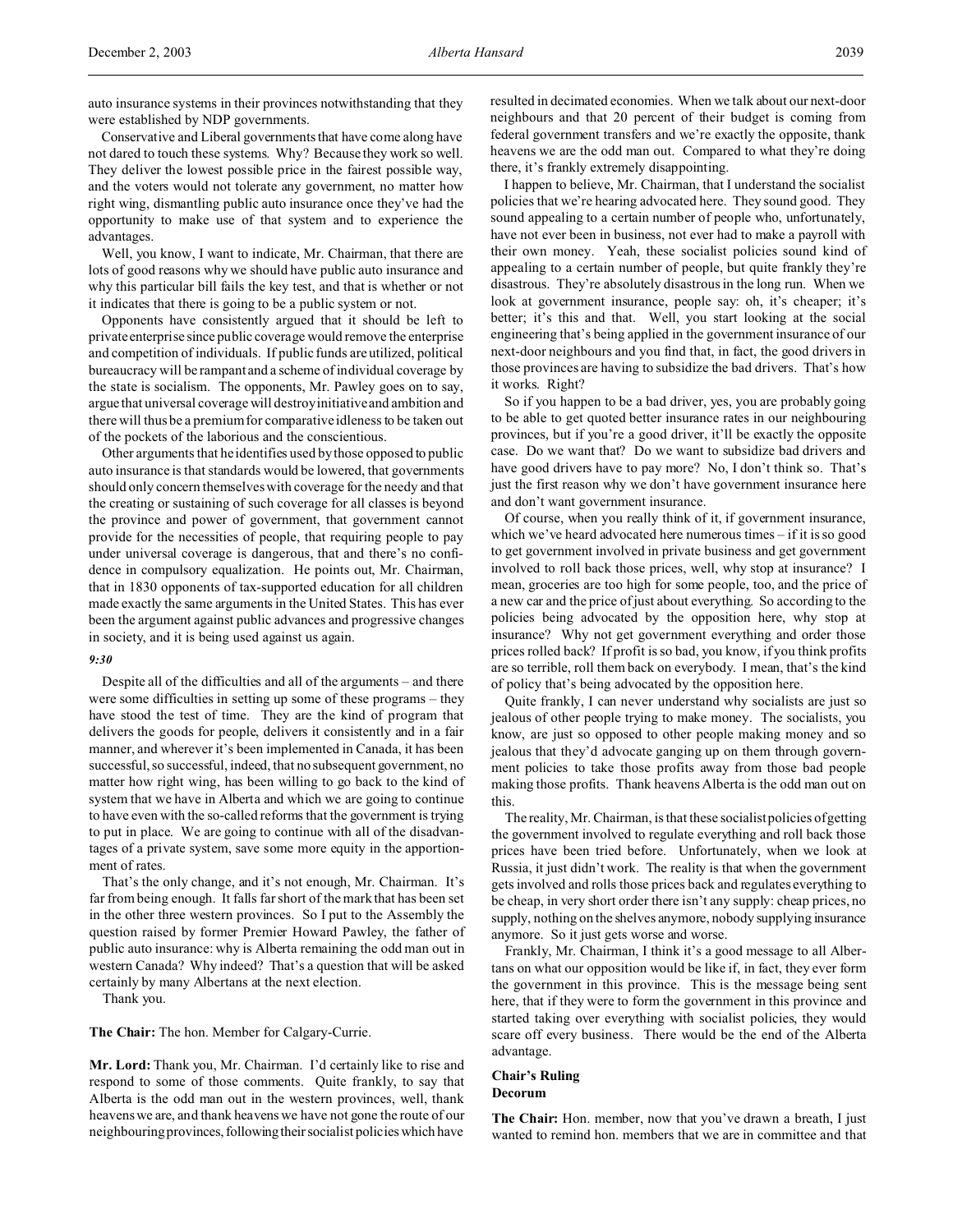auto insurance systems in their provinces notwithstanding that they were established by NDP governments.

Conservative and Liberal governments that have come along have not dared to touch these systems. Why? Because they work so well. They deliver the lowest possible price in the fairest possible way, and the voters would not tolerate any government, no matter how right wing, dismantling public auto insurance once they've had the opportunity to make use of that system and to experience the advantages.

Well, you know, I want to indicate, Mr. Chairman, that there are lots of good reasons why we should have public auto insurance and why this particular bill fails the key test, and that is whether or not it indicates that there is going to be a public system or not.

Opponents have consistently argued that it should be left to private enterprise since public coverage would remove the enterprise and competition of individuals. If public funds are utilized, political bureaucracy will be rampant and a scheme of individual coverage by the state is socialism. The opponents, Mr. Pawley goes on to say, argue that universal coverage will destroy initiative and ambition and there will thus be a premium for comparative idleness to be taken out of the pockets of the laborious and the conscientious.

Other arguments that he identifies used by those opposed to public auto insurance is that standards would be lowered, that governments should only concern themselves with coverage for the needy and that the creating or sustaining of such coverage for all classes is beyond the province and power of government, that government cannot provide for the necessities of people, that requiring people to pay under universal coverage is dangerous, that and there's no confidence in compulsory equalization. He points out, Mr. Chairman, that in 1830 opponents of tax-supported education for all children made exactly the same arguments in the United States. This has ever been the argument against public advances and progressive changes in society, and it is being used against us again.

#### *9:30*

Despite all of the difficulties and all of the arguments – and there were some difficulties in setting up some of these programs – they have stood the test of time. They are the kind of program that delivers the goods for people, delivers it consistently and in a fair manner, and wherever it's been implemented in Canada, it has been successful, so successful, indeed, that no subsequent government, no matter how right wing, has been willing to go back to the kind of system that we have in Alberta and which we are going to continue to have even with the so-called reforms that the government is trying to put in place. We are going to continue with all of the disadvantages of a private system, save some more equity in the apportionment of rates.

That's the only change, and it's not enough, Mr. Chairman. It's far from being enough. It falls far short of the mark that has been set in the other three western provinces. So I put to the Assembly the question raised by former Premier Howard Pawley, the father of public auto insurance: why is Alberta remaining the odd man out in western Canada? Why indeed? That's a question that will be asked certainly by many Albertans at the next election.

Thank you.

**The Chair:** The hon. Member for Calgary-Currie.

**Mr. Lord:** Thank you, Mr. Chairman. I'd certainly like to rise and respond to some of those comments. Quite frankly, to say that Alberta is the odd man out in the western provinces, well, thank heavens we are, and thank heavens we have not gone the route of our neighbouring provinces,following their socialist policies which have

resulted in decimated economies. When we talk about our next-door neighbours and that 20 percent of their budget is coming from federal government transfers and we're exactly the opposite, thank heavens we are the odd man out. Compared to what they're doing there, it's frankly extremely disappointing.

I happen to believe, Mr. Chairman, that I understand the socialist policies that we're hearing advocated here. They sound good. They sound appealing to a certain number of people who, unfortunately, have not ever been in business, not ever had to make a payroll with their own money. Yeah, these socialist policies sound kind of appealing to a certain number of people, but quite frankly they're disastrous. They're absolutely disastrous in the long run. When we look at government insurance, people say: oh, it's cheaper; it's better; it's this and that. Well, you start looking at the social engineering that's being applied in the government insurance of our next-door neighbours and you find that, in fact, the good drivers in those provinces are having to subsidize the bad drivers. That's how it works. Right?

So if you happen to be a bad driver, yes, you are probably going to be able to get quoted better insurance rates in our neighbouring provinces, but if you're a good driver, it'll be exactly the opposite case. Do we want that? Do we want to subsidize bad drivers and have good drivers have to pay more? No, I don't think so. That's just the first reason why we don't have government insurance here and don't want government insurance.

Of course, when you really think of it, if government insurance, which we've heard advocated here numerous times – if it is so good to get government involved in private business and get government involved to roll back those prices, well, why stop at insurance? I mean, groceries are too high for some people, too, and the price of a new car and the price of just about everything. So according to the policies being advocated by the opposition here, why stop at insurance? Why not get government everything and order those prices rolled back? If profit is so bad, you know, if you think profits are so terrible, roll them back on everybody. I mean, that's the kind of policy that's being advocated by the opposition here.

Quite frankly, I can never understand why socialists are just so jealous of other people trying to make money. The socialists, you know, are just so opposed to other people making money and so jealous that they'd advocate ganging up on them through government policies to take those profits away from those bad people making those profits. Thank heavens Alberta is the odd man out on this.

The reality, Mr. Chairman, is that these socialist policies of getting the government involved to regulate everything and roll back those prices have been tried before. Unfortunately, when we look at Russia, it just didn't work. The reality is that when the government gets involved and rolls those prices back and regulates everything to be cheap, in very short order there isn't any supply: cheap prices, no supply, nothing on the shelves anymore, nobody supplying insurance anymore. So it just gets worse and worse.

Frankly, Mr. Chairman, I think it's a good message to all Albertans on what our opposition would be like if, in fact, they ever form the government in this province. This is the message being sent here, that if they were to form the government in this province and started taking over everything with socialist policies, they would scare off every business. There would be the end of the Alberta advantage.

# **Chair's Ruling Decorum**

**The Chair:** Hon. member, now that you've drawn a breath, I just wanted to remind hon. members that we are in committee and that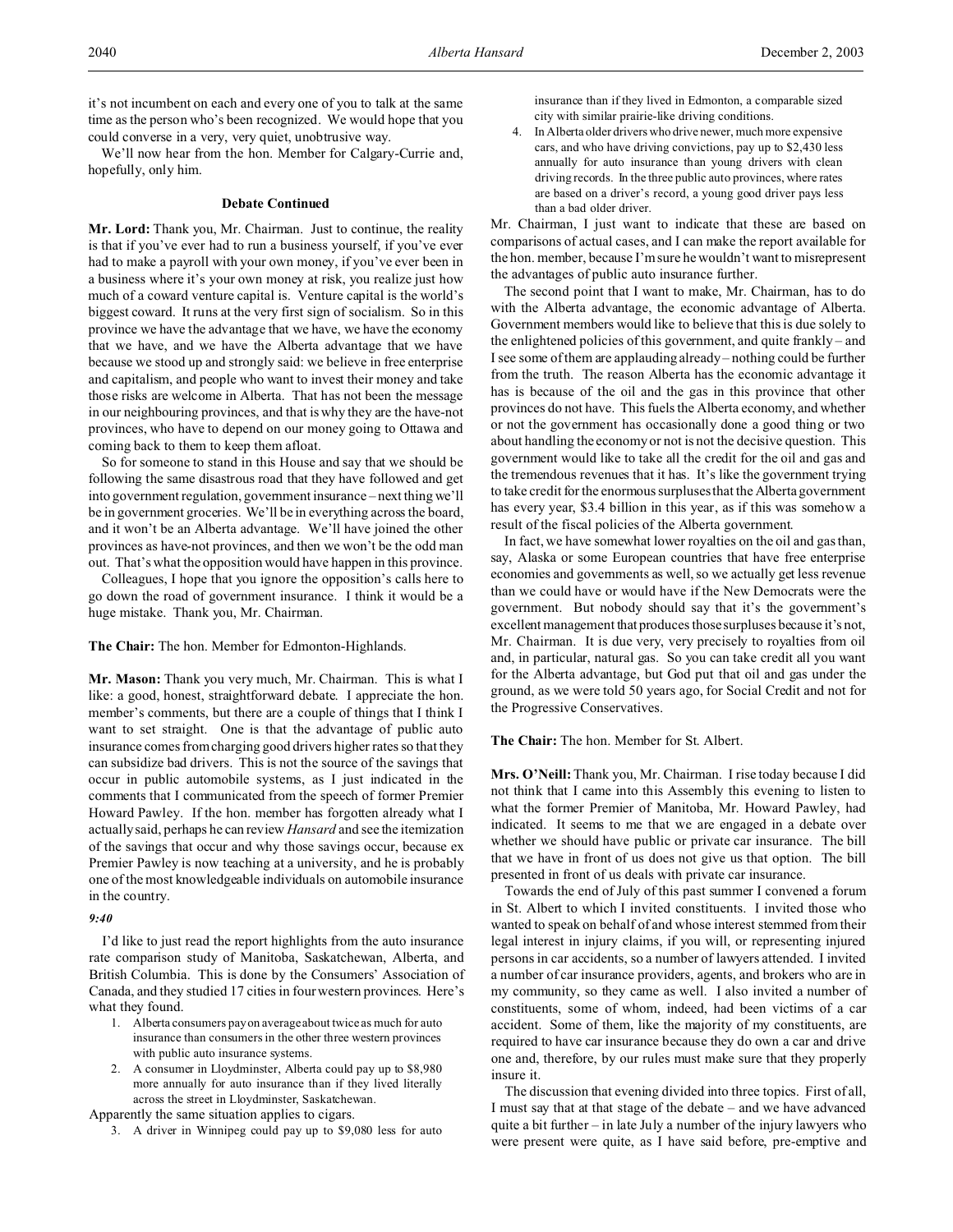We'll now hear from the hon. Member for Calgary-Currie and, hopefully, only him.

## **Debate Continued**

**Mr. Lord:** Thank you, Mr. Chairman. Just to continue, the reality is that if you've ever had to run a business yourself, if you've ever had to make a payroll with your own money, if you've ever been in a business where it's your own money at risk, you realize just how much of a coward venture capital is. Venture capital is the world's biggest coward. It runs at the very first sign of socialism. So in this province we have the advantage that we have, we have the economy that we have, and we have the Alberta advantage that we have because we stood up and strongly said: we believe in free enterprise and capitalism, and people who want to invest their money and take those risks are welcome in Alberta. That has not been the message in our neighbouring provinces, and that is why they are the have-not provinces, who have to depend on our money going to Ottawa and coming back to them to keep them afloat.

So for someone to stand in this House and say that we should be following the same disastrous road that they have followed and get into government regulation, government insurance – next thing we'll be in government groceries. We'll be in everything across the board, and it won't be an Alberta advantage. We'll have joined the other provinces as have-not provinces, and then we won't be the odd man out. That's what the opposition would have happen in this province.

Colleagues, I hope that you ignore the opposition's calls here to go down the road of government insurance. I think it would be a huge mistake. Thank you, Mr. Chairman.

**The Chair:** The hon. Member for Edmonton-Highlands.

**Mr. Mason:** Thank you very much, Mr. Chairman. This is what I like: a good, honest, straightforward debate. I appreciate the hon. member's comments, but there are a couple of things that I think I want to set straight. One is that the advantage of public auto insurance comes from charging good drivers higher rates so that they can subsidize bad drivers. This is not the source of the savings that occur in public automobile systems, as I just indicated in the comments that I communicated from the speech of former Premier Howard Pawley. If the hon. member has forgotten already what I actually said, perhaps he can review *Hansard* and see the itemization of the savings that occur and why those savings occur, because ex Premier Pawley is now teaching at a university, and he is probably one of the most knowledgeable individuals on automobile insurance in the country.

### *9:40*

I'd like to just read the report highlights from the auto insurance rate comparison study of Manitoba, Saskatchewan, Alberta, and British Columbia. This is done by the Consumers' Association of Canada, and they studied 17 cities in four western provinces. Here's what they found.

- 1. Alberta consumers pay on average about twice as much for auto insurance than consumers in the other three western provinces with public auto insurance systems.
- 2. A consumer in Lloydminster, Alberta could pay up to \$8,980 more annually for auto insurance than if they lived literally across the street in Lloydminster, Saskatchewan.

Apparently the same situation applies to cigars.

3. A driver in Winnipeg could pay up to \$9,080 less for auto

insurance than if they lived in Edmonton, a comparable sized city with similar prairie-like driving conditions.

4. In Alberta older drivers who drive newer, much more expensive cars, and who have driving convictions, pay up to \$2,430 less annually for auto insurance than young drivers with clean driving records. In the three public auto provinces, where rates are based on a driver's record, a young good driver pays less than a bad older driver.

Mr. Chairman, I just want to indicate that these are based on comparisons of actual cases, and I can make the report available for the hon. member, because I'm sure he wouldn't want to misrepresent the advantages of public auto insurance further.

The second point that I want to make, Mr. Chairman, has to do with the Alberta advantage, the economic advantage of Alberta. Government members would like to believe that this is due solely to the enlightened policies of this government, and quite frankly – and I see some of them are applauding already – nothing could be further from the truth. The reason Alberta has the economic advantage it has is because of the oil and the gas in this province that other provinces do not have. This fuels the Alberta economy, and whether or not the government has occasionally done a good thing or two about handling the economy or not is not the decisive question. This government would like to take all the credit for the oil and gas and the tremendous revenues that it has. It's like the government trying to take credit for the enormous surpluses that the Alberta government has every year, \$3.4 billion in this year, as if this was somehow a result of the fiscal policies of the Alberta government.

In fact, we have somewhat lower royalties on the oil and gas than, say, Alaska or some European countries that have free enterprise economies and governments as well, so we actually get less revenue than we could have or would have if the New Democrats were the government. But nobody should say that it's the government's excellent management that produces those surpluses because it's not, Mr. Chairman. It is due very, very precisely to royalties from oil and, in particular, natural gas. So you can take credit all you want for the Alberta advantage, but God put that oil and gas under the ground, as we were told 50 years ago, for Social Credit and not for the Progressive Conservatives.

# **The Chair:** The hon. Member for St. Albert.

**Mrs. O'Neill:** Thank you, Mr. Chairman. I rise today because I did not think that I came into this Assembly this evening to listen to what the former Premier of Manitoba, Mr. Howard Pawley, had indicated. It seems to me that we are engaged in a debate over whether we should have public or private car insurance. The bill that we have in front of us does not give us that option. The bill presented in front of us deals with private car insurance.

Towards the end of July of this past summer I convened a forum in St. Albert to which I invited constituents. I invited those who wanted to speak on behalf of and whose interest stemmed from their legal interest in injury claims, if you will, or representing injured persons in car accidents, so a number of lawyers attended. I invited a number of car insurance providers, agents, and brokers who are in my community, so they came as well. I also invited a number of constituents, some of whom, indeed, had been victims of a car accident. Some of them, like the majority of my constituents, are required to have car insurance because they do own a car and drive one and, therefore, by our rules must make sure that they properly insure it.

The discussion that evening divided into three topics. First of all, I must say that at that stage of the debate – and we have advanced quite a bit further – in late July a number of the injury lawyers who were present were quite, as I have said before, pre-emptive and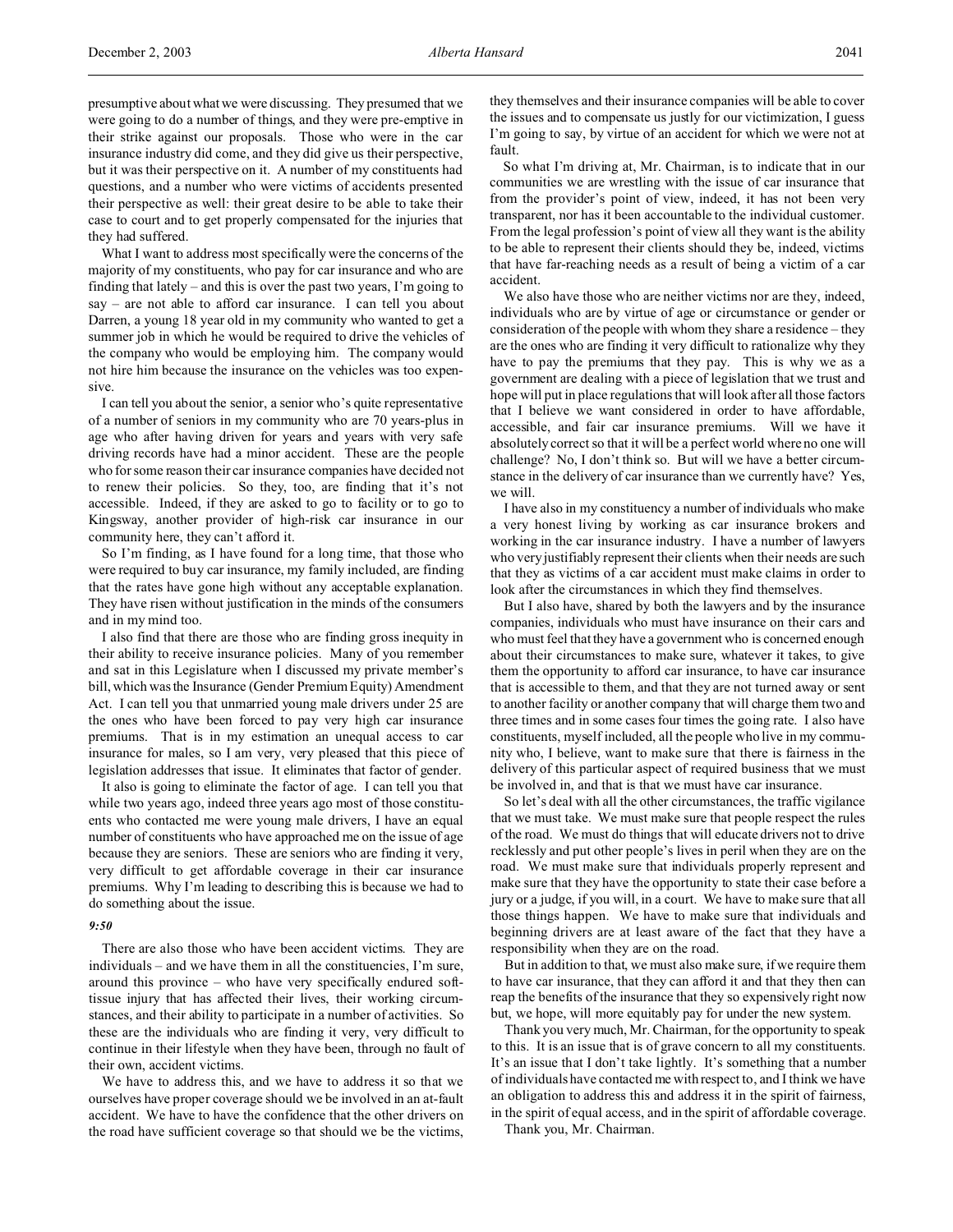presumptive about what we were discussing. They presumed that we were going to do a number of things, and they were pre-emptive in their strike against our proposals. Those who were in the car insurance industry did come, and they did give us their perspective, but it was their perspective on it. A number of my constituents had questions, and a number who were victims of accidents presented their perspective as well: their great desire to be able to take their case to court and to get properly compensated for the injuries that they had suffered.

What I want to address most specifically were the concerns of the majority of my constituents, who pay for car insurance and who are finding that lately – and this is over the past two years, I'm going to say – are not able to afford car insurance. I can tell you about Darren, a young 18 year old in my community who wanted to get a summer job in which he would be required to drive the vehicles of the company who would be employing him. The company would not hire him because the insurance on the vehicles was too expensive.

I can tell you about the senior, a senior who's quite representative of a number of seniors in my community who are 70 years-plus in age who after having driven for years and years with very safe driving records have had a minor accident. These are the people who for some reason their car insurance companies have decided not to renew their policies. So they, too, are finding that it's not accessible. Indeed, if they are asked to go to facility or to go to Kingsway, another provider of high-risk car insurance in our community here, they can't afford it.

So I'm finding, as I have found for a long time, that those who were required to buy car insurance, my family included, are finding that the rates have gone high without any acceptable explanation. They have risen without justification in the minds of the consumers and in my mind too.

I also find that there are those who are finding gross inequity in their ability to receive insurance policies. Many of you remember and sat in this Legislature when I discussed my private member's bill, which was the Insurance (Gender Premium Equity) Amendment Act. I can tell you that unmarried young male drivers under 25 are the ones who have been forced to pay very high car insurance premiums. That is in my estimation an unequal access to car insurance for males, so I am very, very pleased that this piece of legislation addresses that issue. It eliminates that factor of gender.

It also is going to eliminate the factor of age. I can tell you that while two years ago, indeed three years ago most of those constituents who contacted me were young male drivers, I have an equal number of constituents who have approached me on the issue of age because they are seniors. These are seniors who are finding it very, very difficult to get affordable coverage in their car insurance premiums. Why I'm leading to describing this is because we had to do something about the issue.

#### *9:50*

There are also those who have been accident victims. They are individuals – and we have them in all the constituencies, I'm sure, around this province – who have very specifically endured softtissue injury that has affected their lives, their working circumstances, and their ability to participate in a number of activities. So these are the individuals who are finding it very, very difficult to continue in their lifestyle when they have been, through no fault of their own, accident victims.

We have to address this, and we have to address it so that we ourselves have proper coverage should we be involved in an at-fault accident. We have to have the confidence that the other drivers on the road have sufficient coverage so that should we be the victims,

they themselves and their insurance companies will be able to cover the issues and to compensate us justly for our victimization, I guess I'm going to say, by virtue of an accident for which we were not at fault.

So what I'm driving at, Mr. Chairman, is to indicate that in our communities we are wrestling with the issue of car insurance that from the provider's point of view, indeed, it has not been very transparent, nor has it been accountable to the individual customer. From the legal profession's point of view all they want is the ability to be able to represent their clients should they be, indeed, victims that have far-reaching needs as a result of being a victim of a car accident.

We also have those who are neither victims nor are they, indeed, individuals who are by virtue of age or circumstance or gender or consideration of the people with whom they share a residence – they are the ones who are finding it very difficult to rationalize why they have to pay the premiums that they pay. This is why we as a government are dealing with a piece of legislation that we trust and hope will put in place regulations that will look after all those factors that I believe we want considered in order to have affordable, accessible, and fair car insurance premiums. Will we have it absolutely correct so that it will be a perfect world where no one will challenge? No, I don't think so. But will we have a better circumstance in the delivery of car insurance than we currently have? Yes, we will.

I have also in my constituency a number of individuals who make a very honest living by working as car insurance brokers and working in the car insurance industry. I have a number of lawyers who very justifiably represent their clients when their needs are such that they as victims of a car accident must make claims in order to look after the circumstances in which they find themselves.

But I also have, shared by both the lawyers and by the insurance companies, individuals who must have insurance on their cars and who must feel that they have a government who is concerned enough about their circumstances to make sure, whatever it takes, to give them the opportunity to afford car insurance, to have car insurance that is accessible to them, and that they are not turned away or sent to another facility or another company that will charge them two and three times and in some cases four times the going rate. I also have constituents, myself included, all the people who live in my community who, I believe, want to make sure that there is fairness in the delivery of this particular aspect of required business that we must be involved in, and that is that we must have car insurance.

So let's deal with all the other circumstances, the traffic vigilance that we must take. We must make sure that people respect the rules of the road. We must do things that will educate drivers not to drive recklessly and put other people's lives in peril when they are on the road. We must make sure that individuals properly represent and make sure that they have the opportunity to state their case before a jury or a judge, if you will, in a court. We have to make sure that all those things happen. We have to make sure that individuals and beginning drivers are at least aware of the fact that they have a responsibility when they are on the road.

But in addition to that, we must also make sure, if we require them to have car insurance, that they can afford it and that they then can reap the benefits of the insurance that they so expensively right now but, we hope, will more equitably pay for under the new system.

Thank you very much, Mr. Chairman, for the opportunity to speak to this. It is an issue that is of grave concern to all my constituents. It's an issue that I don't take lightly. It's something that a number of individuals have contacted me with respect to, and I think we have an obligation to address this and address it in the spirit of fairness, in the spirit of equal access, and in the spirit of affordable coverage.

Thank you, Mr. Chairman.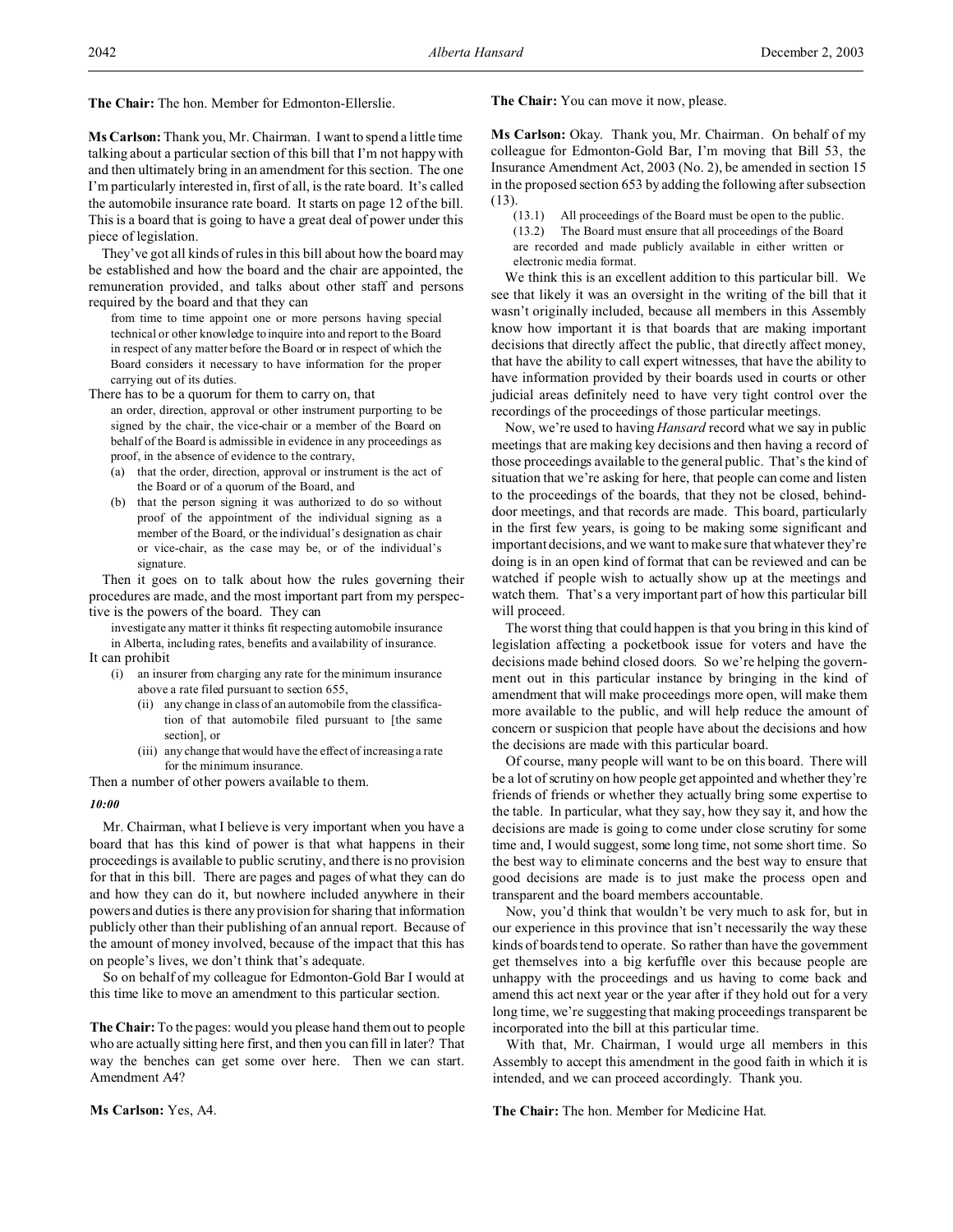**The Chair:** The hon. Member for Edmonton-Ellerslie.

**Ms Carlson:** Thank you, Mr. Chairman. I want to spend a little time talking about a particular section of this bill that I'm not happy with and then ultimately bring in an amendment for this section. The one I'm particularly interested in, first of all, is the rate board. It's called the automobile insurance rate board. It starts on page 12 of the bill. This is a board that is going to have a great deal of power under this piece of legislation.

They've got all kinds of rules in this bill about how the board may be established and how the board and the chair are appointed, the remuneration provided, and talks about other staff and persons required by the board and that they can

from time to time appoint one or more persons having special technical or other knowledge to inquire into and report to the Board in respect of any matter before the Board or in respect of which the Board considers it necessary to have information for the proper carrying out of its duties.

- There has to be a quorum for them to carry on, that an order, direction, approval or other instrument purporting to be signed by the chair, the vice-chair or a member of the Board on behalf of the Board is admissible in evidence in any proceedings as proof, in the absence of evidence to the contrary,
	- (a) that the order, direction, approval or instrument is the act of the Board or of a quorum of the Board, and
	- (b) that the person signing it was authorized to do so without proof of the appointment of the individual signing as a member of the Board, or the individual's designation as chair or vice-chair, as the case may be, or of the individual's signature.

Then it goes on to talk about how the rules governing their procedures are made, and the most important part from my perspective is the powers of the board. They can

investigate any matter it thinks fit respecting automobile insurance in Alberta, including rates, benefits and availability of insurance. It can prohibit

- (i) an insurer from charging any rate for the minimum insurance above a rate filed pursuant to section 655,
	- (ii) any change in class of an automobile from the classification of that automobile filed pursuant to [the same section], or
	- (iii) any change that would have the effect of increasing a rate for the minimum insurance.

Then a number of other powers available to them.

#### *10:00*

Mr. Chairman, what I believe is very important when you have a board that has this kind of power is that what happens in their proceedings is available to public scrutiny, and there is no provision for that in this bill. There are pages and pages of what they can do and how they can do it, but nowhere included anywhere in their powers and duties is there any provision for sharing that information publicly other than their publishing of an annual report. Because of the amount of money involved, because of the impact that this has on people's lives, we don't think that's adequate.

So on behalf of my colleague for Edmonton-Gold Bar I would at this time like to move an amendment to this particular section.

**The Chair:**To the pages: would you please hand them out to people who are actually sitting here first, and then you can fill in later? That way the benches can get some over here. Then we can start. Amendment A4?

**The Chair:** You can move it now, please.

**Ms Carlson:** Okay. Thank you, Mr. Chairman. On behalf of my colleague for Edmonton-Gold Bar, I'm moving that Bill 53, the Insurance Amendment Act, 2003 (No. 2), be amended in section 15 in the proposed section 653 by adding the following after subsection (13).

(13.1) All proceedings of the Board must be open to the public. (13.2) The Board must ensure that all proceedings of the Board are recorded and made publicly available in either written or electronic media format.

We think this is an excellent addition to this particular bill. We see that likely it was an oversight in the writing of the bill that it wasn't originally included, because all members in this Assembly know how important it is that boards that are making important decisions that directly affect the public, that directly affect money, that have the ability to call expert witnesses, that have the ability to have information provided by their boards used in courts or other judicial areas definitely need to have very tight control over the recordings of the proceedings of those particular meetings.

Now, we're used to having *Hansard* record what we say in public meetings that are making key decisions and then having a record of those proceedings available to the general public. That's the kind of situation that we're asking for here, that people can come and listen to the proceedings of the boards, that they not be closed, behinddoor meetings, and that records are made. This board, particularly in the first few years, is going to be making some significant and important decisions, and we want to make sure that whatever they're doing is in an open kind of format that can be reviewed and can be watched if people wish to actually show up at the meetings and watch them. That's a very important part of how this particular bill will proceed.

The worst thing that could happen is that you bring in this kind of legislation affecting a pocketbook issue for voters and have the decisions made behind closed doors. So we're helping the government out in this particular instance by bringing in the kind of amendment that will make proceedings more open, will make them more available to the public, and will help reduce the amount of concern or suspicion that people have about the decisions and how the decisions are made with this particular board.

Of course, many people will want to be on this board. There will be a lot of scrutiny on how people get appointed and whether they're friends of friends or whether they actually bring some expertise to the table. In particular, what they say, how they say it, and how the decisions are made is going to come under close scrutiny for some time and, I would suggest, some long time, not some short time. So the best way to eliminate concerns and the best way to ensure that good decisions are made is to just make the process open and transparent and the board members accountable.

Now, you'd think that wouldn't be very much to ask for, but in our experience in this province that isn't necessarily the way these kinds of boards tend to operate. So rather than have the government get themselves into a big kerfuffle over this because people are unhappy with the proceedings and us having to come back and amend this act next year or the year after if they hold out for a very long time, we're suggesting that making proceedings transparent be incorporated into the bill at this particular time.

With that, Mr. Chairman, I would urge all members in this Assembly to accept this amendment in the good faith in which it is intended, and we can proceed accordingly. Thank you.

**The Chair:** The hon. Member for Medicine Hat.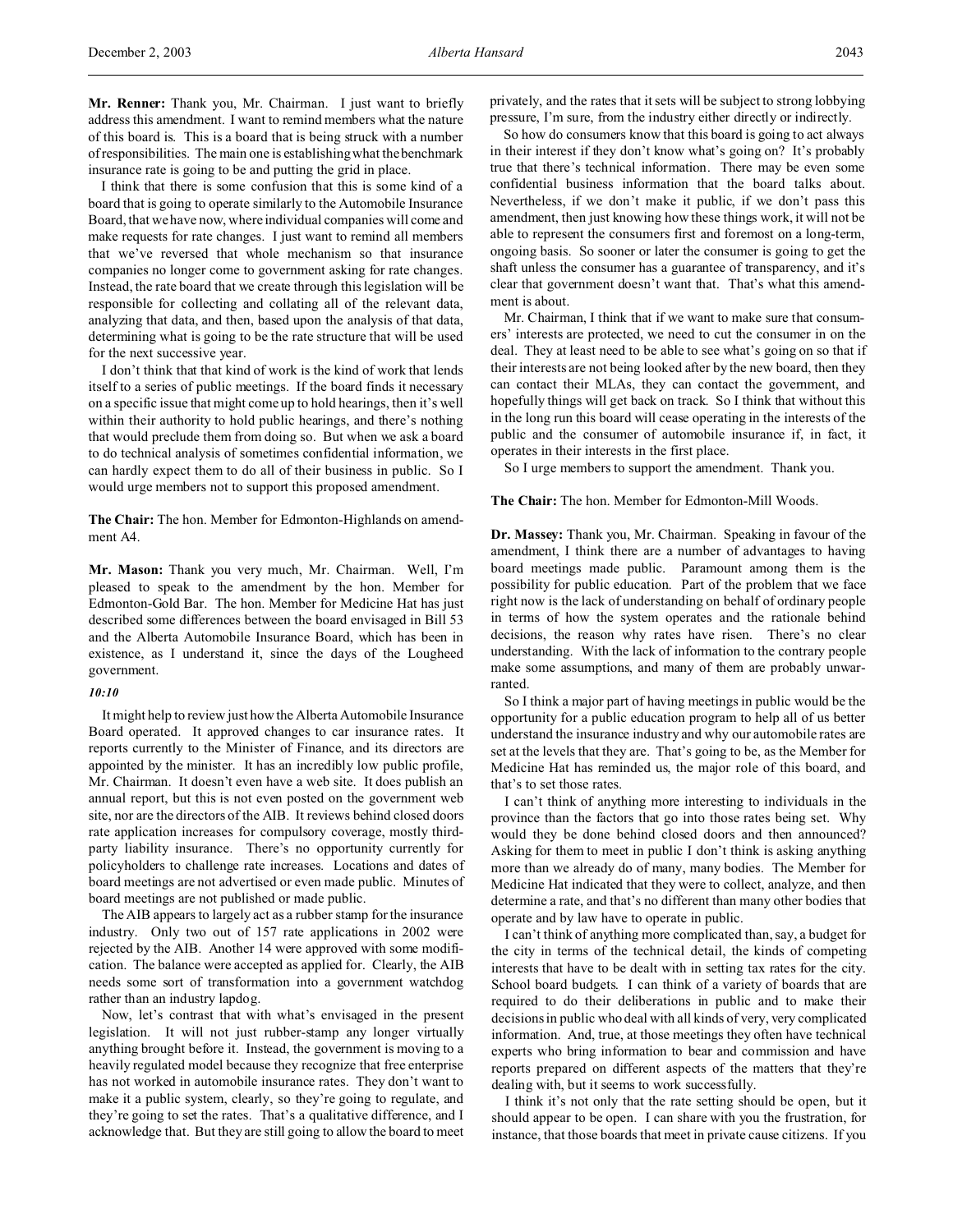**Mr. Renner:** Thank you, Mr. Chairman. I just want to briefly address this amendment. I want to remind members what the nature of this board is. This is a board that is being struck with a number of responsibilities. The main one is establishing what the benchmark insurance rate is going to be and putting the grid in place.

I think that there is some confusion that this is some kind of a board that is going to operate similarly to the Automobile Insurance Board, that we have now, where individual companies will come and make requests for rate changes. I just want to remind all members that we've reversed that whole mechanism so that insurance companies no longer come to government asking for rate changes. Instead, the rate board that we create through this legislation will be responsible for collecting and collating all of the relevant data, analyzing that data, and then, based upon the analysis of that data, determining what is going to be the rate structure that will be used for the next successive year.

I don't think that that kind of work is the kind of work that lends itself to a series of public meetings. If the board finds it necessary on a specific issue that might come up to hold hearings, then it's well within their authority to hold public hearings, and there's nothing that would preclude them from doing so. But when we ask a board to do technical analysis of sometimes confidential information, we can hardly expect them to do all of their business in public. So I would urge members not to support this proposed amendment.

**The Chair:** The hon. Member for Edmonton-Highlands on amendment A4.

**Mr. Mason:** Thank you very much, Mr. Chairman. Well, I'm pleased to speak to the amendment by the hon. Member for Edmonton-Gold Bar. The hon. Member for Medicine Hat has just described some differences between the board envisaged in Bill 53 and the Alberta Automobile Insurance Board, which has been in existence, as I understand it, since the days of the Lougheed government.

#### *10:10*

It might help to review just how the Alberta Automobile Insurance Board operated. It approved changes to car insurance rates. It reports currently to the Minister of Finance, and its directors are appointed by the minister. It has an incredibly low public profile, Mr. Chairman. It doesn't even have a web site. It does publish an annual report, but this is not even posted on the government web site, nor are the directors of the AIB. It reviews behind closed doors rate application increases for compulsory coverage, mostly thirdparty liability insurance. There's no opportunity currently for policyholders to challenge rate increases. Locations and dates of board meetings are not advertised or even made public. Minutes of board meetings are not published or made public.

The AIB appears to largely act as a rubber stamp for the insurance industry. Only two out of 157 rate applications in 2002 were rejected by the AIB. Another 14 were approved with some modification. The balance were accepted as applied for. Clearly, the AIB needs some sort of transformation into a government watchdog rather than an industry lapdog.

Now, let's contrast that with what's envisaged in the present legislation. It will not just rubber-stamp any longer virtually anything brought before it. Instead, the government is moving to a heavily regulated model because they recognize that free enterprise has not worked in automobile insurance rates. They don't want to make it a public system, clearly, so they're going to regulate, and they're going to set the rates. That's a qualitative difference, and I acknowledge that. But they are still going to allow the board to meet privately, and the rates that it sets will be subject to strong lobbying pressure, I'm sure, from the industry either directly or indirectly.

So how do consumers know that this board is going to act always in their interest if they don't know what's going on? It's probably true that there's technical information. There may be even some confidential business information that the board talks about. Nevertheless, if we don't make it public, if we don't pass this amendment, then just knowing how these things work, it will not be able to represent the consumers first and foremost on a long-term, ongoing basis. So sooner or later the consumer is going to get the shaft unless the consumer has a guarantee of transparency, and it's clear that government doesn't want that. That's what this amendment is about.

Mr. Chairman, I think that if we want to make sure that consumers' interests are protected, we need to cut the consumer in on the deal. They at least need to be able to see what's going on so that if their interests are not being looked after by the new board, then they can contact their MLAs, they can contact the government, and hopefully things will get back on track. So I think that without this in the long run this board will cease operating in the interests of the public and the consumer of automobile insurance if, in fact, it operates in their interests in the first place.

So I urge members to support the amendment. Thank you.

**The Chair:** The hon. Member for Edmonton-Mill Woods.

**Dr. Massey:** Thank you, Mr. Chairman. Speaking in favour of the amendment, I think there are a number of advantages to having board meetings made public. Paramount among them is the possibility for public education. Part of the problem that we face right now is the lack of understanding on behalf of ordinary people in terms of how the system operates and the rationale behind decisions, the reason why rates have risen. There's no clear understanding. With the lack of information to the contrary people make some assumptions, and many of them are probably unwarranted.

So I think a major part of having meetings in public would be the opportunity for a public education program to help all of us better understand the insurance industry and why our automobile rates are set at the levels that they are. That's going to be, as the Member for Medicine Hat has reminded us, the major role of this board, and that's to set those rates.

I can't think of anything more interesting to individuals in the province than the factors that go into those rates being set. Why would they be done behind closed doors and then announced? Asking for them to meet in public I don't think is asking anything more than we already do of many, many bodies. The Member for Medicine Hat indicated that they were to collect, analyze, and then determine a rate, and that's no different than many other bodies that operate and by law have to operate in public.

I can't think of anything more complicated than, say, a budget for the city in terms of the technical detail, the kinds of competing interests that have to be dealt with in setting tax rates for the city. School board budgets. I can think of a variety of boards that are required to do their deliberations in public and to make their decisions in public who deal with all kinds of very, very complicated information. And, true, at those meetings they often have technical experts who bring information to bear and commission and have reports prepared on different aspects of the matters that they're dealing with, but it seems to work successfully.

I think it's not only that the rate setting should be open, but it should appear to be open. I can share with you the frustration, for instance, that those boards that meet in private cause citizens. If you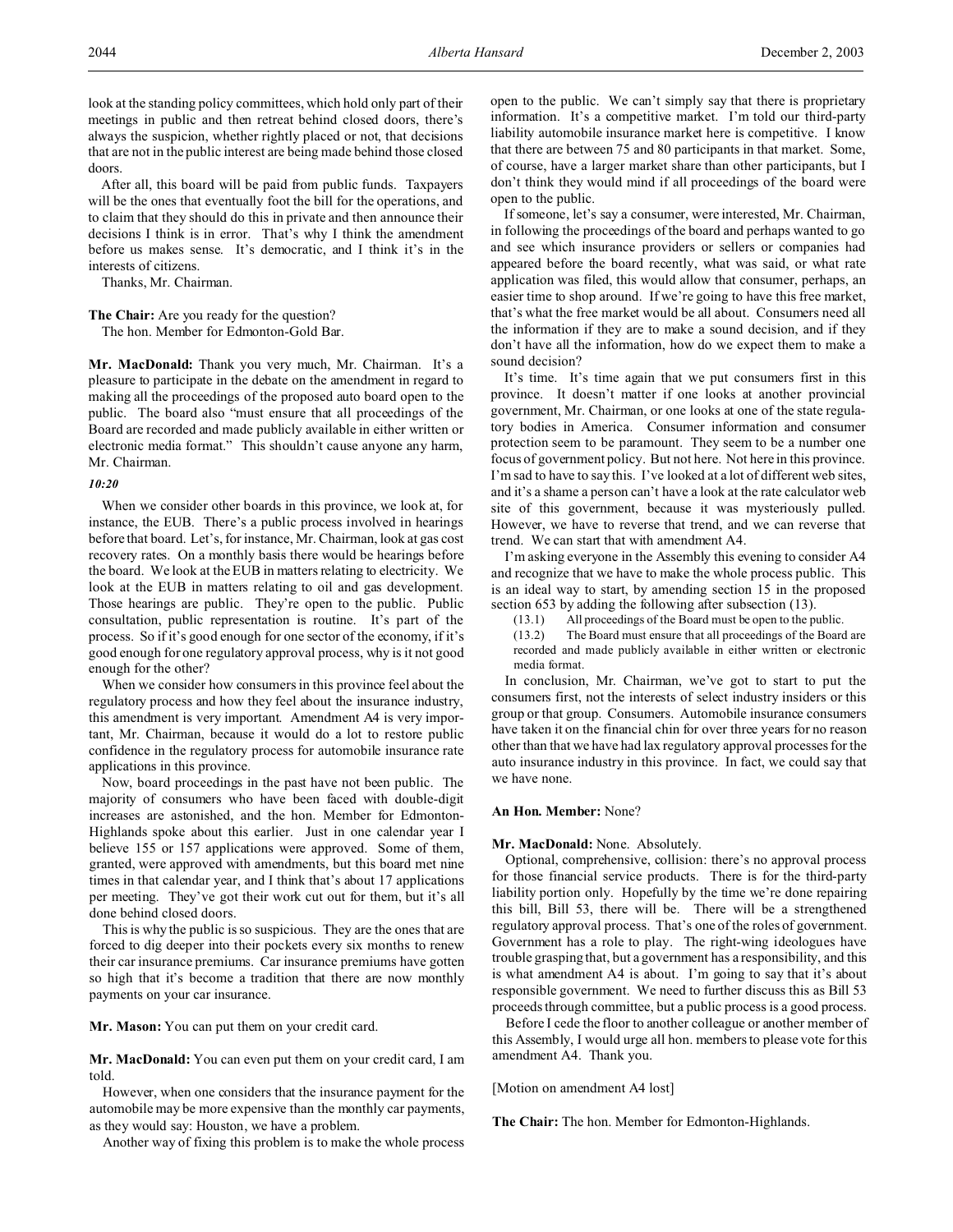look at the standing policy committees, which hold only part of their meetings in public and then retreat behind closed doors, there's always the suspicion, whether rightly placed or not, that decisions that are not in the public interest are being made behind those closed doors.

After all, this board will be paid from public funds. Taxpayers will be the ones that eventually foot the bill for the operations, and to claim that they should do this in private and then announce their decisions I think is in error. That's why I think the amendment before us makes sense. It's democratic, and I think it's in the interests of citizens.

Thanks, Mr. Chairman.

**The Chair:** Are you ready for the question?

The hon. Member for Edmonton-Gold Bar.

**Mr. MacDonald:** Thank you very much, Mr. Chairman. It's a pleasure to participate in the debate on the amendment in regard to making all the proceedings of the proposed auto board open to the public. The board also "must ensure that all proceedings of the Board are recorded and made publicly available in either written or electronic media format." This shouldn't cause anyone any harm, Mr. Chairman.

# *10:20*

When we consider other boards in this province, we look at, for instance, the EUB. There's a public process involved in hearings before that board. Let's, for instance, Mr. Chairman, look at gas cost recovery rates. On a monthly basis there would be hearings before the board. We look at the EUB in matters relating to electricity. We look at the EUB in matters relating to oil and gas development. Those hearings are public. They're open to the public. Public consultation, public representation is routine. It's part of the process. So if it's good enough for one sector of the economy, if it's good enough for one regulatory approval process, why is it not good enough for the other?

When we consider how consumers in this province feel about the regulatory process and how they feel about the insurance industry, this amendment is very important. Amendment A4 is very important, Mr. Chairman, because it would do a lot to restore public confidence in the regulatory process for automobile insurance rate applications in this province.

Now, board proceedings in the past have not been public. The majority of consumers who have been faced with double-digit increases are astonished, and the hon. Member for Edmonton-Highlands spoke about this earlier. Just in one calendar year I believe 155 or 157 applications were approved. Some of them, granted, were approved with amendments, but this board met nine times in that calendar year, and I think that's about 17 applications per meeting. They've got their work cut out for them, but it's all done behind closed doors.

This is why the public is so suspicious. They are the ones that are forced to dig deeper into their pockets every six months to renew their car insurance premiums. Car insurance premiums have gotten so high that it's become a tradition that there are now monthly payments on your car insurance.

**Mr. Mason:** You can put them on your credit card.

**Mr. MacDonald:** You can even put them on your credit card, I am told.

However, when one considers that the insurance payment for the automobile may be more expensive than the monthly car payments, as they would say: Houston, we have a problem.

Another way of fixing this problem is to make the whole process

open to the public. We can't simply say that there is proprietary information. It's a competitive market. I'm told our third-party liability automobile insurance market here is competitive. I know that there are between 75 and 80 participants in that market. Some, of course, have a larger market share than other participants, but I don't think they would mind if all proceedings of the board were open to the public.

If someone, let's say a consumer, were interested, Mr. Chairman, in following the proceedings of the board and perhaps wanted to go and see which insurance providers or sellers or companies had appeared before the board recently, what was said, or what rate application was filed, this would allow that consumer, perhaps, an easier time to shop around. If we're going to have this free market, that's what the free market would be all about. Consumers need all the information if they are to make a sound decision, and if they don't have all the information, how do we expect them to make a sound decision?

It's time. It's time again that we put consumers first in this province. It doesn't matter if one looks at another provincial government, Mr. Chairman, or one looks at one of the state regulatory bodies in America. Consumer information and consumer protection seem to be paramount. They seem to be a number one focus of government policy. But not here. Not here in this province. I'm sad to have to say this. I've looked at a lot of different web sites, and it's a shame a person can't have a look at the rate calculator web site of this government, because it was mysteriously pulled. However, we have to reverse that trend, and we can reverse that trend. We can start that with amendment A4.

I'm asking everyone in the Assembly this evening to consider A4 and recognize that we have to make the whole process public. This is an ideal way to start, by amending section 15 in the proposed section 653 by adding the following after subsection (13).

(13.1) All proceedings of the Board must be open to the public.

(13.2) The Board must ensure that all proceedings of the Board are recorded and made publicly available in either written or electronic media format.

In conclusion, Mr. Chairman, we've got to start to put the consumers first, not the interests of select industry insiders or this group or that group. Consumers. Automobile insurance consumers have taken it on the financial chin for over three years for no reason other than that we have had lax regulatory approval processes for the auto insurance industry in this province. In fact, we could say that we have none.

#### **An Hon. Member:** None?

#### **Mr. MacDonald:** None. Absolutely.

Optional, comprehensive, collision: there's no approval process for those financial service products. There is for the third-party liability portion only. Hopefully by the time we're done repairing this bill, Bill 53, there will be. There will be a strengthened regulatory approval process. That's one of the roles of government. Government has a role to play. The right-wing ideologues have trouble grasping that, but a government has a responsibility, and this is what amendment A4 is about. I'm going to say that it's about responsible government. We need to further discuss this as Bill 53 proceeds through committee, but a public process is a good process.

Before I cede the floor to another colleague or another member of this Assembly, I would urge all hon. members to please vote for this amendment A4. Thank you.

[Motion on amendment A4 lost]

**The Chair:** The hon. Member for Edmonton-Highlands.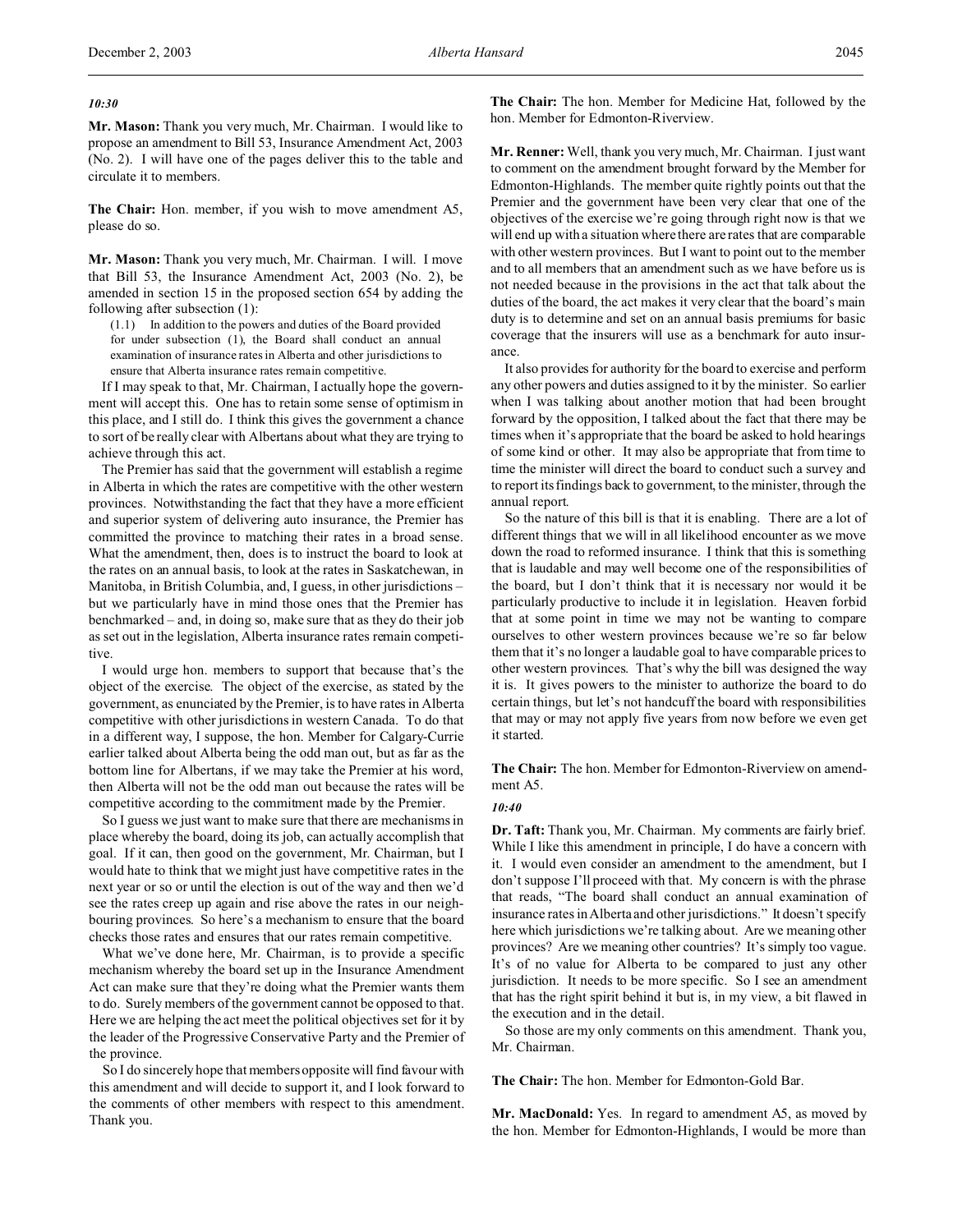### *10:30*

**Mr. Mason:** Thank you very much, Mr. Chairman. I would like to propose an amendment to Bill 53, Insurance Amendment Act, 2003 (No. 2). I will have one of the pages deliver this to the table and circulate it to members.

**The Chair:** Hon. member, if you wish to move amendment A5, please do so.

**Mr. Mason:** Thank you very much, Mr. Chairman. I will. I move that Bill 53, the Insurance Amendment Act, 2003 (No. 2), be amended in section 15 in the proposed section 654 by adding the following after subsection (1):

(1.1) In addition to the powers and duties of the Board provided for under subsection (1), the Board shall conduct an annual examination of insurance rates in Alberta and other jurisdictions to ensure that Alberta insurance rates remain competitive.

If I may speak to that, Mr. Chairman, I actually hope the government will accept this. One has to retain some sense of optimism in this place, and I still do. I think this gives the government a chance to sort of be really clear with Albertans about what they are trying to achieve through this act.

The Premier has said that the government will establish a regime in Alberta in which the rates are competitive with the other western provinces. Notwithstanding the fact that they have a more efficient and superior system of delivering auto insurance, the Premier has committed the province to matching their rates in a broad sense. What the amendment, then, does is to instruct the board to look at the rates on an annual basis, to look at the rates in Saskatchewan, in Manitoba, in British Columbia, and, I guess, in other jurisdictions – but we particularly have in mind those ones that the Premier has benchmarked – and, in doing so, make sure that as they do their job as set out in the legislation, Alberta insurance rates remain competitive.

I would urge hon. members to support that because that's the object of the exercise. The object of the exercise, as stated by the government, as enunciated by the Premier, is to have rates in Alberta competitive with other jurisdictions in western Canada. To do that in a different way, I suppose, the hon. Member for Calgary-Currie earlier talked about Alberta being the odd man out, but as far as the bottom line for Albertans, if we may take the Premier at his word, then Alberta will not be the odd man out because the rates will be competitive according to the commitment made by the Premier.

So I guess we just want to make sure that there are mechanisms in place whereby the board, doing its job, can actually accomplish that goal. If it can, then good on the government, Mr. Chairman, but I would hate to think that we might just have competitive rates in the next year or so or until the election is out of the way and then we'd see the rates creep up again and rise above the rates in our neighbouring provinces. So here's a mechanism to ensure that the board checks those rates and ensures that our rates remain competitive.

What we've done here, Mr. Chairman, is to provide a specific mechanism whereby the board set up in the Insurance Amendment Act can make sure that they're doing what the Premier wants them to do. Surely members of the government cannot be opposed to that. Here we are helping the act meet the political objectives set for it by the leader of the Progressive Conservative Party and the Premier of the province.

So I do sincerely hope that members opposite will find favour with this amendment and will decide to support it, and I look forward to the comments of other members with respect to this amendment. Thank you.

**The Chair:** The hon. Member for Medicine Hat, followed by the hon. Member for Edmonton-Riverview.

**Mr. Renner:** Well, thank you very much, Mr. Chairman. I just want to comment on the amendment brought forward by the Member for Edmonton-Highlands. The member quite rightly points out that the Premier and the government have been very clear that one of the objectives of the exercise we're going through right now is that we will end up with a situation where there are rates that are comparable with other western provinces. But I want to point out to the member and to all members that an amendment such as we have before us is not needed because in the provisions in the act that talk about the duties of the board, the act makes it very clear that the board's main duty is to determine and set on an annual basis premiums for basic coverage that the insurers will use as a benchmark for auto insurance.

It also provides for authority for the board to exercise and perform any other powers and duties assigned to it by the minister. So earlier when I was talking about another motion that had been brought forward by the opposition, I talked about the fact that there may be times when it's appropriate that the board be asked to hold hearings of some kind or other. It may also be appropriate that from time to time the minister will direct the board to conduct such a survey and to report its findings back to government, to the minister, through the annual report.

So the nature of this bill is that it is enabling. There are a lot of different things that we will in all likelihood encounter as we move down the road to reformed insurance. I think that this is something that is laudable and may well become one of the responsibilities of the board, but I don't think that it is necessary nor would it be particularly productive to include it in legislation. Heaven forbid that at some point in time we may not be wanting to compare ourselves to other western provinces because we're so far below them that it's no longer a laudable goal to have comparable prices to other western provinces. That's why the bill was designed the way it is. It gives powers to the minister to authorize the board to do certain things, but let's not handcuff the board with responsibilities that may or may not apply five years from now before we even get it started.

**The Chair:** The hon. Member for Edmonton-Riverview on amendment A5.

### *10:40*

**Dr. Taft:** Thank you, Mr. Chairman. My comments are fairly brief. While I like this amendment in principle, I do have a concern with it. I would even consider an amendment to the amendment, but I don't suppose I'll proceed with that. My concern is with the phrase that reads, "The board shall conduct an annual examination of insurance rates in Alberta and other jurisdictions." It doesn't specify here which jurisdictions we're talking about. Are we meaning other provinces? Are we meaning other countries? It's simply too vague. It's of no value for Alberta to be compared to just any other jurisdiction. It needs to be more specific. So I see an amendment that has the right spirit behind it but is, in my view, a bit flawed in the execution and in the detail.

So those are my only comments on this amendment. Thank you, Mr. Chairman.

**The Chair:** The hon. Member for Edmonton-Gold Bar.

**Mr. MacDonald:** Yes. In regard to amendment A5, as moved by the hon. Member for Edmonton-Highlands, I would be more than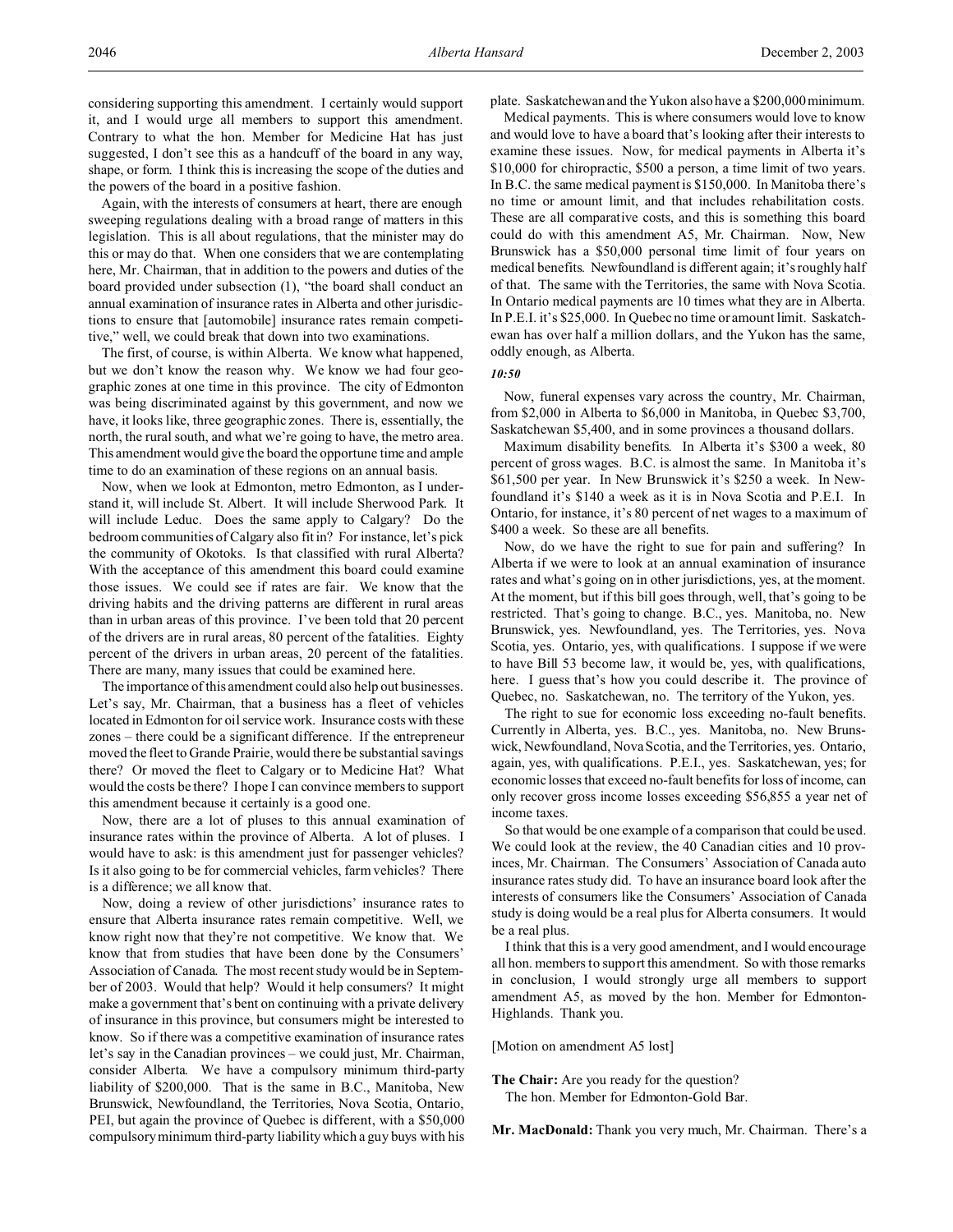Again, with the interests of consumers at heart, there are enough sweeping regulations dealing with a broad range of matters in this legislation. This is all about regulations, that the minister may do this or may do that. When one considers that we are contemplating here, Mr. Chairman, that in addition to the powers and duties of the board provided under subsection (1), "the board shall conduct an annual examination of insurance rates in Alberta and other jurisdictions to ensure that [automobile] insurance rates remain competitive," well, we could break that down into two examinations.

The first, of course, is within Alberta. We know what happened, but we don't know the reason why. We know we had four geographic zones at one time in this province. The city of Edmonton was being discriminated against by this government, and now we have, it looks like, three geographic zones. There is, essentially, the north, the rural south, and what we're going to have, the metro area. This amendment would give the board the opportune time and ample time to do an examination of these regions on an annual basis.

Now, when we look at Edmonton, metro Edmonton, as I understand it, will include St. Albert. It will include Sherwood Park. It will include Leduc. Does the same apply to Calgary? Do the bedroom communities of Calgary also fit in? For instance, let's pick the community of Okotoks. Is that classified with rural Alberta? With the acceptance of this amendment this board could examine those issues. We could see if rates are fair. We know that the driving habits and the driving patterns are different in rural areas than in urban areas of this province. I've been told that 20 percent of the drivers are in rural areas, 80 percent of the fatalities. Eighty percent of the drivers in urban areas, 20 percent of the fatalities. There are many, many issues that could be examined here.

The importance of this amendment could also help out businesses. Let's say, Mr. Chairman, that a business has a fleet of vehicles located in Edmonton for oil service work. Insurance costs with these zones – there could be a significant difference. If the entrepreneur moved the fleet to Grande Prairie, would there be substantial savings there? Or moved the fleet to Calgary or to Medicine Hat? What would the costs be there? I hope I can convince members to support this amendment because it certainly is a good one.

Now, there are a lot of pluses to this annual examination of insurance rates within the province of Alberta. A lot of pluses. I would have to ask: is this amendment just for passenger vehicles? Is it also going to be for commercial vehicles, farm vehicles? There is a difference; we all know that.

Now, doing a review of other jurisdictions' insurance rates to ensure that Alberta insurance rates remain competitive. Well, we know right now that they're not competitive. We know that. We know that from studies that have been done by the Consumers' Association of Canada. The most recent study would be in September of 2003. Would that help? Would it help consumers? It might make a government that's bent on continuing with a private delivery of insurance in this province, but consumers might be interested to know. So if there was a competitive examination of insurance rates let's say in the Canadian provinces – we could just, Mr. Chairman, consider Alberta. We have a compulsory minimum third-party liability of \$200,000. That is the same in B.C., Manitoba, New Brunswick, Newfoundland, the Territories, Nova Scotia, Ontario, PEI, but again the province of Quebec is different, with a \$50,000 compulsory minimum third-party liability which a guy buys with his plate. Saskatchewan and the Yukon also have a \$200,000 minimum.

Medical payments. This is where consumers would love to know and would love to have a board that's looking after their interests to examine these issues. Now, for medical payments in Alberta it's \$10,000 for chiropractic, \$500 a person, a time limit of two years. In B.C. the same medical payment is \$150,000. In Manitoba there's no time or amount limit, and that includes rehabilitation costs. These are all comparative costs, and this is something this board could do with this amendment A5, Mr. Chairman. Now, New Brunswick has a \$50,000 personal time limit of four years on medical benefits. Newfoundland is different again; it's roughly half of that. The same with the Territories, the same with Nova Scotia. In Ontario medical payments are 10 times what they are in Alberta. In P.E.I. it's \$25,000. In Quebec no time or amount limit. Saskatchewan has over half a million dollars, and the Yukon has the same, oddly enough, as Alberta.

## *10:50*

Now, funeral expenses vary across the country, Mr. Chairman, from \$2,000 in Alberta to \$6,000 in Manitoba, in Quebec \$3,700, Saskatchewan \$5,400, and in some provinces a thousand dollars.

Maximum disability benefits. In Alberta it's \$300 a week, 80 percent of gross wages. B.C. is almost the same. In Manitoba it's \$61,500 per year. In New Brunswick it's \$250 a week. In Newfoundland it's \$140 a week as it is in Nova Scotia and P.E.I. In Ontario, for instance, it's 80 percent of net wages to a maximum of \$400 a week. So these are all benefits.

Now, do we have the right to sue for pain and suffering? In Alberta if we were to look at an annual examination of insurance rates and what's going on in other jurisdictions, yes, at the moment. At the moment, but if this bill goes through, well, that's going to be restricted. That's going to change. B.C., yes. Manitoba, no. New Brunswick, yes. Newfoundland, yes. The Territories, yes. Nova Scotia, yes. Ontario, yes, with qualifications. I suppose if we were to have Bill 53 become law, it would be, yes, with qualifications, here. I guess that's how you could describe it. The province of Quebec, no. Saskatchewan, no. The territory of the Yukon, yes.

The right to sue for economic loss exceeding no-fault benefits. Currently in Alberta, yes. B.C., yes. Manitoba, no. New Brunswick, Newfoundland, Nova Scotia, and the Territories, yes. Ontario, again, yes, with qualifications. P.E.I., yes. Saskatchewan, yes; for economic losses that exceed no-fault benefits for loss of income, can only recover gross income losses exceeding \$56,855 a year net of income taxes.

So that would be one example of a comparison that could be used. We could look at the review, the 40 Canadian cities and 10 provinces, Mr. Chairman. The Consumers' Association of Canada auto insurance rates study did. To have an insurance board look after the interests of consumers like the Consumers' Association of Canada study is doing would be a real plus for Alberta consumers. It would be a real plus.

I think that this is a very good amendment, and I would encourage all hon. members to support this amendment. So with those remarks in conclusion, I would strongly urge all members to support amendment A5, as moved by the hon. Member for Edmonton-Highlands. Thank you.

[Motion on amendment A5 lost]

**The Chair:** Are you ready for the question? The hon. Member for Edmonton-Gold Bar.

**Mr. MacDonald:** Thank you very much, Mr. Chairman. There's a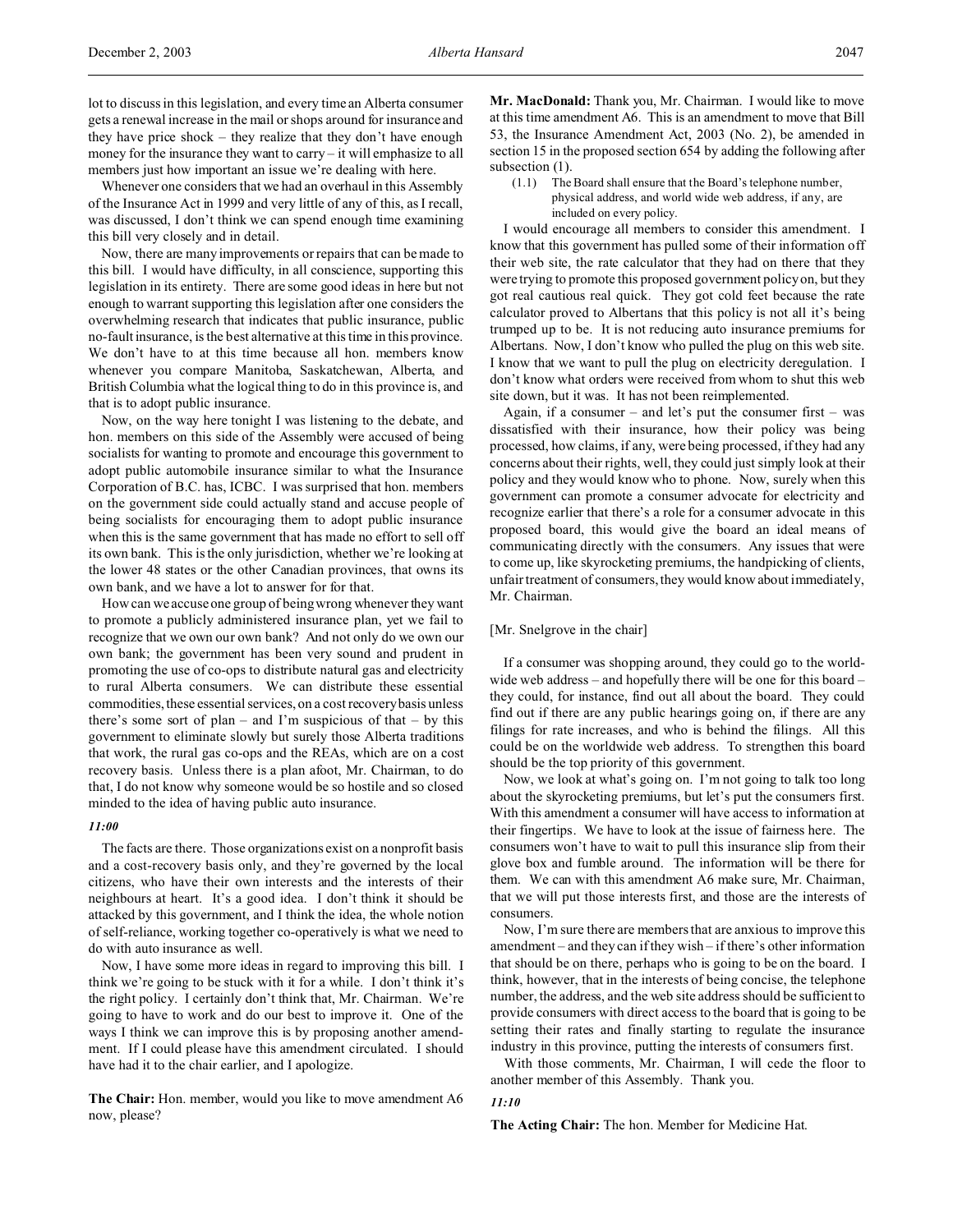Whenever one considers that we had an overhaul in this Assembly of the Insurance Act in 1999 and very little of any of this, as I recall, was discussed, I don't think we can spend enough time examining this bill very closely and in detail.

Now, there are many improvements or repairs that can be made to this bill. I would have difficulty, in all conscience, supporting this legislation in its entirety. There are some good ideas in here but not enough to warrant supporting this legislation after one considers the overwhelming research that indicates that public insurance, public no-fault insurance, is the best alternative at this time in this province. We don't have to at this time because all hon. members know whenever you compare Manitoba, Saskatchewan, Alberta, and British Columbia what the logical thing to do in this province is, and that is to adopt public insurance.

Now, on the way here tonight I was listening to the debate, and hon. members on this side of the Assembly were accused of being socialists for wanting to promote and encourage this government to adopt public automobile insurance similar to what the Insurance Corporation of B.C. has, ICBC. I was surprised that hon. members on the government side could actually stand and accuse people of being socialists for encouraging them to adopt public insurance when this is the same government that has made no effort to sell off its own bank. This is the only jurisdiction, whether we're looking at the lower 48 states or the other Canadian provinces, that owns its own bank, and we have a lot to answer for for that.

How can we accuse one group of being wrong whenever they want to promote a publicly administered insurance plan, yet we fail to recognize that we own our own bank? And not only do we own our own bank; the government has been very sound and prudent in promoting the use of co-ops to distribute natural gas and electricity to rural Alberta consumers. We can distribute these essential commodities, these essential services, on a cost recovery basis unless there's some sort of plan – and I'm suspicious of that – by this government to eliminate slowly but surely those Alberta traditions that work, the rural gas co-ops and the REAs, which are on a cost recovery basis. Unless there is a plan afoot, Mr. Chairman, to do that, I do not know why someone would be so hostile and so closed minded to the idea of having public auto insurance.

#### *11:00*

The facts are there. Those organizations exist on a nonprofit basis and a cost-recovery basis only, and they're governed by the local citizens, who have their own interests and the interests of their neighbours at heart. It's a good idea. I don't think it should be attacked by this government, and I think the idea, the whole notion of self-reliance, working together co-operatively is what we need to do with auto insurance as well.

Now, I have some more ideas in regard to improving this bill. I think we're going to be stuck with it for a while. I don't think it's the right policy. I certainly don't think that, Mr. Chairman. We're going to have to work and do our best to improve it. One of the ways I think we can improve this is by proposing another amendment. If I could please have this amendment circulated. I should have had it to the chair earlier, and I apologize.

**The Chair:** Hon. member, would you like to move amendment A6 now, please?

**Mr. MacDonald:** Thank you, Mr. Chairman. I would like to move at this time amendment A6. This is an amendment to move that Bill 53, the Insurance Amendment Act, 2003 (No. 2), be amended in section 15 in the proposed section 654 by adding the following after subsection  $(1)$ .

(1.1) The Board shall ensure that the Board's telephone number, physical address, and world wide web address, if any, are included on every policy.

I would encourage all members to consider this amendment. I know that this government has pulled some of their information off their web site, the rate calculator that they had on there that they were trying to promote this proposed government policy on, but they got real cautious real quick. They got cold feet because the rate calculator proved to Albertans that this policy is not all it's being trumped up to be. It is not reducing auto insurance premiums for Albertans. Now, I don't know who pulled the plug on this web site. I know that we want to pull the plug on electricity deregulation. I don't know what orders were received from whom to shut this web site down, but it was. It has not been reimplemented.

Again, if a consumer – and let's put the consumer first – was dissatisfied with their insurance, how their policy was being processed, how claims, if any, were being processed, if they had any concerns about their rights, well, they could just simply look at their policy and they would know who to phone. Now, surely when this government can promote a consumer advocate for electricity and recognize earlier that there's a role for a consumer advocate in this proposed board, this would give the board an ideal means of communicating directly with the consumers. Any issues that were to come up, like skyrocketing premiums, the handpicking of clients, unfair treatment of consumers, they would know about immediately, Mr. Chairman.

# [Mr. Snelgrove in the chair]

If a consumer was shopping around, they could go to the worldwide web address – and hopefully there will be one for this board – they could, for instance, find out all about the board. They could find out if there are any public hearings going on, if there are any filings for rate increases, and who is behind the filings. All this could be on the worldwide web address. To strengthen this board should be the top priority of this government.

Now, we look at what's going on. I'm not going to talk too long about the skyrocketing premiums, but let's put the consumers first. With this amendment a consumer will have access to information at their fingertips. We have to look at the issue of fairness here. The consumers won't have to wait to pull this insurance slip from their glove box and fumble around. The information will be there for them. We can with this amendment A6 make sure, Mr. Chairman, that we will put those interests first, and those are the interests of consumers.

Now, I'm sure there are members that are anxious to improve this amendment – and they can if they wish – if there's other information that should be on there, perhaps who is going to be on the board. I think, however, that in the interests of being concise, the telephone number, the address, and the web site address should be sufficient to provide consumers with direct access to the board that is going to be setting their rates and finally starting to regulate the insurance industry in this province, putting the interests of consumers first.

With those comments, Mr. Chairman, I will cede the floor to another member of this Assembly. Thank you.

#### *11:10*

**The Acting Chair:** The hon. Member for Medicine Hat.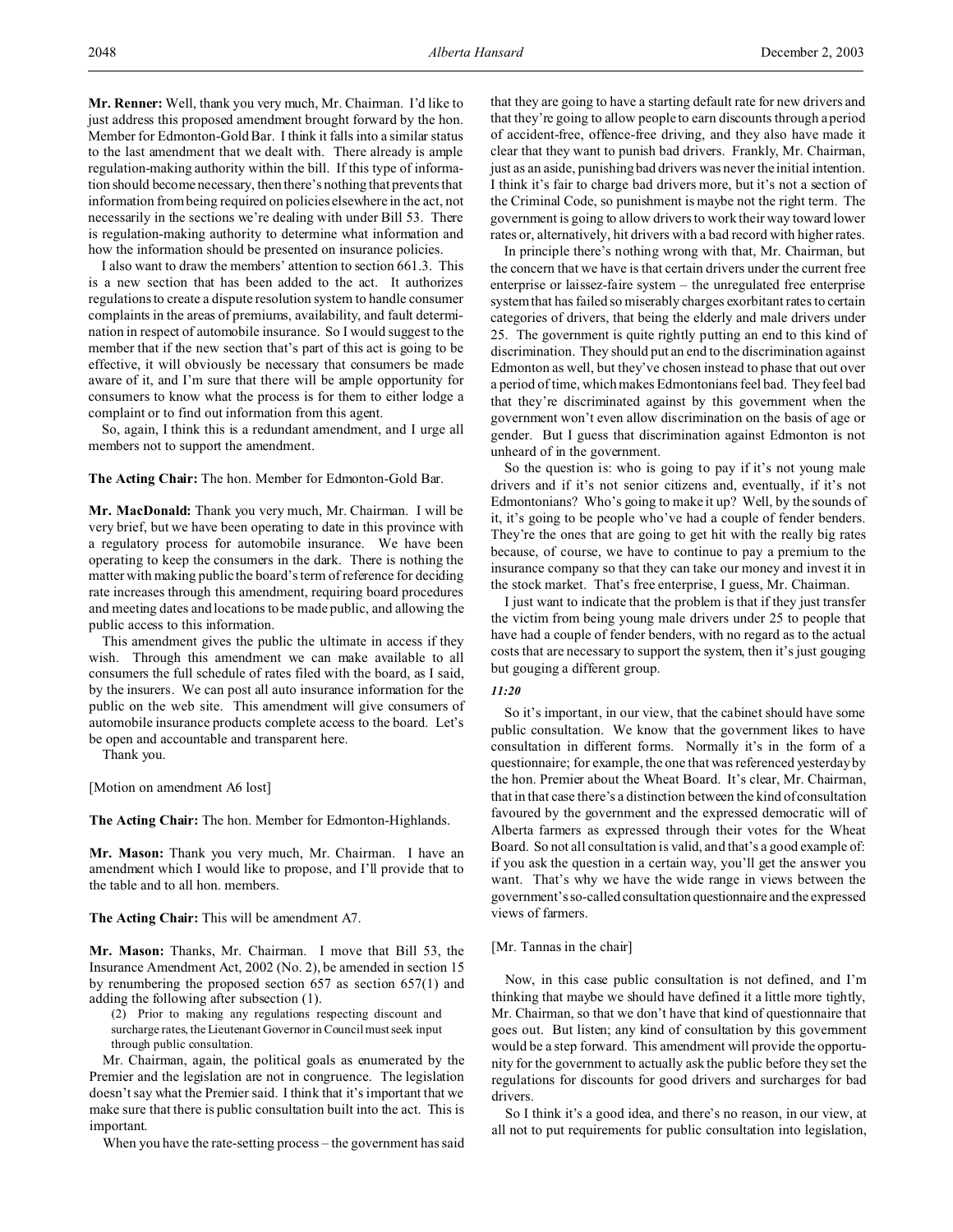**Mr. Renner:** Well, thank you very much, Mr. Chairman. I'd like to just address this proposed amendment brought forward by the hon. Member for Edmonton-Gold Bar. I think it falls into a similar status to the last amendment that we dealt with. There already is ample regulation-making authority within the bill. If this type of information should become necessary, then there's nothing that prevents that information from being required on policies elsewhere in the act, not necessarily in the sections we're dealing with under Bill 53. There is regulation-making authority to determine what information and how the information should be presented on insurance policies.

I also want to draw the members' attention to section 661.3. This is a new section that has been added to the act. It authorizes regulations to create a dispute resolution system to handle consumer complaints in the areas of premiums, availability, and fault determination in respect of automobile insurance. So I would suggest to the member that if the new section that's part of this act is going to be effective, it will obviously be necessary that consumers be made aware of it, and I'm sure that there will be ample opportunity for consumers to know what the process is for them to either lodge a complaint or to find out information from this agent.

So, again, I think this is a redundant amendment, and I urge all members not to support the amendment.

**The Acting Chair:** The hon. Member for Edmonton-Gold Bar.

**Mr. MacDonald:** Thank you very much, Mr. Chairman. I will be very brief, but we have been operating to date in this province with a regulatory process for automobile insurance. We have been operating to keep the consumers in the dark. There is nothing the matter with making public the board's term of reference for deciding rate increases through this amendment, requiring board procedures and meeting dates and locations to be made public, and allowing the public access to this information.

This amendment gives the public the ultimate in access if they wish. Through this amendment we can make available to all consumers the full schedule of rates filed with the board, as I said, by the insurers. We can post all auto insurance information for the public on the web site. This amendment will give consumers of automobile insurance products complete access to the board. Let's be open and accountable and transparent here.

Thank you.

[Motion on amendment A6 lost]

**The Acting Chair:** The hon. Member for Edmonton-Highlands.

**Mr. Mason:** Thank you very much, Mr. Chairman. I have an amendment which I would like to propose, and I'll provide that to the table and to all hon. members.

**The Acting Chair:** This will be amendment A7.

**Mr. Mason:** Thanks, Mr. Chairman. I move that Bill 53, the Insurance Amendment Act, 2002 (No. 2), be amended in section 15 by renumbering the proposed section 657 as section 657(1) and adding the following after subsection (1).

(2) Prior to making any regulations respecting discount and surcharge rates, the Lieutenant Governor in Council must seek input through public consultation.

Mr. Chairman, again, the political goals as enumerated by the Premier and the legislation are not in congruence. The legislation doesn't say what the Premier said. I think that it's important that we make sure that there is public consultation built into the act. This is important.

When you have the rate-setting process – the government has said

that they are going to have a starting default rate for new drivers and that they're going to allow people to earn discounts through a period of accident-free, offence-free driving, and they also have made it clear that they want to punish bad drivers. Frankly, Mr. Chairman, just as an aside, punishing bad drivers was never the initial intention. I think it's fair to charge bad drivers more, but it's not a section of the Criminal Code, so punishment is maybe not the right term. The government is going to allow drivers to work their way toward lower rates or, alternatively, hit drivers with a bad record with higher rates.

In principle there's nothing wrong with that, Mr. Chairman, but the concern that we have is that certain drivers under the current free enterprise or laissez-faire system – the unregulated free enterprise system that has failed so miserably charges exorbitant rates to certain categories of drivers, that being the elderly and male drivers under 25. The government is quite rightly putting an end to this kind of discrimination. They should put an end to the discrimination against Edmonton as well, but they've chosen instead to phase that out over a period of time, which makes Edmontonians feel bad. They feel bad that they're discriminated against by this government when the government won't even allow discrimination on the basis of age or gender. But I guess that discrimination against Edmonton is not unheard of in the government.

So the question is: who is going to pay if it's not young male drivers and if it's not senior citizens and, eventually, if it's not Edmontonians? Who's going to make it up? Well, by the sounds of it, it's going to be people who've had a couple of fender benders. They're the ones that are going to get hit with the really big rates because, of course, we have to continue to pay a premium to the insurance company so that they can take our money and invest it in the stock market. That's free enterprise, I guess, Mr. Chairman.

I just want to indicate that the problem is that if they just transfer the victim from being young male drivers under 25 to people that have had a couple of fender benders, with no regard as to the actual costs that are necessary to support the system, then it's just gouging but gouging a different group.

# *11:20*

So it's important, in our view, that the cabinet should have some public consultation. We know that the government likes to have consultation in different forms. Normally it's in the form of a questionnaire; for example, the one that was referenced yesterday by the hon. Premier about the Wheat Board. It's clear, Mr. Chairman, that in that case there's a distinction between the kind of consultation favoured by the government and the expressed democratic will of Alberta farmers as expressed through their votes for the Wheat Board. So not all consultation is valid, and that's a good example of: if you ask the question in a certain way, you'll get the answer you want. That's why we have the wide range in views between the government's so-called consultation questionnaire and the expressed views of farmers.

## [Mr. Tannas in the chair]

Now, in this case public consultation is not defined, and I'm thinking that maybe we should have defined it a little more tightly, Mr. Chairman, so that we don't have that kind of questionnaire that goes out. But listen; any kind of consultation by this government would be a step forward. This amendment will provide the opportunity for the government to actually ask the public before they set the regulations for discounts for good drivers and surcharges for bad drivers.

So I think it's a good idea, and there's no reason, in our view, at all not to put requirements for public consultation into legislation,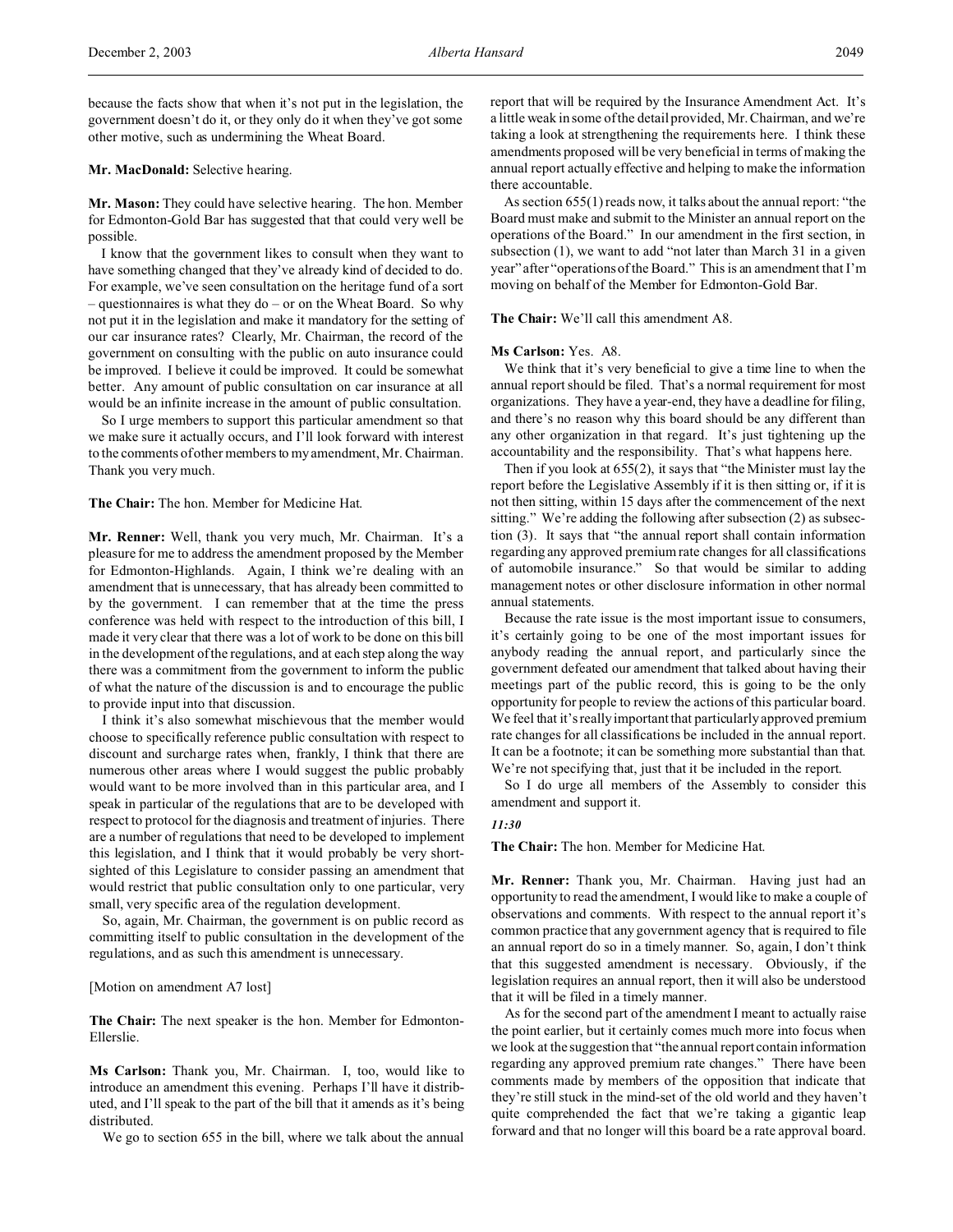## **Mr. MacDonald:** Selective hearing.

**Mr. Mason:** They could have selective hearing. The hon. Member for Edmonton-Gold Bar has suggested that that could very well be possible.

I know that the government likes to consult when they want to have something changed that they've already kind of decided to do. For example, we've seen consultation on the heritage fund of a sort – questionnaires is what they do – or on the Wheat Board. So why not put it in the legislation and make it mandatory for the setting of our car insurance rates? Clearly, Mr. Chairman, the record of the government on consulting with the public on auto insurance could be improved. I believe it could be improved. It could be somewhat better. Any amount of public consultation on car insurance at all would be an infinite increase in the amount of public consultation.

So I urge members to support this particular amendment so that we make sure it actually occurs, and I'll look forward with interest to the comments of other members to my amendment, Mr. Chairman. Thank you very much.

**The Chair:** The hon. Member for Medicine Hat.

**Mr. Renner:** Well, thank you very much, Mr. Chairman. It's a pleasure for me to address the amendment proposed by the Member for Edmonton-Highlands. Again, I think we're dealing with an amendment that is unnecessary, that has already been committed to by the government. I can remember that at the time the press conference was held with respect to the introduction of this bill, I made it very clear that there was a lot of work to be done on this bill in the development of the regulations, and at each step along the way there was a commitment from the government to inform the public of what the nature of the discussion is and to encourage the public to provide input into that discussion.

I think it's also somewhat mischievous that the member would choose to specifically reference public consultation with respect to discount and surcharge rates when, frankly, I think that there are numerous other areas where I would suggest the public probably would want to be more involved than in this particular area, and I speak in particular of the regulations that are to be developed with respect to protocol for the diagnosis and treatment of injuries. There are a number of regulations that need to be developed to implement this legislation, and I think that it would probably be very shortsighted of this Legislature to consider passing an amendment that would restrict that public consultation only to one particular, very small, very specific area of the regulation development.

So, again, Mr. Chairman, the government is on public record as committing itself to public consultation in the development of the regulations, and as such this amendment is unnecessary.

#### [Motion on amendment A7 lost]

**The Chair:** The next speaker is the hon. Member for Edmonton-Ellerslie.

**Ms Carlson:** Thank you, Mr. Chairman. I, too, would like to introduce an amendment this evening. Perhaps I'll have it distributed, and I'll speak to the part of the bill that it amends as it's being distributed.

We go to section 655 in the bill, where we talk about the annual

report that will be required by the Insurance Amendment Act. It's a little weak in some of the detail provided, Mr. Chairman, and we're taking a look at strengthening the requirements here. I think these amendments proposed will be very beneficial in terms of making the annual report actually effective and helping to make the information there accountable.

As section 655(1) reads now, it talks about the annual report: "the Board must make and submit to the Minister an annual report on the operations of the Board." In our amendment in the first section, in subsection (1), we want to add "not later than March 31 in a given year" after "operations of the Board." This is an amendment that I'm moving on behalf of the Member for Edmonton-Gold Bar.

**The Chair:** We'll call this amendment A8.

### **Ms Carlson:** Yes. A8.

We think that it's very beneficial to give a time line to when the annual report should be filed. That's a normal requirement for most organizations. They have a year-end, they have a deadline for filing, and there's no reason why this board should be any different than any other organization in that regard. It's just tightening up the accountability and the responsibility. That's what happens here.

Then if you look at 655(2), it says that "the Minister must lay the report before the Legislative Assembly if it is then sitting or, if it is not then sitting, within 15 days after the commencement of the next sitting." We're adding the following after subsection (2) as subsection (3). It says that "the annual report shall contain information regarding any approved premium rate changes for all classifications of automobile insurance." So that would be similar to adding management notes or other disclosure information in other normal annual statements.

Because the rate issue is the most important issue to consumers, it's certainly going to be one of the most important issues for anybody reading the annual report, and particularly since the government defeated our amendment that talked about having their meetings part of the public record, this is going to be the only opportunity for people to review the actions of this particular board. We feel that it's really important that particularly approved premium rate changes for all classifications be included in the annual report. It can be a footnote; it can be something more substantial than that. We're not specifying that, just that it be included in the report.

So I do urge all members of the Assembly to consider this amendment and support it.

#### *11:30*

# **The Chair:** The hon. Member for Medicine Hat.

**Mr. Renner:** Thank you, Mr. Chairman. Having just had an opportunity to read the amendment, I would like to make a couple of observations and comments. With respect to the annual report it's common practice that any government agency that is required to file an annual report do so in a timely manner. So, again, I don't think that this suggested amendment is necessary. Obviously, if the legislation requires an annual report, then it will also be understood that it will be filed in a timely manner.

As for the second part of the amendment I meant to actually raise the point earlier, but it certainly comes much more into focus when we look at the suggestion that "the annual report contain information regarding any approved premium rate changes." There have been comments made by members of the opposition that indicate that they're still stuck in the mind-set of the old world and they haven't quite comprehended the fact that we're taking a gigantic leap forward and that no longer will this board be a rate approval board.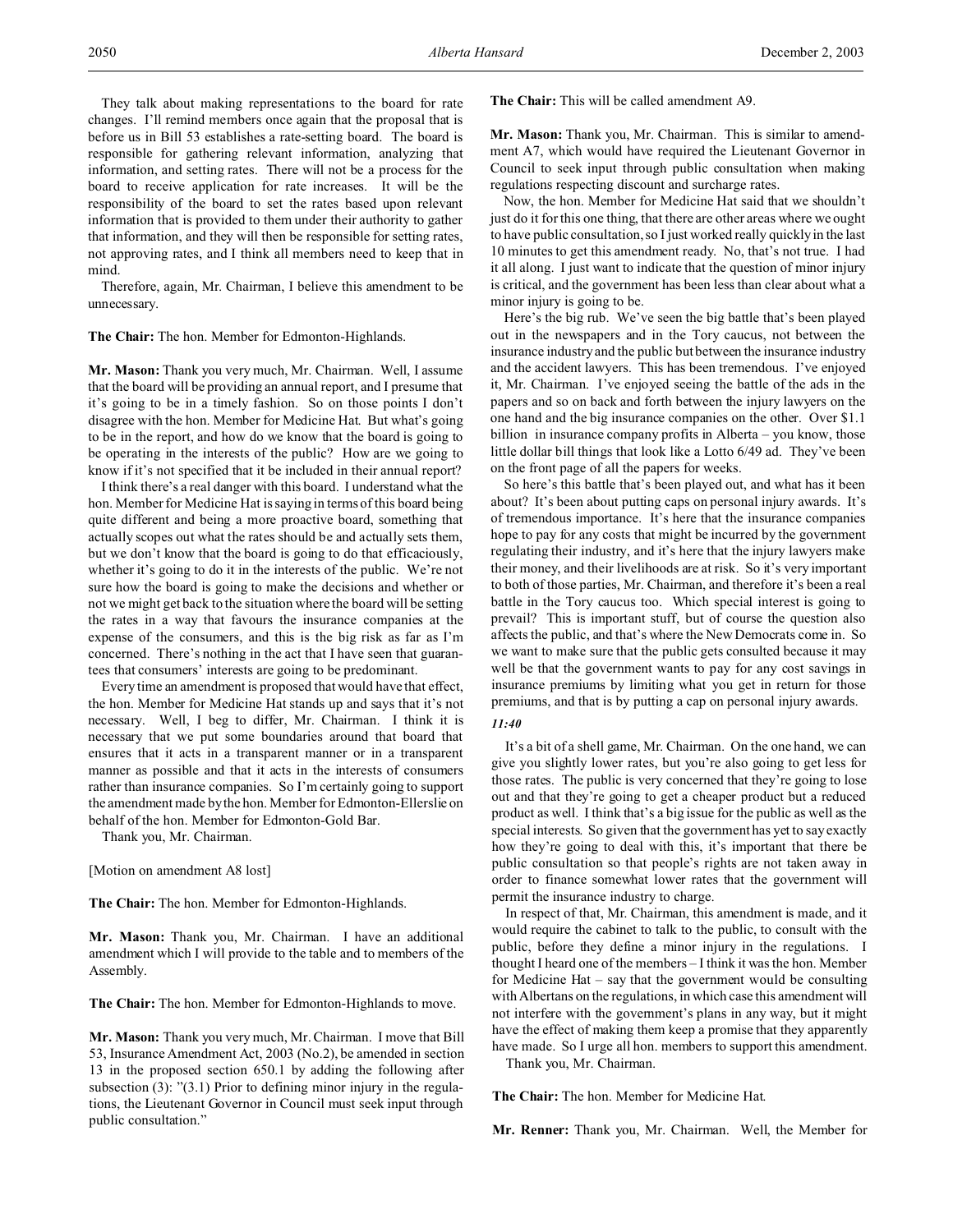They talk about making representations to the board for rate changes. I'll remind members once again that the proposal that is before us in Bill 53 establishes a rate-setting board. The board is responsible for gathering relevant information, analyzing that information, and setting rates. There will not be a process for the board to receive application for rate increases. It will be the responsibility of the board to set the rates based upon relevant information that is provided to them under their authority to gather that information, and they will then be responsible for setting rates, not approving rates, and I think all members need to keep that in mind.

Therefore, again, Mr. Chairman, I believe this amendment to be unnecessary.

**The Chair:** The hon. Member for Edmonton-Highlands.

**Mr. Mason:** Thank you very much, Mr. Chairman. Well, I assume that the board will be providing an annual report, and I presume that it's going to be in a timely fashion. So on those points I don't disagree with the hon. Member for Medicine Hat. But what's going to be in the report, and how do we know that the board is going to be operating in the interests of the public? How are we going to know if it's not specified that it be included in their annual report?

I think there's a real danger with this board. I understand what the hon. Member for Medicine Hat is saying in terms of this board being quite different and being a more proactive board, something that actually scopes out what the rates should be and actually sets them, but we don't know that the board is going to do that efficaciously, whether it's going to do it in the interests of the public. We're not sure how the board is going to make the decisions and whether or not we might get back to the situation where the board will be setting the rates in a way that favours the insurance companies at the expense of the consumers, and this is the big risk as far as I'm concerned. There's nothing in the act that I have seen that guarantees that consumers' interests are going to be predominant.

Every time an amendment is proposed that would have that effect, the hon. Member for Medicine Hat stands up and says that it's not necessary. Well, I beg to differ, Mr. Chairman. I think it is necessary that we put some boundaries around that board that ensures that it acts in a transparent manner or in a transparent manner as possible and that it acts in the interests of consumers rather than insurance companies. So I'm certainly going to support the amendment made by the hon. Member for Edmonton-Ellerslie on behalf of the hon. Member for Edmonton-Gold Bar.

Thank you, Mr. Chairman.

[Motion on amendment A8 lost]

**The Chair:** The hon. Member for Edmonton-Highlands.

**Mr. Mason:** Thank you, Mr. Chairman. I have an additional amendment which I will provide to the table and to members of the Assembly.

**The Chair:** The hon. Member for Edmonton-Highlands to move.

**Mr. Mason:** Thank you very much, Mr. Chairman. I move that Bill 53, Insurance Amendment Act, 2003 (No.2), be amended in section 13 in the proposed section 650.1 by adding the following after subsection (3): "(3.1) Prior to defining minor injury in the regulations, the Lieutenant Governor in Council must seek input through public consultation."

**The Chair:** This will be called amendment A9.

**Mr. Mason:** Thank you, Mr. Chairman. This is similar to amendment A7, which would have required the Lieutenant Governor in Council to seek input through public consultation when making regulations respecting discount and surcharge rates.

Now, the hon. Member for Medicine Hat said that we shouldn't just do it for this one thing, that there are other areas where we ought to have public consultation, so I just worked really quickly in the last 10 minutes to get this amendment ready. No, that's not true. I had it all along. I just want to indicate that the question of minor injury is critical, and the government has been less than clear about what a minor injury is going to be.

Here's the big rub. We've seen the big battle that's been played out in the newspapers and in the Tory caucus, not between the insurance industry and the public but between the insurance industry and the accident lawyers. This has been tremendous. I've enjoyed it, Mr. Chairman. I've enjoyed seeing the battle of the ads in the papers and so on back and forth between the injury lawyers on the one hand and the big insurance companies on the other. Over \$1.1 billion in insurance company profits in Alberta – you know, those little dollar bill things that look like a Lotto 6/49 ad. They've been on the front page of all the papers for weeks.

So here's this battle that's been played out, and what has it been about? It's been about putting caps on personal injury awards. It's of tremendous importance. It's here that the insurance companies hope to pay for any costs that might be incurred by the government regulating their industry, and it's here that the injury lawyers make their money, and their livelihoods are at risk. So it's very important to both of those parties, Mr. Chairman, and therefore it's been a real battle in the Tory caucus too. Which special interest is going to prevail? This is important stuff, but of course the question also affects the public, and that's where the New Democrats come in. So we want to make sure that the public gets consulted because it may well be that the government wants to pay for any cost savings in insurance premiums by limiting what you get in return for those premiums, and that is by putting a cap on personal injury awards.

### *11:40*

It's a bit of a shell game, Mr. Chairman. On the one hand, we can give you slightly lower rates, but you're also going to get less for those rates. The public is very concerned that they're going to lose out and that they're going to get a cheaper product but a reduced product as well. I think that's a big issue for the public as well as the special interests. So given that the government has yet to say exactly how they're going to deal with this, it's important that there be public consultation so that people's rights are not taken away in order to finance somewhat lower rates that the government will permit the insurance industry to charge.

In respect of that, Mr. Chairman, this amendment is made, and it would require the cabinet to talk to the public, to consult with the public, before they define a minor injury in the regulations. I thought I heard one of the members – I think it was the hon. Member for Medicine Hat – say that the government would be consulting with Albertans on the regulations, in which case this amendment will not interfere with the government's plans in any way, but it might have the effect of making them keep a promise that they apparently have made. So I urge all hon. members to support this amendment.

Thank you, Mr. Chairman.

**The Chair:** The hon. Member for Medicine Hat.

**Mr. Renner:** Thank you, Mr. Chairman. Well, the Member for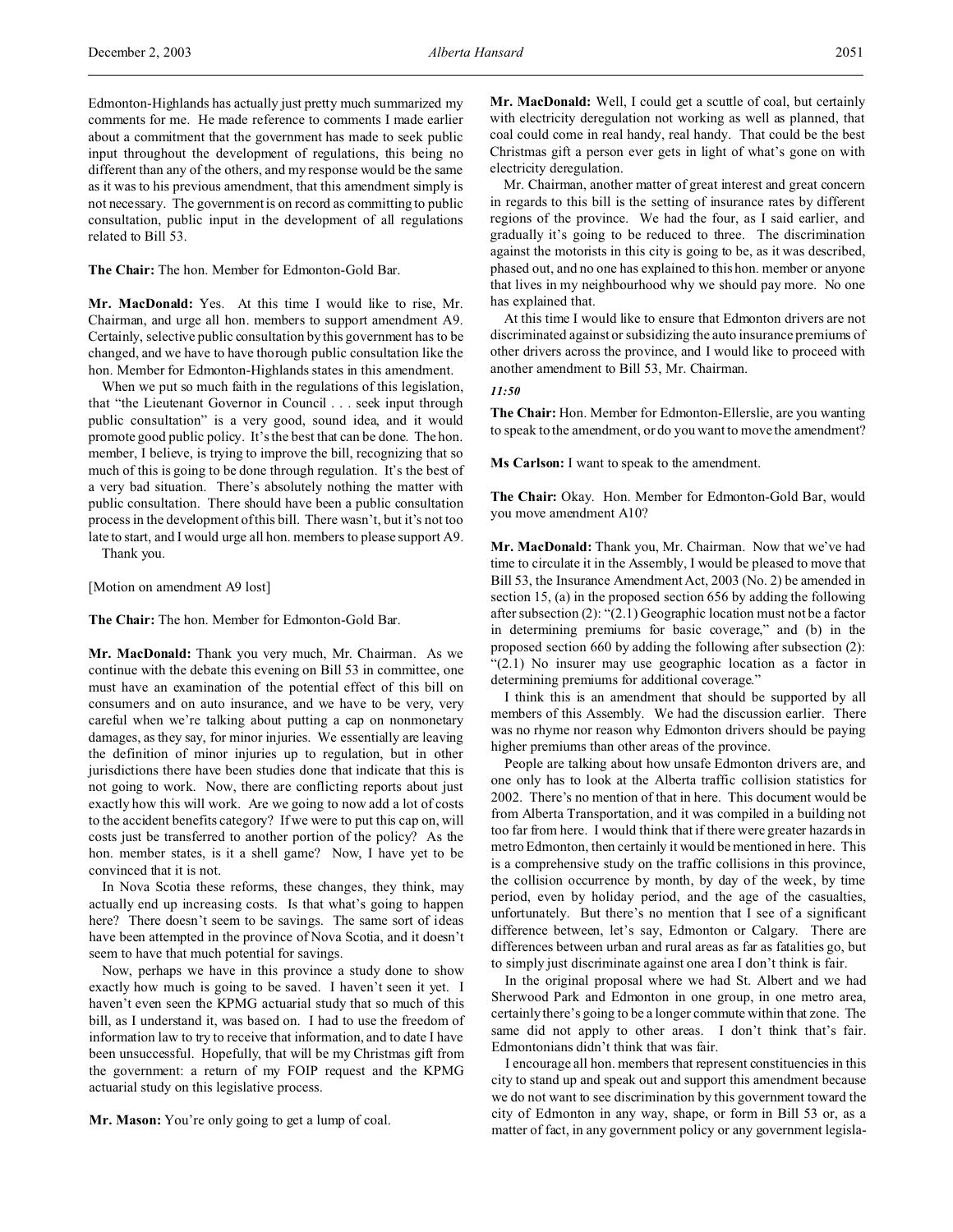Edmonton-Highlands has actually just pretty much summarized my comments for me. He made reference to comments I made earlier about a commitment that the government has made to seek public input throughout the development of regulations, this being no different than any of the others, and my response would be the same as it was to his previous amendment, that this amendment simply is not necessary. The government is on record as committing to public consultation, public input in the development of all regulations related to Bill 53.

**The Chair:** The hon. Member for Edmonton-Gold Bar.

**Mr. MacDonald:** Yes. At this time I would like to rise, Mr. Chairman, and urge all hon. members to support amendment A9. Certainly, selective public consultation by this government has to be changed, and we have to have thorough public consultation like the hon. Member for Edmonton-Highlands states in this amendment.

When we put so much faith in the regulations of this legislation, that "the Lieutenant Governor in Council . . . seek input through public consultation" is a very good, sound idea, and it would promote good public policy. It's the best that can be done. The hon. member, I believe, is trying to improve the bill, recognizing that so much of this is going to be done through regulation. It's the best of a very bad situation. There's absolutely nothing the matter with public consultation. There should have been a public consultation process in the development of this bill. There wasn't, but it's not too late to start, and I would urge all hon. members to please support A9. Thank you.

[Motion on amendment A9 lost]

**The Chair:** The hon. Member for Edmonton-Gold Bar.

**Mr. MacDonald:** Thank you very much, Mr. Chairman. As we continue with the debate this evening on Bill 53 in committee, one must have an examination of the potential effect of this bill on consumers and on auto insurance, and we have to be very, very careful when we're talking about putting a cap on nonmonetary damages, as they say, for minor injuries. We essentially are leaving the definition of minor injuries up to regulation, but in other jurisdictions there have been studies done that indicate that this is not going to work. Now, there are conflicting reports about just exactly how this will work. Are we going to now add a lot of costs to the accident benefits category? If we were to put this cap on, will costs just be transferred to another portion of the policy? As the hon. member states, is it a shell game? Now, I have yet to be convinced that it is not.

In Nova Scotia these reforms, these changes, they think, may actually end up increasing costs. Is that what's going to happen here? There doesn't seem to be savings. The same sort of ideas have been attempted in the province of Nova Scotia, and it doesn't seem to have that much potential for savings.

Now, perhaps we have in this province a study done to show exactly how much is going to be saved. I haven't seen it yet. I haven't even seen the KPMG actuarial study that so much of this bill, as I understand it, was based on. I had to use the freedom of information law to try to receive that information, and to date I have been unsuccessful. Hopefully, that will be my Christmas gift from the government: a return of my FOIP request and the KPMG actuarial study on this legislative process.

**Mr. Mason:** You're only going to get a lump of coal.

**Mr. MacDonald:** Well, I could get a scuttle of coal, but certainly with electricity deregulation not working as well as planned, that coal could come in real handy, real handy. That could be the best Christmas gift a person ever gets in light of what's gone on with electricity deregulation.

Mr. Chairman, another matter of great interest and great concern in regards to this bill is the setting of insurance rates by different regions of the province. We had the four, as I said earlier, and gradually it's going to be reduced to three. The discrimination against the motorists in this city is going to be, as it was described, phased out, and no one has explained to this hon. member or anyone that lives in my neighbourhood why we should pay more. No one has explained that.

At this time I would like to ensure that Edmonton drivers are not discriminated against or subsidizing the auto insurance premiums of other drivers across the province, and I would like to proceed with another amendment to Bill 53, Mr. Chairman.

# *11:50*

**The Chair:** Hon. Member for Edmonton-Ellerslie, are you wanting to speak to the amendment, or do you want to move the amendment?

**Ms Carlson:** I want to speak to the amendment.

**The Chair:** Okay. Hon. Member for Edmonton-Gold Bar, would you move amendment A10?

**Mr. MacDonald:** Thank you, Mr. Chairman. Now that we've had time to circulate it in the Assembly, I would be pleased to move that Bill 53, the Insurance Amendment Act, 2003 (No. 2) be amended in section 15, (a) in the proposed section 656 by adding the following after subsection (2): "(2.1) Geographic location must not be a factor in determining premiums for basic coverage," and (b) in the proposed section 660 by adding the following after subsection (2): "(2.1) No insurer may use geographic location as a factor in determining premiums for additional coverage."

I think this is an amendment that should be supported by all members of this Assembly. We had the discussion earlier. There was no rhyme nor reason why Edmonton drivers should be paying higher premiums than other areas of the province.

People are talking about how unsafe Edmonton drivers are, and one only has to look at the Alberta traffic collision statistics for 2002. There's no mention of that in here. This document would be from Alberta Transportation, and it was compiled in a building not too far from here. I would think that if there were greater hazards in metro Edmonton, then certainly it would be mentioned in here. This is a comprehensive study on the traffic collisions in this province, the collision occurrence by month, by day of the week, by time period, even by holiday period, and the age of the casualties, unfortunately. But there's no mention that I see of a significant difference between, let's say, Edmonton or Calgary. There are differences between urban and rural areas as far as fatalities go, but to simply just discriminate against one area I don't think is fair.

In the original proposal where we had St. Albert and we had Sherwood Park and Edmonton in one group, in one metro area, certainly there's going to be a longer commute within that zone. The same did not apply to other areas. I don't think that's fair. Edmontonians didn't think that was fair.

I encourage all hon. members that represent constituencies in this city to stand up and speak out and support this amendment because we do not want to see discrimination by this government toward the city of Edmonton in any way, shape, or form in Bill 53 or, as a matter of fact, in any government policy or any government legisla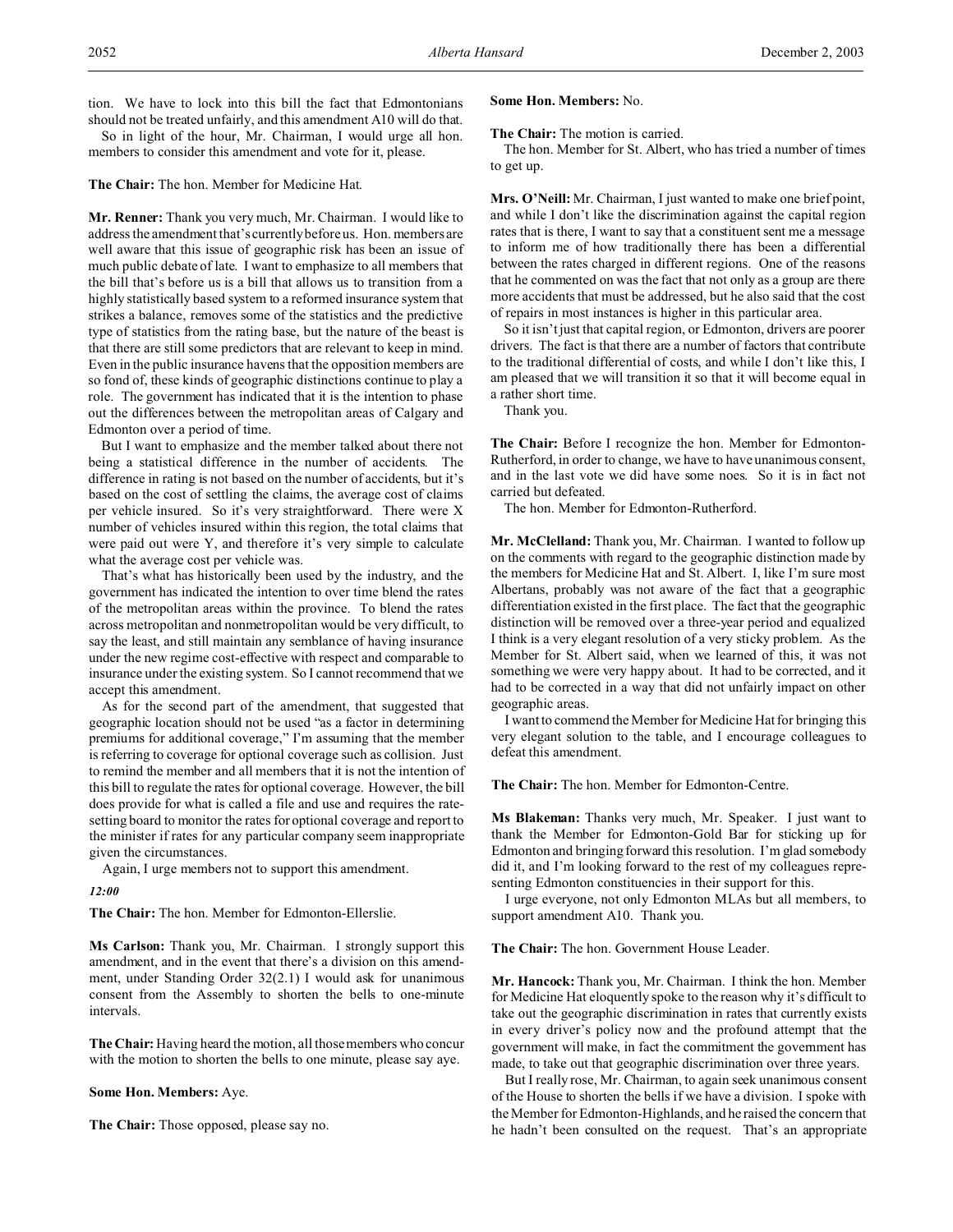tion. We have to lock into this bill the fact that Edmontonians should not be treated unfairly, and this amendment A10 will do that.

So in light of the hour, Mr. Chairman, I would urge all hon. members to consider this amendment and vote for it, please.

## **The Chair:** The hon. Member for Medicine Hat.

**Mr. Renner:** Thank you very much, Mr. Chairman. I would like to address the amendment that's currently before us. Hon. members are well aware that this issue of geographic risk has been an issue of much public debate of late. I want to emphasize to all members that the bill that's before us is a bill that allows us to transition from a highly statistically based system to a reformed insurance system that strikes a balance, removes some of the statistics and the predictive type of statistics from the rating base, but the nature of the beast is that there are still some predictors that are relevant to keep in mind. Even in the public insurance havens that the opposition members are so fond of, these kinds of geographic distinctions continue to play a role. The government has indicated that it is the intention to phase out the differences between the metropolitan areas of Calgary and Edmonton over a period of time.

But I want to emphasize and the member talked about there not being a statistical difference in the number of accidents. The difference in rating is not based on the number of accidents, but it's based on the cost of settling the claims, the average cost of claims per vehicle insured. So it's very straightforward. There were X number of vehicles insured within this region, the total claims that were paid out were Y, and therefore it's very simple to calculate what the average cost per vehicle was.

That's what has historically been used by the industry, and the government has indicated the intention to over time blend the rates of the metropolitan areas within the province. To blend the rates across metropolitan and nonmetropolitan would be very difficult, to say the least, and still maintain any semblance of having insurance under the new regime cost-effective with respect and comparable to insurance under the existing system. So I cannot recommend that we accept this amendment.

As for the second part of the amendment, that suggested that geographic location should not be used "as a factor in determining premiums for additional coverage," I'm assuming that the member is referring to coverage for optional coverage such as collision. Just to remind the member and all members that it is not the intention of this bill to regulate the rates for optional coverage. However, the bill does provide for what is called a file and use and requires the ratesetting board to monitor the rates for optional coverage and report to the minister if rates for any particular company seem inappropriate given the circumstances.

Again, I urge members not to support this amendment.

### *12:00*

**The Chair:** The hon. Member for Edmonton-Ellerslie.

**Ms Carlson:** Thank you, Mr. Chairman. I strongly support this amendment, and in the event that there's a division on this amendment, under Standing Order 32(2.1) I would ask for unanimous consent from the Assembly to shorten the bells to one-minute intervals.

**The Chair:** Having heard the motion, all those members who concur with the motion to shorten the bells to one minute, please say aye.

### **Some Hon. Members:** Aye.

**The Chair:** Those opposed, please say no.

# **Some Hon. Members:** No.

**The Chair:** The motion is carried.

The hon. Member for St. Albert, who has tried a number of times to get up.

**Mrs. O'Neill:** Mr. Chairman, I just wanted to make one brief point, and while I don't like the discrimination against the capital region rates that is there, I want to say that a constituent sent me a message to inform me of how traditionally there has been a differential between the rates charged in different regions. One of the reasons that he commented on was the fact that not only as a group are there more accidents that must be addressed, but he also said that the cost of repairs in most instances is higher in this particular area.

So it isn't just that capital region, or Edmonton, drivers are poorer drivers. The fact is that there are a number of factors that contribute to the traditional differential of costs, and while I don't like this, I am pleased that we will transition it so that it will become equal in a rather short time.

Thank you.

**The Chair:** Before I recognize the hon. Member for Edmonton-Rutherford, in order to change, we have to have unanimous consent, and in the last vote we did have some noes. So it is in fact not carried but defeated.

The hon. Member for Edmonton-Rutherford.

**Mr. McClelland:** Thank you, Mr. Chairman. I wanted to follow up on the comments with regard to the geographic distinction made by the members for Medicine Hat and St. Albert. I, like I'm sure most Albertans, probably was not aware of the fact that a geographic differentiation existed in the first place. The fact that the geographic distinction will be removed over a three-year period and equalized I think is a very elegant resolution of a very sticky problem. As the Member for St. Albert said, when we learned of this, it was not something we were very happy about. It had to be corrected, and it had to be corrected in a way that did not unfairly impact on other geographic areas.

I want to commend the Member for Medicine Hat for bringing this very elegant solution to the table, and I encourage colleagues to defeat this amendment.

**The Chair:** The hon. Member for Edmonton-Centre.

**Ms Blakeman:** Thanks very much, Mr. Speaker. I just want to thank the Member for Edmonton-Gold Bar for sticking up for Edmonton and bringing forward this resolution. I'm glad somebody did it, and I'm looking forward to the rest of my colleagues representing Edmonton constituencies in their support for this.

I urge everyone, not only Edmonton MLAs but all members, to support amendment A10. Thank you.

# **The Chair:** The hon. Government House Leader.

**Mr. Hancock:** Thank you, Mr. Chairman. I think the hon. Member for Medicine Hat eloquently spoke to the reason why it's difficult to take out the geographic discrimination in rates that currently exists in every driver's policy now and the profound attempt that the government will make, in fact the commitment the government has made, to take out that geographic discrimination over three years.

But I really rose, Mr. Chairman, to again seek unanimous consent of the House to shorten the bells if we have a division. I spoke with the Member for Edmonton-Highlands, and he raised the concern that he hadn't been consulted on the request. That's an appropriate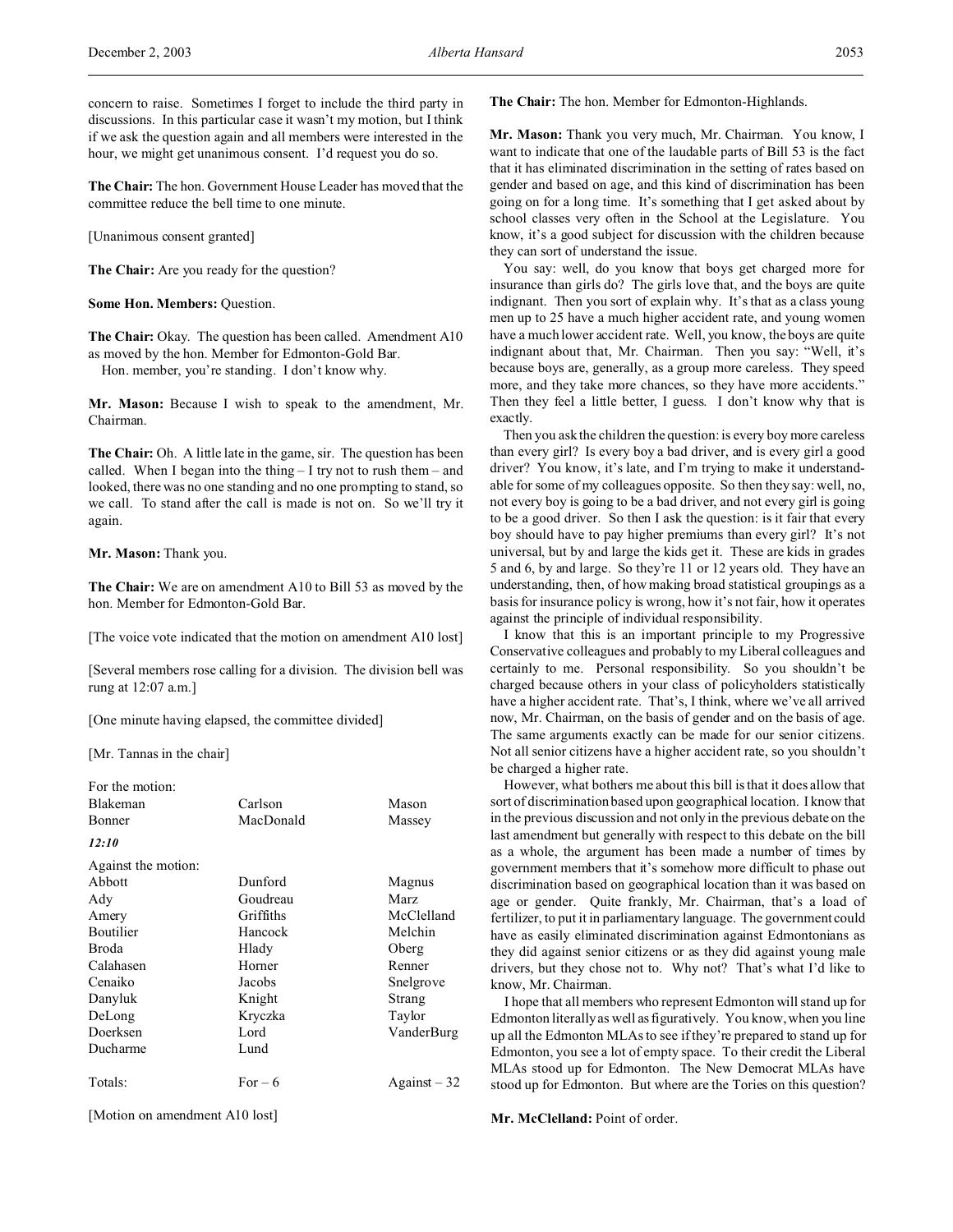**The Chair:** The hon. Government House Leader has moved that the committee reduce the bell time to one minute.

[Unanimous consent granted]

**The Chair:** Are you ready for the question?

**Some Hon. Members:** Question.

The Chair: Okay. The question has been called. Amendment A10 as moved by the hon. Member for Edmonton-Gold Bar. Hon. member, you're standing. I don't know why.

**Mr. Mason:** Because I wish to speak to the amendment, Mr. Chairman.

**The Chair:** Oh. A little late in the game, sir. The question has been called. When I began into the thing  $-$  I try not to rush them  $-$  and looked, there was no one standing and no one prompting to stand, so we call. To stand after the call is made is not on. So we'll try it again.

**Mr. Mason:** Thank you.

**The Chair:** We are on amendment A10 to Bill 53 as moved by the hon. Member for Edmonton-Gold Bar.

[The voice vote indicated that the motion on amendment A10 lost]

[Several members rose calling for a division. The division bell was rung at 12:07 a.m.]

[One minute having elapsed, the committee divided]

[Mr. Tannas in the chair]

| For the motion:     |           |               |
|---------------------|-----------|---------------|
| <b>Blakeman</b>     | Carlson   | Mason         |
| Bonner              | MacDonald | Massey        |
| 12:10               |           |               |
| Against the motion: |           |               |
| Abbott              | Dunford   | Magnus        |
| Ady                 | Goudreau  | <b>Marz</b>   |
| Amery               | Griffiths | McClelland    |
| <b>Boutilier</b>    | Hancock   | Melchin       |
| Broda               | Hlady     | Oberg         |
| Calahasen           | Horner    | Renner        |
| Cenaiko             | Jacobs    | Snelgrove     |
| Danyluk             | Knight    | Strang        |
| DeLong              | Kryczka   | Taylor        |
| Doerksen            | Lord      | VanderBurg    |
| Ducharme            | Lund      |               |
| Totals:             | $For-6$   | Against $-32$ |
|                     |           |               |

[Motion on amendment A10 lost]

**The Chair:** The hon. Member for Edmonton-Highlands.

**Mr. Mason:** Thank you very much, Mr. Chairman. You know, I want to indicate that one of the laudable parts of Bill 53 is the fact that it has eliminated discrimination in the setting of rates based on gender and based on age, and this kind of discrimination has been going on for a long time. It's something that I get asked about by school classes very often in the School at the Legislature. You know, it's a good subject for discussion with the children because they can sort of understand the issue.

You say: well, do you know that boys get charged more for insurance than girls do? The girls love that, and the boys are quite indignant. Then you sort of explain why. It's that as a class young men up to 25 have a much higher accident rate, and young women have a much lower accident rate. Well, you know, the boys are quite indignant about that, Mr. Chairman. Then you say: "Well, it's because boys are, generally, as a group more careless. They speed more, and they take more chances, so they have more accidents." Then they feel a little better, I guess. I don't know why that is exactly.

Then you ask the children the question: is every boy more careless than every girl? Is every boy a bad driver, and is every girl a good driver? You know, it's late, and I'm trying to make it understandable for some of my colleagues opposite. So then they say: well, no, not every boy is going to be a bad driver, and not every girl is going to be a good driver. So then I ask the question: is it fair that every boy should have to pay higher premiums than every girl? It's not universal, but by and large the kids get it. These are kids in grades 5 and 6, by and large. So they're 11 or 12 years old. They have an understanding, then, of how making broad statistical groupings as a basis for insurance policy is wrong, how it's not fair, how it operates against the principle of individual responsibility.

I know that this is an important principle to my Progressive Conservative colleagues and probably to my Liberal colleagues and certainly to me. Personal responsibility. So you shouldn't be charged because others in your class of policyholders statistically have a higher accident rate. That's, I think, where we've all arrived now, Mr. Chairman, on the basis of gender and on the basis of age. The same arguments exactly can be made for our senior citizens. Not all senior citizens have a higher accident rate, so you shouldn't be charged a higher rate.

However, what bothers me about this bill is that it does allow that sort of discrimination based upon geographical location. I know that in the previous discussion and not only in the previous debate on the last amendment but generally with respect to this debate on the bill as a whole, the argument has been made a number of times by government members that it's somehow more difficult to phase out discrimination based on geographical location than it was based on age or gender. Quite frankly, Mr. Chairman, that's a load of fertilizer, to put it in parliamentary language. The government could have as easily eliminated discrimination against Edmontonians as they did against senior citizens or as they did against young male drivers, but they chose not to. Why not? That's what I'd like to know, Mr. Chairman.

I hope that all members who represent Edmonton will stand up for Edmonton literally as well as figuratively. You know, when you line up all the Edmonton MLAs to see if they're prepared to stand up for Edmonton, you see a lot of empty space. To their credit the Liberal MLAs stood up for Edmonton. The New Democrat MLAs have stood up for Edmonton. But where are the Tories on this question?

**Mr. McClelland:** Point of order.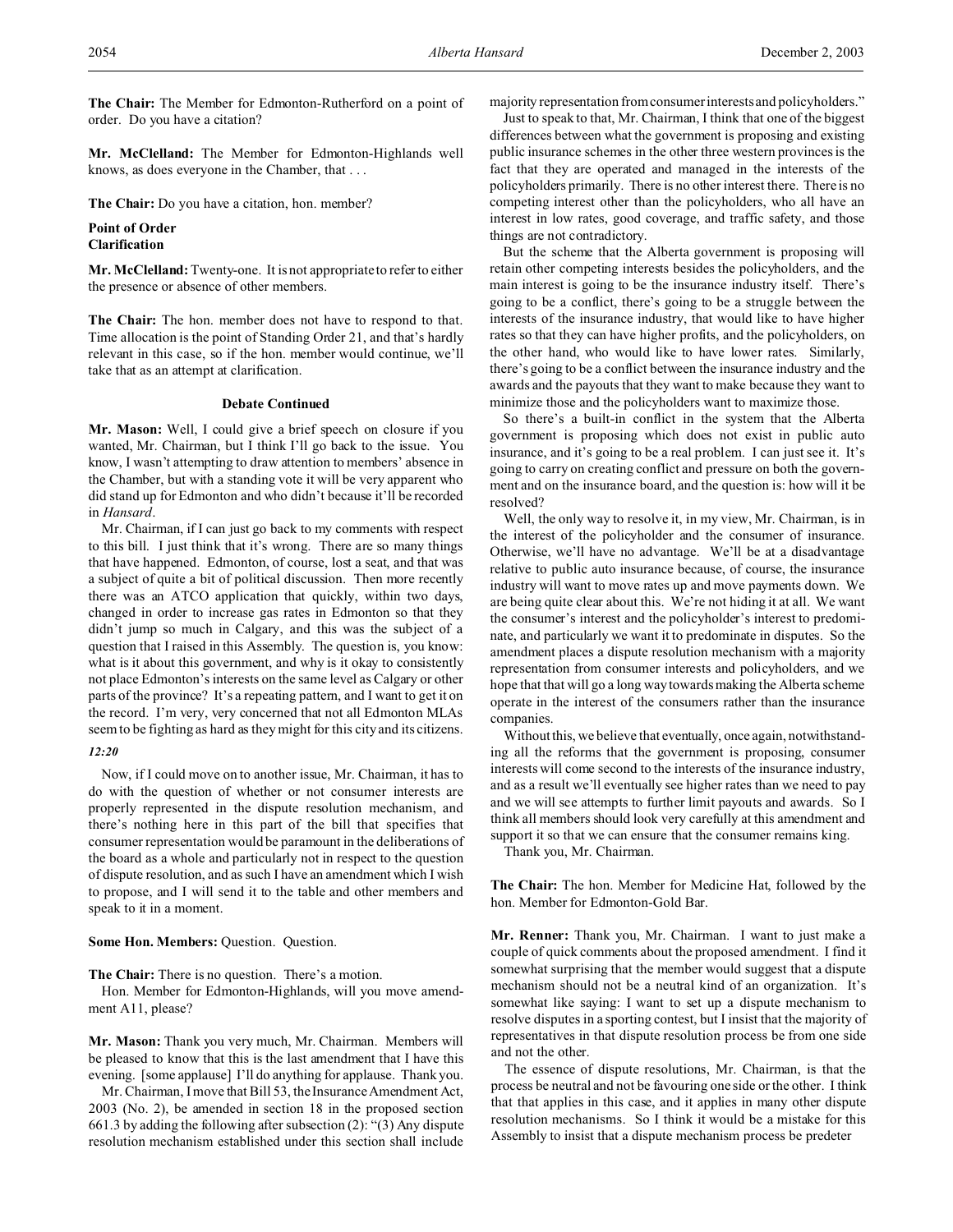**The Chair:** The Member for Edmonton-Rutherford on a point of order. Do you have a citation?

**Mr. McClelland:** The Member for Edmonton-Highlands well knows, as does everyone in the Chamber, that . . .

**The Chair:** Do you have a citation, hon. member?

# **Point of Order Clarification**

**Mr. McClelland:** Twenty-one. It is not appropriate to refer to either the presence or absence of other members.

**The Chair:** The hon. member does not have to respond to that. Time allocation is the point of Standing Order 21, and that's hardly relevant in this case, so if the hon. member would continue, we'll take that as an attempt at clarification.

# **Debate Continued**

**Mr. Mason:** Well, I could give a brief speech on closure if you wanted, Mr. Chairman, but I think I'll go back to the issue. You know, I wasn't attempting to draw attention to members' absence in the Chamber, but with a standing vote it will be very apparent who did stand up for Edmonton and who didn't because it'll be recorded in *Hansard*.

Mr. Chairman, if I can just go back to my comments with respect to this bill. I just think that it's wrong. There are so many things that have happened. Edmonton, of course, lost a seat, and that was a subject of quite a bit of political discussion. Then more recently there was an ATCO application that quickly, within two days, changed in order to increase gas rates in Edmonton so that they didn't jump so much in Calgary, and this was the subject of a question that I raised in this Assembly. The question is, you know: what is it about this government, and why is it okay to consistently not place Edmonton's interests on the same level as Calgary or other parts of the province? It's a repeating pattern, and I want to get it on the record. I'm very, very concerned that not all Edmonton MLAs seem to be fighting as hard as they might for this city and its citizens.

## *12:20*

Now, if I could move on to another issue, Mr. Chairman, it has to do with the question of whether or not consumer interests are properly represented in the dispute resolution mechanism, and there's nothing here in this part of the bill that specifies that consumer representation would be paramount in the deliberations of the board as a whole and particularly not in respect to the question of dispute resolution, and as such I have an amendment which I wish to propose, and I will send it to the table and other members and speak to it in a moment.

# **Some Hon. Members:** Question. Question.

**The Chair:** There is no question. There's a motion.

Hon. Member for Edmonton-Highlands, will you move amendment A11, please?

**Mr. Mason:** Thank you very much, Mr. Chairman. Members will be pleased to know that this is the last amendment that I have this evening. [some applause] I'll do anything for applause. Thank you.

Mr. Chairman, I move that Bill 53, the Insurance Amendment Act, 2003 (No. 2), be amended in section 18 in the proposed section 661.3 by adding the following after subsection (2): "(3) Any dispute resolution mechanism established under this section shall include

majority representation from consumer interests and policyholders."

Just to speak to that, Mr. Chairman, I think that one of the biggest differences between what the government is proposing and existing public insurance schemes in the other three western provinces is the fact that they are operated and managed in the interests of the policyholders primarily. There is no other interest there. There is no competing interest other than the policyholders, who all have an interest in low rates, good coverage, and traffic safety, and those things are not contradictory.

But the scheme that the Alberta government is proposing will retain other competing interests besides the policyholders, and the main interest is going to be the insurance industry itself. There's going to be a conflict, there's going to be a struggle between the interests of the insurance industry, that would like to have higher rates so that they can have higher profits, and the policyholders, on the other hand, who would like to have lower rates. Similarly, there's going to be a conflict between the insurance industry and the awards and the payouts that they want to make because they want to minimize those and the policyholders want to maximize those.

So there's a built-in conflict in the system that the Alberta government is proposing which does not exist in public auto insurance, and it's going to be a real problem. I can just see it. It's going to carry on creating conflict and pressure on both the government and on the insurance board, and the question is: how will it be resolved?

Well, the only way to resolve it, in my view, Mr. Chairman, is in the interest of the policyholder and the consumer of insurance. Otherwise, we'll have no advantage. We'll be at a disadvantage relative to public auto insurance because, of course, the insurance industry will want to move rates up and move payments down. We are being quite clear about this. We're not hiding it at all. We want the consumer's interest and the policyholder's interest to predominate, and particularly we want it to predominate in disputes. So the amendment places a dispute resolution mechanism with a majority representation from consumer interests and policyholders, and we hope that that will go a long way towards making the Alberta scheme operate in the interest of the consumers rather than the insurance companies.

Without this, we believe that eventually, once again, notwithstanding all the reforms that the government is proposing, consumer interests will come second to the interests of the insurance industry, and as a result we'll eventually see higher rates than we need to pay and we will see attempts to further limit payouts and awards. So I think all members should look very carefully at this amendment and support it so that we can ensure that the consumer remains king.

Thank you, Mr. Chairman.

**The Chair:** The hon. Member for Medicine Hat, followed by the hon. Member for Edmonton-Gold Bar.

**Mr. Renner:** Thank you, Mr. Chairman. I want to just make a couple of quick comments about the proposed amendment. I find it somewhat surprising that the member would suggest that a dispute mechanism should not be a neutral kind of an organization. It's somewhat like saying: I want to set up a dispute mechanism to resolve disputes in a sporting contest, but I insist that the majority of representatives in that dispute resolution process be from one side and not the other.

The essence of dispute resolutions, Mr. Chairman, is that the process be neutral and not be favouring one side or the other. I think that that applies in this case, and it applies in many other dispute resolution mechanisms. So I think it would be a mistake for this Assembly to insist that a dispute mechanism process be predeter